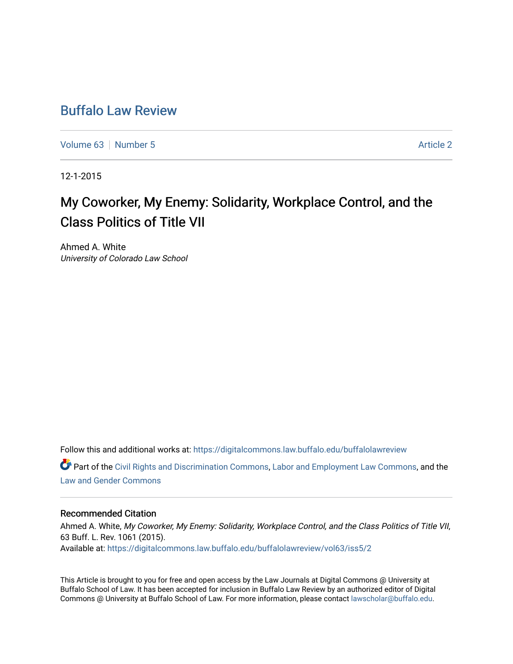## [Buffalo Law Review](https://digitalcommons.law.buffalo.edu/buffalolawreview)

[Volume 63](https://digitalcommons.law.buffalo.edu/buffalolawreview/vol63) [Number 5](https://digitalcommons.law.buffalo.edu/buffalolawreview/vol63/iss5) Article 2

12-1-2015

# My Coworker, My Enemy: Solidarity, Workplace Control, and the Class Politics of Title VII

Ahmed A. White University of Colorado Law School

Follow this and additional works at: [https://digitalcommons.law.buffalo.edu/buffalolawreview](https://digitalcommons.law.buffalo.edu/buffalolawreview?utm_source=digitalcommons.law.buffalo.edu%2Fbuffalolawreview%2Fvol63%2Fiss5%2F2&utm_medium=PDF&utm_campaign=PDFCoverPages) 

**Part of the [Civil Rights and Discrimination Commons,](http://network.bepress.com/hgg/discipline/585?utm_source=digitalcommons.law.buffalo.edu%2Fbuffalolawreview%2Fvol63%2Fiss5%2F2&utm_medium=PDF&utm_campaign=PDFCoverPages) [Labor and Employment Law Commons](http://network.bepress.com/hgg/discipline/909?utm_source=digitalcommons.law.buffalo.edu%2Fbuffalolawreview%2Fvol63%2Fiss5%2F2&utm_medium=PDF&utm_campaign=PDFCoverPages), and the** [Law and Gender Commons](http://network.bepress.com/hgg/discipline/1298?utm_source=digitalcommons.law.buffalo.edu%2Fbuffalolawreview%2Fvol63%2Fiss5%2F2&utm_medium=PDF&utm_campaign=PDFCoverPages)

#### Recommended Citation

Ahmed A. White, My Coworker, My Enemy: Solidarity, Workplace Control, and the Class Politics of Title VII, 63 Buff. L. Rev. 1061 (2015). Available at: [https://digitalcommons.law.buffalo.edu/buffalolawreview/vol63/iss5/2](https://digitalcommons.law.buffalo.edu/buffalolawreview/vol63/iss5/2?utm_source=digitalcommons.law.buffalo.edu%2Fbuffalolawreview%2Fvol63%2Fiss5%2F2&utm_medium=PDF&utm_campaign=PDFCoverPages) 

This Article is brought to you for free and open access by the Law Journals at Digital Commons @ University at Buffalo School of Law. It has been accepted for inclusion in Buffalo Law Review by an authorized editor of Digital Commons @ University at Buffalo School of Law. For more information, please contact [lawscholar@buffalo.edu](mailto:lawscholar@buffalo.edu).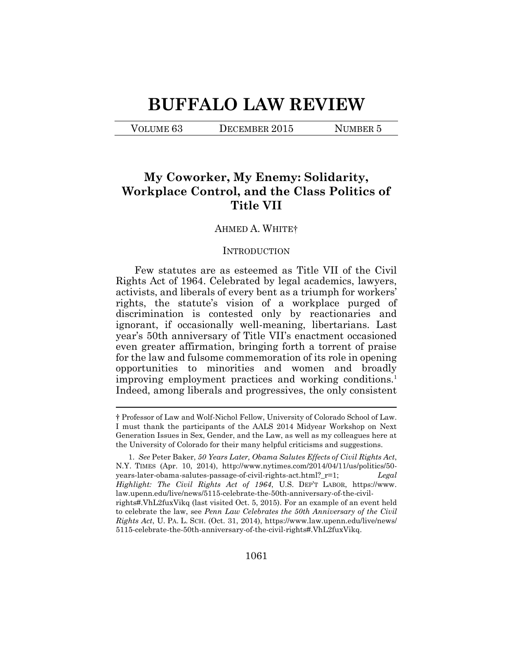# **BUFFALO LAW REVIEW**

VOLUME 63 DECEMBER 2015 NUMBER 5

 $\overline{a}$ 

## **My Coworker, My Enemy: Solidarity, Workplace Control, and the Class Politics of Title VII**

#### AHMED A. WHITE†

#### **INTRODUCTION**

Few statutes are as esteemed as Title VII of the Civil Rights Act of 1964. Celebrated by legal academics, lawyers, activists, and liberals of every bent as a triumph for workers' rights, the statute's vision of a workplace purged of discrimination is contested only by reactionaries and ignorant, if occasionally well-meaning, libertarians. Last year's 50th anniversary of Title VII's enactment occasioned even greater affirmation, bringing forth a torrent of praise for the law and fulsome commemoration of its role in opening opportunities to minorities and women and broadly improving employment practices and working conditions.<sup>1</sup> Indeed, among liberals and progressives, the only consistent

<sup>†</sup> Professor of Law and Wolf-Nichol Fellow, University of Colorado School of Law. I must thank the participants of the AALS 2014 Midyear Workshop on Next Generation Issues in Sex, Gender, and the Law, as well as my colleagues here at the University of Colorado for their many helpful criticisms and suggestions.

<sup>1.</sup> *See* Peter Baker, *50 Years Later, Obama Salutes Effects of Civil Rights Act*, N.Y. TIMES (Apr. 10, 2014), http://www.nytimes.com/2014/04/11/us/politics/50 years-later-obama-salutes-passage-of-civil-rights-act.html?\_r=1; *Legal Highlight: The Civil Rights Act of 1964*, U.S. DEP'T LABOR, https://www. law.upenn.edu/live/news/5115-celebrate-the-50th-anniversary-of-the-civilrights#.VhL2fuxVikq (last visited Oct. 5, 2015). For an example of an event held to celebrate the law, see *Penn Law Celebrates the 50th Anniversary of the Civil Rights Act*, U. PA. L. SCH. (Oct. 31, 2014), https://www.law.upenn.edu/live/news/ 5115-celebrate-the-50th-anniversary-of-the-civil-rights#.VhL2fuxVikq.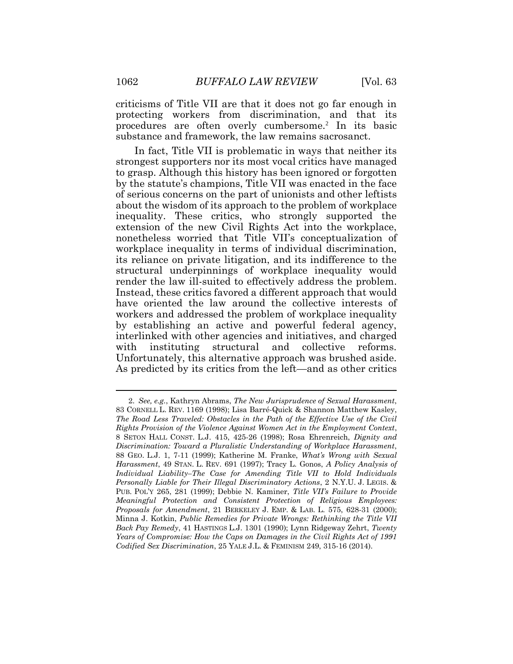criticisms of Title VII are that it does not go far enough in protecting workers from discrimination, and that its procedures are often overly cumbersome.<sup>2</sup> In its basic substance and framework, the law remains sacrosanct.

In fact, Title VII is problematic in ways that neither its strongest supporters nor its most vocal critics have managed to grasp. Although this history has been ignored or forgotten by the statute's champions, Title VII was enacted in the face of serious concerns on the part of unionists and other leftists about the wisdom of its approach to the problem of workplace inequality. These critics, who strongly supported the extension of the new Civil Rights Act into the workplace, nonetheless worried that Title VII's conceptualization of workplace inequality in terms of individual discrimination, its reliance on private litigation, and its indifference to the structural underpinnings of workplace inequality would render the law ill-suited to effectively address the problem. Instead, these critics favored a different approach that would have oriented the law around the collective interests of workers and addressed the problem of workplace inequality by establishing an active and powerful federal agency, interlinked with other agencies and initiatives, and charged with instituting structural and collective reforms. Unfortunately, this alternative approach was brushed aside. As predicted by its critics from the left—and as other critics

<sup>2.</sup> *See, e.g.*, Kathryn Abrams, *The New Jurisprudence of Sexual Harassment*, 83 CORNELL L. REV. 1169 (1998); Lisa Barré-Quick & Shannon Matthew Kasley, *The Road Less Traveled: Obstacles in the Path of the Effective Use of the Civil Rights Provision of the Violence Against Women Act in the Employment Context*, 8 SETON HALL CONST. L.J. 415, 425-26 (1998); Rosa Ehrenreich, *Dignity and Discrimination: Toward a Pluralistic Understanding of Workplace Harassment*, 88 GEO. L.J. 1, 7-11 (1999); Katherine M. Franke, *What's Wrong with Sexual Harassment*, 49 STAN. L. REV. 691 (1997); Tracy L. Gonos, *A Policy Analysis of Individual Liability–The Case for Amending Title VII to Hold Individuals Personally Liable for Their Illegal Discriminatory Actions*, 2 N.Y.U. J. LEGIS. & PUB. POL'Y 265, 281 (1999); Debbie N. Kaminer, *Title VII's Failure to Provide Meaningful Protection and Consistent Protection of Religious Employees: Proposals for Amendment*, 21 BERKELEY J. EMP. & LAB. L. 575, 628-31 (2000); Minna J. Kotkin, *Public Remedies for Private Wrongs: Rethinking the Title VII Back Pay Remedy*, 41 HASTINGS L.J. 1301 (1990); Lynn Ridgeway Zehrt, *Twenty Years of Compromise: How the Caps on Damages in the Civil Rights Act of 1991 Codified Sex Discrimination*, 25 YALE J.L. & FEMINISM 249, 315-16 (2014).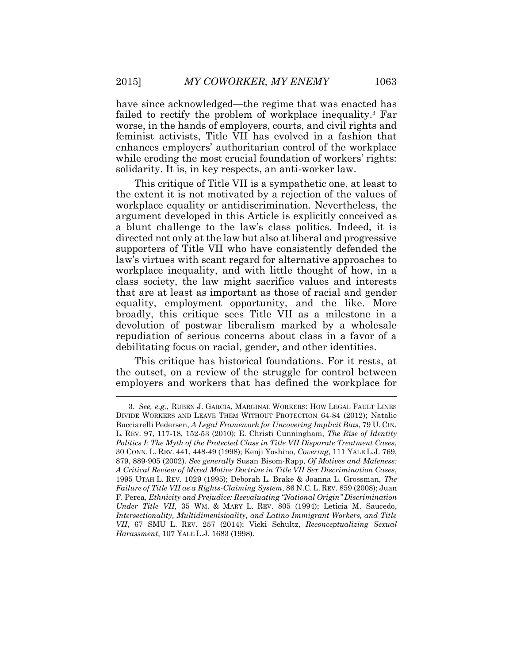have since acknowledged—the regime that was enacted has failed to rectify the problem of workplace inequality.<sup>3</sup> Far worse, in the hands of employers, courts, and civil rights and feminist activists, Title VII has evolved in a fashion that enhances employers' authoritarian control of the workplace while eroding the most crucial foundation of workers' rights: solidarity. It is, in key respects, an anti-worker law.

This critique of Title VII is a sympathetic one, at least to the extent it is not motivated by a rejection of the values of workplace equality or antidiscrimination. Nevertheless, the argument developed in this Article is explicitly conceived as a blunt challenge to the law's class politics. Indeed, it is directed not only at the law but also at liberal and progressive supporters of Title VII who have consistently defended the law's virtues with scant regard for alternative approaches to workplace inequality, and with little thought of how, in a class society, the law might sacrifice values and interests that are at least as important as those of racial and gender equality, employment opportunity, and the like. More broadly, this critique sees Title VII as a milestone in a devolution of postwar liberalism marked by a wholesale repudiation of serious concerns about class in a favor of a debilitating focus on racial, gender, and other identities.

This critique has historical foundations. For it rests, at the outset, on a review of the struggle for control between employers and workers that has defined the workplace for

<sup>3.</sup> *See, e.g.*, RUBEN J. GARCIA, MARGINAL WORKERS: HOW LEGAL FAULT LINES DIVIDE WORKERS AND LEAVE THEM WITHOUT PROTECTION 64-84 (2012); Natalie Bucciarelli Pedersen, *A Legal Framework for Uncovering Implicit Bias*, 79 U. CIN. L. REV. 97, 117-18, 152-53 (2010); E. Christi Cunningham, *The Rise of Identity Politics I: The Myth of the Protected Class in Title VII Disparate Treatment Cases*, 30 CONN. L. REV. 441, 448-49 (1998); Kenji Yoshino, *Covering*, 111 YALE L.J. 769, 879, 889-905 (2002). *See generally* Susan Bisom-Rapp, *Of Motives and Maleness: A Critical Review of Mixed Motive Doctrine in Title VII Sex Discrimination Cases*, 1995 UTAH L. REV. 1029 (1995); Deborah L. Brake & Joanna L. Grossman, *The Failure of Title VII as a Rights-Claiming System*, 86 N.C. L. REV. 859 (2008); Juan F. Perea, *Ethnicity and Prejudice: Reevaluating "National Origin" Discrimination Under Title VII*, 35 WM. & MARY L. REV. 805 (1994); Leticia M. Saucedo, *Intersectionality, Multidimenisioality, and Latino Immigrant Workers, and Title VII*, 67 SMU L. REV. 257 (2014); Vicki Schultz, *Reconceptualizing Sexual Harassment*, 107 YALE L.J. 1683 (1998).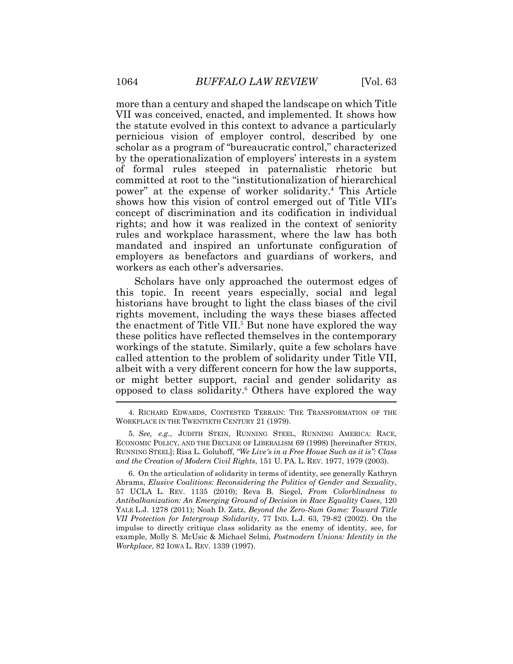more than a century and shaped the landscape on which Title VII was conceived, enacted, and implemented. It shows how the statute evolved in this context to advance a particularly pernicious vision of employer control, described by one scholar as a program of "bureaucratic control," characterized by the operationalization of employers' interests in a system of formal rules steeped in paternalistic rhetoric but committed at root to the "institutionalization of hierarchical power" at the expense of worker solidarity.<sup>4</sup> This Article shows how this vision of control emerged out of Title VII's concept of discrimination and its codification in individual rights; and how it was realized in the context of seniority rules and workplace harassment, where the law has both mandated and inspired an unfortunate configuration of employers as benefactors and guardians of workers, and workers as each other's adversaries.

Scholars have only approached the outermost edges of this topic. In recent years especially, social and legal historians have brought to light the class biases of the civil rights movement, including the ways these biases affected the enactment of Title VII.<sup>5</sup> But none have explored the way these politics have reflected themselves in the contemporary workings of the statute. Similarly, quite a few scholars have called attention to the problem of solidarity under Title VII, albeit with a very different concern for how the law supports, or might better support, racial and gender solidarity as opposed to class solidarity.<sup>6</sup> Others have explored the way

6. On the articulation of solidarity in terms of identity, see generally Kathryn Abrams, *Elusive Coalitions: Reconsidering the Politics of Gender and Sexuality*, 57 UCLA L. REV. 1135 (2010); Reva B. Siegel, *From Colorblindness to Antibalkanization: An Emerging Ground of Decision in Race Equality Cases*, 120 YALE L.J. 1278 (2011); Noah D. Zatz, *Beyond the Zero-Sum Game: Toward Title VII Protection for Intergroup Solidarity*, 77 IND. L.J. 63, 79-82 (2002). On the impulse to directly critique class solidarity as the enemy of identity, see, for example, Molly S. McUsic & Michael Selmi, *Postmodern Unions: Identity in the Workplace*, 82 IOWA L. REV. 1339 (1997).

<sup>4.</sup> RICHARD EDWARDS, CONTESTED TERRAIN: THE TRANSFORMATION OF THE WORKPLACE IN THE TWENTIETH CENTURY 21 (1979).

<sup>5.</sup> *See, e.g.*, JUDITH STEIN, RUNNING STEEL, RUNNING AMERICA: RACE, ECONOMIC POLICY, AND THE DECLINE OF LIBERALISM 69 (1998) [hereinafter STEIN, RUNNING STEEL]; Risa L. Goluboff, *"We Live's in a Free House Such as it is": Class and the Creation of Modern Civil Rights*, 151 U. PA. L. REV. 1977, 1979 (2003).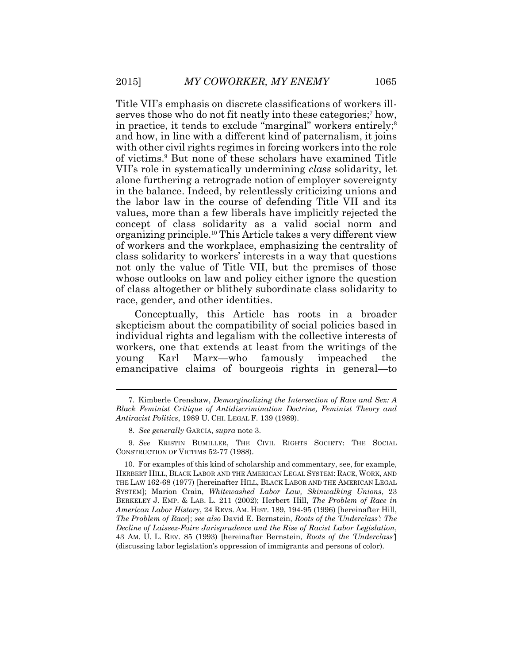Title VII's emphasis on discrete classifications of workers illserves those who do not fit neatly into these categories;<sup>7</sup> how, in practice, it tends to exclude "marginal" workers entirely;<sup>8</sup> and how, in line with a different kind of paternalism, it joins with other civil rights regimes in forcing workers into the role of victims.<sup>9</sup> But none of these scholars have examined Title VII's role in systematically undermining *class* solidarity, let alone furthering a retrograde notion of employer sovereignty in the balance. Indeed, by relentlessly criticizing unions and the labor law in the course of defending Title VII and its values, more than a few liberals have implicitly rejected the concept of class solidarity as a valid social norm and organizing principle.<sup>10</sup> This Article takes a very different view of workers and the workplace, emphasizing the centrality of class solidarity to workers' interests in a way that questions not only the value of Title VII, but the premises of those whose outlooks on law and policy either ignore the question of class altogether or blithely subordinate class solidarity to race, gender, and other identities.

Conceptually, this Article has roots in a broader skepticism about the compatibility of social policies based in individual rights and legalism with the collective interests of workers, one that extends at least from the writings of the young Karl Marx—who famously impeached the emancipative claims of bourgeois rights in general—to

<sup>7.</sup> Kimberle Crenshaw, *Demarginalizing the Intersection of Race and Sex: A Black Feminist Critique of Antidiscrimination Doctrine, Feminist Theory and Antiracist Politics*, 1989 U. CHI. LEGAL F. 139 (1989).

<sup>8.</sup> *See generally* GARCIA, *supra* note 3.

<sup>9.</sup> *See* KRISTIN BUMILLER, THE CIVIL RIGHTS SOCIETY: THE SOCIAL CONSTRUCTION OF VICTIMS 52-77 (1988).

<sup>10.</sup> For examples of this kind of scholarship and commentary, see, for example, HERBERT HILL, BLACK LABOR AND THE AMERICAN LEGAL SYSTEM: RACE, WORK, AND THE LAW 162-68 (1977) [hereinafter HILL, BLACK LABOR AND THE AMERICAN LEGAL SYSTEM]; Marion Crain, *Whitewashed Labor Law, Skinwalking Unions*, 23 BERKELEY J. EMP. & LAB. L. 211 (2002); Herbert Hill, *The Problem of Race in American Labor History*, 24 REVS. AM. HIST. 189, 194-95 (1996) [hereinafter Hill, *The Problem of Race*]; *see also* David E. Bernstein, *Roots of the 'Underclass': The Decline of Laissez-Faire Jurisprudence and the Rise of Racist Labor Legislation*, 43 AM. U. L. REV. 85 (1993) [hereinafter Bernstein, *Roots of the 'Underclass'*] (discussing labor legislation's oppression of immigrants and persons of color).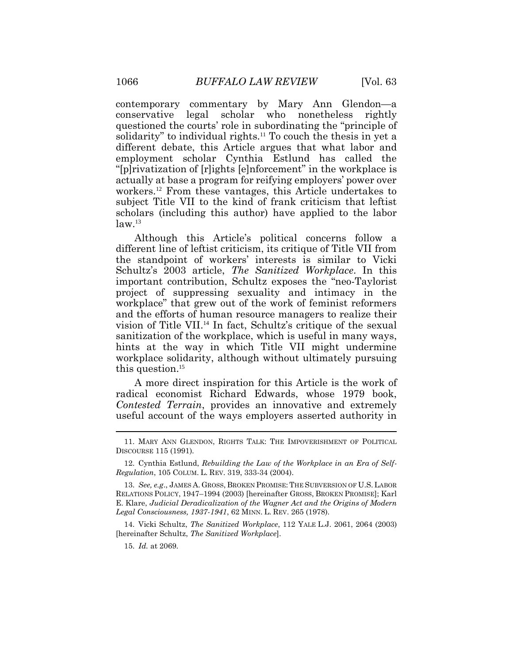contemporary commentary by Mary Ann Glendon—a conservative legal scholar who nonetheless rightly questioned the courts' role in subordinating the "principle of solidarity" to individual rights.<sup>11</sup> To couch the thesis in yet a different debate, this Article argues that what labor and employment scholar Cynthia Estlund has called the "[p]rivatization of [r]ights [e]nforcement" in the workplace is actually at base a program for reifying employers' power over workers.<sup>12</sup> From these vantages, this Article undertakes to subject Title VII to the kind of frank criticism that leftist scholars (including this author) have applied to the labor  $law<sup>13</sup>$ 

Although this Article's political concerns follow a different line of leftist criticism, its critique of Title VII from the standpoint of workers' interests is similar to Vicki Schultz's 2003 article, *The Sanitized Workplace*. In this important contribution, Schultz exposes the "neo-Taylorist project of suppressing sexuality and intimacy in the workplace" that grew out of the work of feminist reformers and the efforts of human resource managers to realize their vision of Title VII.<sup>14</sup> In fact, Schultz's critique of the sexual sanitization of the workplace, which is useful in many ways, hints at the way in which Title VII might undermine workplace solidarity, although without ultimately pursuing this question. 15

A more direct inspiration for this Article is the work of radical economist Richard Edwards, whose 1979 book, *Contested Terrain*, provides an innovative and extremely useful account of the ways employers asserted authority in

14. Vicki Schultz, *The Sanitized Workplace*, 112 YALE L.J. 2061, 2064 (2003) [hereinafter Schultz, *The Sanitized Workplace*].

15. *Id.* at 2069.

<sup>11.</sup> MARY ANN GLENDON, RIGHTS TALK: THE IMPOVERISHMENT OF POLITICAL DISCOURSE 115 (1991).

<sup>12.</sup> Cynthia Estlund, *Rebuilding the Law of the Workplace in an Era of Self-Regulation*, 105 COLUM. L. REV. 319, 333-34 (2004).

<sup>13.</sup> *See, e.g*., JAMES A. GROSS, BROKEN PROMISE: THE SUBVERSION OF U.S. LABOR RELATIONS POLICY, 1947–1994 (2003) [hereinafter GROSS, BROKEN PROMISE]; Karl E. Klare, *Judicial Deradicalization of the Wagner Act and the Origins of Modern Legal Consciousness, 1937-1941*, 62 MINN. L. REV. 265 (1978).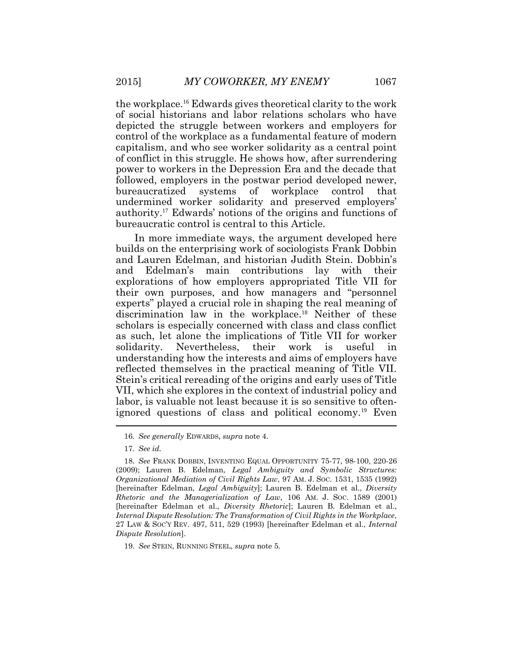the workplace.<sup>16</sup> Edwards gives theoretical clarity to the work of social historians and labor relations scholars who have depicted the struggle between workers and employers for control of the workplace as a fundamental feature of modern capitalism, and who see worker solidarity as a central point of conflict in this struggle. He shows how, after surrendering power to workers in the Depression Era and the decade that followed, employers in the postwar period developed newer, bureaucratized systems of workplace control that undermined worker solidarity and preserved employers' authority.<sup>17</sup> Edwards' notions of the origins and functions of bureaucratic control is central to this Article.

In more immediate ways, the argument developed here builds on the enterprising work of sociologists Frank Dobbin and Lauren Edelman, and historian Judith Stein. Dobbin's and Edelman's main contributions lay with their explorations of how employers appropriated Title VII for their own purposes, and how managers and "personnel experts" played a crucial role in shaping the real meaning of discrimination law in the workplace.<sup>18</sup> Neither of these scholars is especially concerned with class and class conflict as such, let alone the implications of Title VII for worker solidarity. Nevertheless, their work is useful in understanding how the interests and aims of employers have reflected themselves in the practical meaning of Title VII. Stein's critical rereading of the origins and early uses of Title VII, which she explores in the context of industrial policy and labor, is valuable not least because it is so sensitive to oftenignored questions of class and political economy.<sup>19</sup> Even

19. *See* STEIN, RUNNING STEEL, *supra* note 5.

<sup>16.</sup> *See generally* EDWARDS, *supra* note 4.

<sup>17</sup>*. See id.*

<sup>18.</sup> *See* FRANK DOBBIN, INVENTING EQUAL OPPORTUNITY 75-77, 98-100, 220-26 (2009); Lauren B. Edelman, *Legal Ambiguity and Symbolic Structures: Organizational Mediation of Civil Rights Law*, 97 AM. J. SOC. 1531, 1535 (1992) [hereinafter Edelman, *Legal Ambiguity*]; Lauren B. Edelman et al., *Diversity Rhetoric and the Managerialization of Law*, 106 AM. J. SOC. 1589 (2001) [hereinafter Edelman et al., *Diversity Rhetoric*]; Lauren B. Edelman et al., *Internal Dispute Resolution: The Transformation of Civil Rights in the Workplace*, 27 LAW & SOC'Y REV. 497, 511, 529 (1993) [hereinafter Edelman et al., *Internal Dispute Resolution*].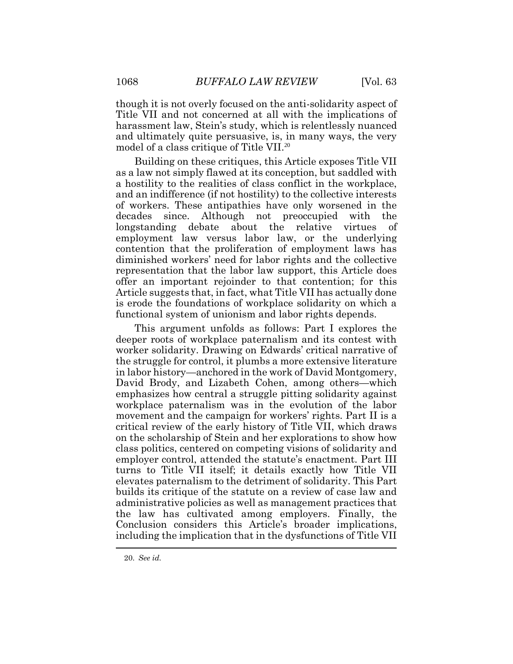though it is not overly focused on the anti-solidarity aspect of Title VII and not concerned at all with the implications of harassment law, Stein's study, which is relentlessly nuanced and ultimately quite persuasive, is, in many ways, the very model of a class critique of Title VII.<sup>20</sup>

Building on these critiques, this Article exposes Title VII as a law not simply flawed at its conception, but saddled with a hostility to the realities of class conflict in the workplace, and an indifference (if not hostility) to the collective interests of workers. These antipathies have only worsened in the decades since. Although not preoccupied with the longstanding debate about the relative virtues of employment law versus labor law, or the underlying contention that the proliferation of employment laws has diminished workers' need for labor rights and the collective representation that the labor law support, this Article does offer an important rejoinder to that contention; for this Article suggests that, in fact, what Title VII has actually done is erode the foundations of workplace solidarity on which a functional system of unionism and labor rights depends.

This argument unfolds as follows: Part I explores the deeper roots of workplace paternalism and its contest with worker solidarity. Drawing on Edwards' critical narrative of the struggle for control, it plumbs a more extensive literature in labor history—anchored in the work of David Montgomery, David Brody, and Lizabeth Cohen, among others—which emphasizes how central a struggle pitting solidarity against workplace paternalism was in the evolution of the labor movement and the campaign for workers' rights. Part II is a critical review of the early history of Title VII, which draws on the scholarship of Stein and her explorations to show how class politics, centered on competing visions of solidarity and employer control, attended the statute's enactment. Part III turns to Title VII itself; it details exactly how Title VII elevates paternalism to the detriment of solidarity. This Part builds its critique of the statute on a review of case law and administrative policies as well as management practices that the law has cultivated among employers. Finally, the Conclusion considers this Article's broader implications, including the implication that in the dysfunctions of Title VII

<sup>20.</sup> *See id.*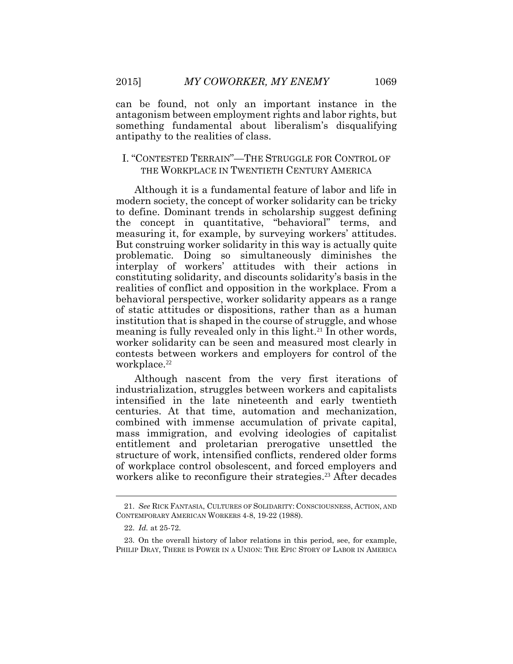can be found, not only an important instance in the antagonism between employment rights and labor rights, but something fundamental about liberalism's disqualifying antipathy to the realities of class.

## I. "CONTESTED TERRAIN"—THE STRUGGLE FOR CONTROL OF THE WORKPLACE IN TWENTIETH CENTURY AMERICA

Although it is a fundamental feature of labor and life in modern society, the concept of worker solidarity can be tricky to define. Dominant trends in scholarship suggest defining the concept in quantitative, "behavioral" terms, and measuring it, for example, by surveying workers' attitudes. But construing worker solidarity in this way is actually quite problematic. Doing so simultaneously diminishes the interplay of workers' attitudes with their actions in constituting solidarity, and discounts solidarity's basis in the realities of conflict and opposition in the workplace. From a behavioral perspective, worker solidarity appears as a range of static attitudes or dispositions, rather than as a human institution that is shaped in the course of struggle, and whose meaning is fully revealed only in this light.<sup>21</sup> In other words, worker solidarity can be seen and measured most clearly in contests between workers and employers for control of the workplace.<sup>22</sup>

Although nascent from the very first iterations of industrialization, struggles between workers and capitalists intensified in the late nineteenth and early twentieth centuries. At that time, automation and mechanization, combined with immense accumulation of private capital, mass immigration, and evolving ideologies of capitalist entitlement and proletarian prerogative unsettled the structure of work, intensified conflicts, rendered older forms of workplace control obsolescent, and forced employers and workers alike to reconfigure their strategies.<sup>23</sup> After decades

 $\overline{a}$ 

<sup>21.</sup> *See* RICK FANTASIA, CULTURES OF SOLIDARITY: CONSCIOUSNESS, ACTION, AND CONTEMPORARY AMERICAN WORKERS 4-8, 19-22 (1988).

<sup>22.</sup> *Id.* at 25-72.

<sup>23.</sup> On the overall history of labor relations in this period, see, for example, PHILIP DRAY, THERE IS POWER IN A UNION: THE EPIC STORY OF LABOR IN AMERICA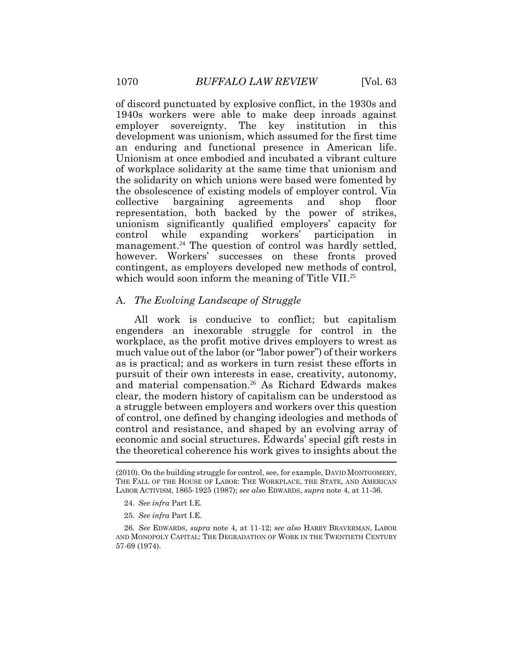of discord punctuated by explosive conflict, in the 1930s and 1940s workers were able to make deep inroads against employer sovereignty. The key institution in this development was unionism, which assumed for the first time an enduring and functional presence in American life. Unionism at once embodied and incubated a vibrant culture of workplace solidarity at the same time that unionism and the solidarity on which unions were based were fomented by the obsolescence of existing models of employer control. Via collective bargaining agreements and shop floor representation, both backed by the power of strikes, unionism significantly qualified employers' capacity for control while expanding workers' participation in management.<sup>24</sup> The question of control was hardly settled, however. Workers' successes on these fronts proved contingent, as employers developed new methods of control, which would soon inform the meaning of Title VII.<sup>25</sup>

## A. *The Evolving Landscape of Struggle*

All work is conducive to conflict; but capitalism engenders an inexorable struggle for control in the workplace, as the profit motive drives employers to wrest as much value out of the labor (or "labor power") of their workers as is practical; and as workers in turn resist these efforts in pursuit of their own interests in ease, creativity, autonomy, and material compensation.<sup>26</sup> As Richard Edwards makes clear, the modern history of capitalism can be understood as a struggle between employers and workers over this question of control, one defined by changing ideologies and methods of control and resistance, and shaped by an evolving array of economic and social structures. Edwards' special gift rests in the theoretical coherence his work gives to insights about the  $\overline{ }$ 

- 24. *See infra* Part I.E.
- 25. *See infra* Part I.E.

26. *See* EDWARDS, *supra* note 4, at 11-12; *see also* HARRY BRAVERMAN, LABOR AND MONOPOLY CAPITAL: THE DEGRADATION OF WORK IN THE TWENTIETH CENTURY 57-69 (1974).

<sup>(2010).</sup> On the building struggle for control, see, for example, DAVID MONTGOMERY, THE FALL OF THE HOUSE OF LABOR: THE WORKPLACE, THE STATE, AND AMERICAN LABOR ACTIVISM, 1865-1925 (1987); *see also* EDWARDS, *supra* note 4, at 11-36.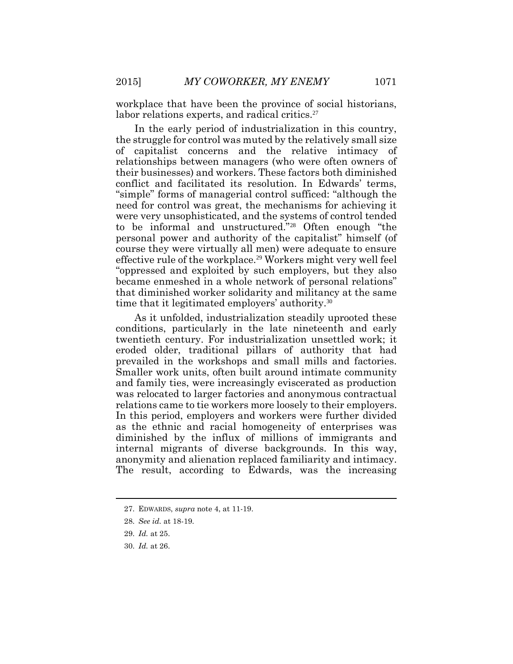workplace that have been the province of social historians, labor relations experts, and radical critics.<sup>27</sup>

In the early period of industrialization in this country, the struggle for control was muted by the relatively small size of capitalist concerns and the relative intimacy of relationships between managers (who were often owners of their businesses) and workers. These factors both diminished conflict and facilitated its resolution. In Edwards' terms, "simple" forms of managerial control sufficed: "although the need for control was great, the mechanisms for achieving it were very unsophisticated, and the systems of control tended to be informal and unstructured."<sup>28</sup> Often enough "the personal power and authority of the capitalist" himself (of course they were virtually all men) were adequate to ensure effective rule of the workplace.<sup>29</sup> Workers might very well feel "oppressed and exploited by such employers, but they also became enmeshed in a whole network of personal relations" that diminished worker solidarity and militancy at the same time that it legitimated employers' authority.<sup>30</sup>

As it unfolded, industrialization steadily uprooted these conditions, particularly in the late nineteenth and early twentieth century. For industrialization unsettled work; it eroded older, traditional pillars of authority that had prevailed in the workshops and small mills and factories. Smaller work units, often built around intimate community and family ties, were increasingly eviscerated as production was relocated to larger factories and anonymous contractual relations came to tie workers more loosely to their employers. In this period, employers and workers were further divided as the ethnic and racial homogeneity of enterprises was diminished by the influx of millions of immigrants and internal migrants of diverse backgrounds. In this way, anonymity and alienation replaced familiarity and intimacy. The result, according to Edwards, was the increasing

<sup>27.</sup> EDWARDS, *supra* note 4, at 11-19.

<sup>28.</sup> *See id.* at 18-19.

<sup>29.</sup> *Id.* at 25.

<sup>30.</sup> *Id.* at 26.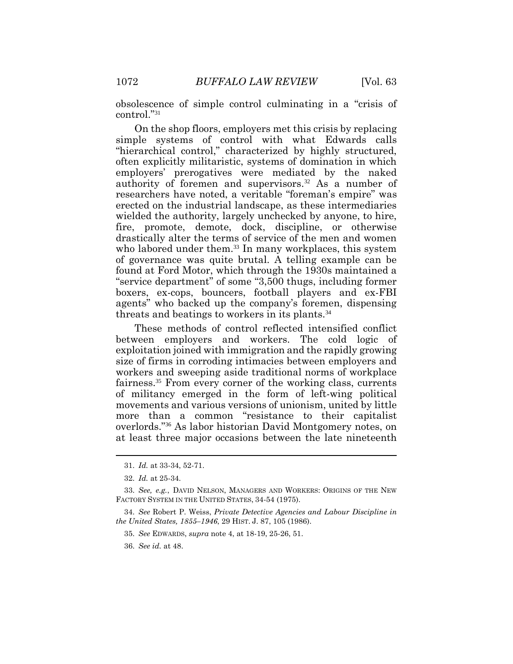obsolescence of simple control culminating in a "crisis of control."<sup>31</sup>

On the shop floors, employers met this crisis by replacing simple systems of control with what Edwards calls "hierarchical control," characterized by highly structured, often explicitly militaristic, systems of domination in which employers' prerogatives were mediated by the naked authority of foremen and supervisors. <sup>32</sup> As a number of researchers have noted, a veritable "foreman's empire" was erected on the industrial landscape, as these intermediaries wielded the authority, largely unchecked by anyone, to hire, fire, promote, demote, dock, discipline, or otherwise drastically alter the terms of service of the men and women who labored under them.<sup>33</sup> In many workplaces, this system of governance was quite brutal. A telling example can be found at Ford Motor, which through the 1930s maintained a "service department" of some "3,500 thugs, including former boxers, ex-cops, bouncers, football players and ex-FBI agents" who backed up the company's foremen, dispensing threats and beatings to workers in its plants.<sup>34</sup>

These methods of control reflected intensified conflict between employers and workers. The cold logic of exploitation joined with immigration and the rapidly growing size of firms in corroding intimacies between employers and workers and sweeping aside traditional norms of workplace fairness.<sup>35</sup> From every corner of the working class, currents of militancy emerged in the form of left-wing political movements and various versions of unionism, united by little more than a common "resistance to their capitalist overlords."<sup>36</sup> As labor historian David Montgomery notes, on at least three major occasions between the late nineteenth

<sup>31.</sup> *Id.* at 33-34, 52-71.

<sup>32.</sup> *Id.* at 25-34.

<sup>33.</sup> *See, e.g.*, DAVID NELSON, MANAGERS AND WORKERS: ORIGINS OF THE NEW FACTORY SYSTEM IN THE UNITED STATES, 34-54 (1975).

<sup>34.</sup> *See* Robert P. Weiss, *Private Detective Agencies and Labour Discipline in the United States, 1855–1946*, 29 HIST. J. 87, 105 (1986).

<sup>35.</sup> *See* EDWARDS, *supra* note 4, at 18-19, 25-26, 51.

<sup>36.</sup> *See id.* at 48.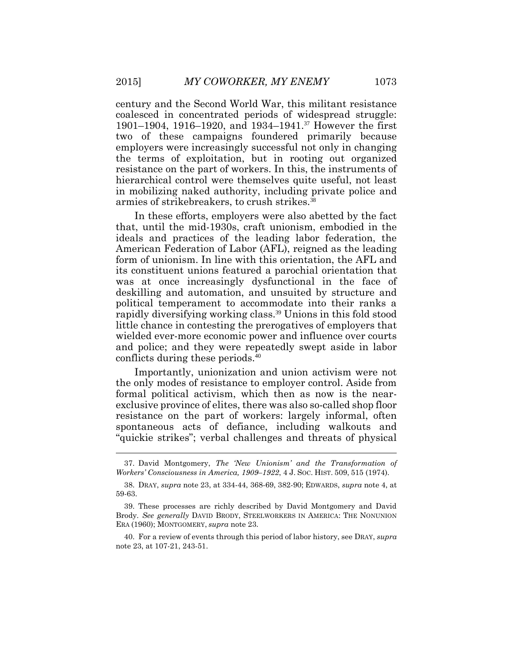century and the Second World War, this militant resistance coalesced in concentrated periods of widespread struggle: 1901–1904, 1916–1920, and 1934–1941.<sup>37</sup> However the first two of these campaigns foundered primarily because employers were increasingly successful not only in changing the terms of exploitation, but in rooting out organized resistance on the part of workers. In this, the instruments of hierarchical control were themselves quite useful, not least in mobilizing naked authority, including private police and armies of strikebreakers, to crush strikes.<sup>38</sup>

In these efforts, employers were also abetted by the fact that, until the mid-1930s, craft unionism, embodied in the ideals and practices of the leading labor federation, the American Federation of Labor (AFL), reigned as the leading form of unionism. In line with this orientation, the AFL and its constituent unions featured a parochial orientation that was at once increasingly dysfunctional in the face of deskilling and automation, and unsuited by structure and political temperament to accommodate into their ranks a rapidly diversifying working class. <sup>39</sup> Unions in this fold stood little chance in contesting the prerogatives of employers that wielded ever-more economic power and influence over courts and police; and they were repeatedly swept aside in labor conflicts during these periods. 40

Importantly, unionization and union activism were not the only modes of resistance to employer control. Aside from formal political activism, which then as now is the nearexclusive province of elites, there was also so-called shop floor resistance on the part of workers: largely informal, often spontaneous acts of defiance, including walkouts and "quickie strikes"; verbal challenges and threats of physical

<sup>37.</sup> David Montgomery, *The 'New Unionism' and the Transformation of Workers' Consciousness in America, 1909–1922*, 4 J. SOC. HIST. 509, 515 (1974).

<sup>38.</sup> DRAY, *supra* note 23, at 334-44, 368-69, 382-90; EDWARDS, *supra* note 4, at 59-63.

<sup>39.</sup> These processes are richly described by David Montgomery and David Brody. *See generally* DAVID BRODY, STEELWORKERS IN AMERICA: THE NONUNION ERA (1960); MONTGOMERY, *supra* note 23.

<sup>40.</sup> For a review of events through this period of labor history, see DRAY, *supra* note 23, at 107-21, 243-51.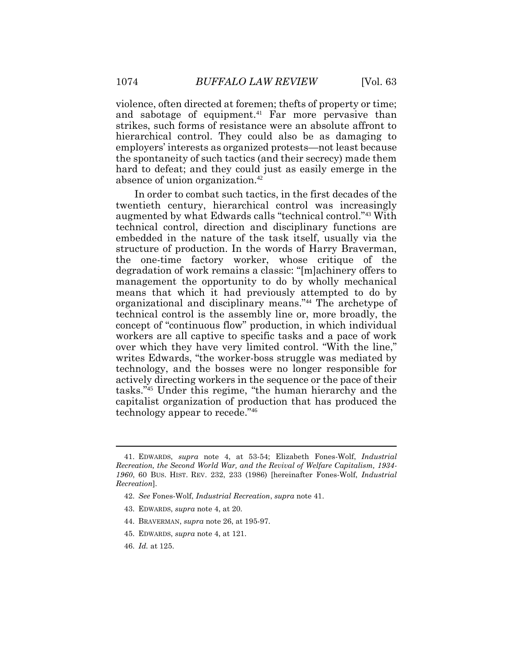violence, often directed at foremen; thefts of property or time; and sabotage of equipment.<sup>41</sup> Far more pervasive than strikes, such forms of resistance were an absolute affront to hierarchical control. They could also be as damaging to employers' interests as organized protests—not least because the spontaneity of such tactics (and their secrecy) made them hard to defeat; and they could just as easily emerge in the absence of union organization.<sup>42</sup>

In order to combat such tactics, in the first decades of the twentieth century, hierarchical control was increasingly augmented by what Edwards calls "technical control."<sup>43</sup> With technical control, direction and disciplinary functions are embedded in the nature of the task itself, usually via the structure of production. In the words of Harry Braverman, the one-time factory worker, whose critique of the degradation of work remains a classic: "[m]achinery offers to management the opportunity to do by wholly mechanical means that which it had previously attempted to do by organizational and disciplinary means."<sup>44</sup> The archetype of technical control is the assembly line or, more broadly, the concept of "continuous flow" production, in which individual workers are all captive to specific tasks and a pace of work over which they have very limited control. "With the line," writes Edwards, "the worker-boss struggle was mediated by technology, and the bosses were no longer responsible for actively directing workers in the sequence or the pace of their tasks."<sup>45</sup> Under this regime, "the human hierarchy and the capitalist organization of production that has produced the technology appear to recede."<sup>46</sup>

- 42. *See* Fones-Wolf, *Industrial Recreation*, *supra* note 41.
- 43. EDWARDS, *supra* note 4, at 20.
- 44. BRAVERMAN, *supra* note 26, at 195-97.
- 45. EDWARDS, *supra* note 4, at 121.
- 46. *Id.* at 125.

<sup>41.</sup> EDWARDS, *supra* note 4, at 53-54; Elizabeth Fones-Wolf, *Industrial Recreation, the Second World War, and the Revival of Welfare Capitalism, 1934- 1960*, 60 BUS. HIST. REV. 232, 233 (1986) [hereinafter Fones-Wolf, *Industrial Recreation*].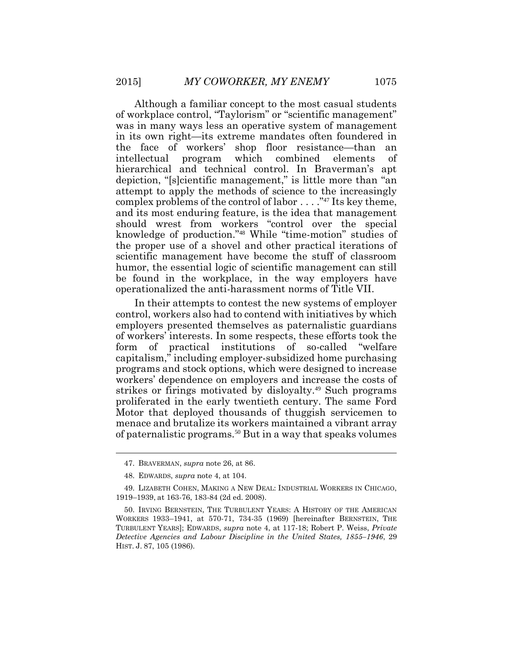Although a familiar concept to the most casual students of workplace control, "Taylorism" or "scientific management" was in many ways less an operative system of management in its own right—its extreme mandates often foundered in the face of workers' shop floor resistance—than an intellectual program which combined elements of hierarchical and technical control. In Braverman's apt depiction, "[s]cientific management," is little more than "an attempt to apply the methods of science to the increasingly complex problems of the control of labor . . . ."<sup>47</sup> Its key theme, and its most enduring feature, is the idea that management should wrest from workers "control over the special knowledge of production."<sup>48</sup> While "time-motion" studies of the proper use of a shovel and other practical iterations of scientific management have become the stuff of classroom humor, the essential logic of scientific management can still be found in the workplace, in the way employers have operationalized the anti-harassment norms of Title VII.

In their attempts to contest the new systems of employer control, workers also had to contend with initiatives by which employers presented themselves as paternalistic guardians of workers' interests. In some respects, these efforts took the form of practical institutions of so-called "welfare capitalism," including employer-subsidized home purchasing programs and stock options, which were designed to increase workers' dependence on employers and increase the costs of strikes or firings motivated by disloyalty.<sup>49</sup> Such programs proliferated in the early twentieth century. The same Ford Motor that deployed thousands of thuggish servicemen to menace and brutalize its workers maintained a vibrant array of paternalistic programs.<sup>50</sup> But in a way that speaks volumes

<sup>47.</sup> BRAVERMAN, *supra* note 26, at 86.

<sup>48.</sup> EDWARDS, *supra* note 4, at 104.

<sup>49.</sup> LIZABETH COHEN, MAKING A NEW DEAL: INDUSTRIAL WORKERS IN CHICAGO, 1919–1939, at 163-76, 183-84 (2d ed. 2008).

<sup>50.</sup> IRVING BERNSTEIN, THE TURBULENT YEARS: A HISTORY OF THE AMERICAN WORKERS 1933–1941, at 570-71, 734-35 (1969) [hereinafter BERNSTEIN, THE TURBULENT YEARS]; EDWARDS, *supra* note 4, at 117-18; Robert P. Weiss, *Private Detective Agencies and Labour Discipline in the United States, 1855–1946*, 29 HIST. J. 87, 105 (1986).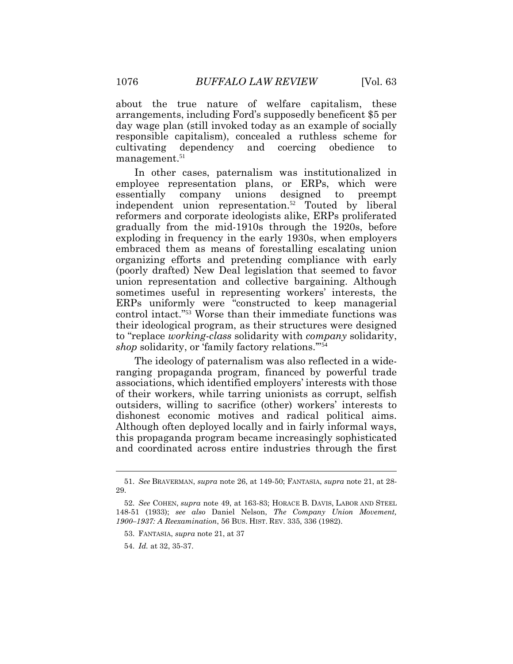about the true nature of welfare capitalism, these arrangements, including Ford's supposedly beneficent \$5 per day wage plan (still invoked today as an example of socially responsible capitalism), concealed a ruthless scheme for cultivating dependency and coercing obedience to management.<sup>51</sup>

In other cases, paternalism was institutionalized in employee representation plans, or ERPs, which were essentially company unions designed to preempt independent union representation.<sup>52</sup> Touted by liberal reformers and corporate ideologists alike, ERPs proliferated gradually from the mid-1910s through the 1920s, before exploding in frequency in the early 1930s, when employers embraced them as means of forestalling escalating union organizing efforts and pretending compliance with early (poorly drafted) New Deal legislation that seemed to favor union representation and collective bargaining. Although sometimes useful in representing workers' interests, the ERPs uniformly were "constructed to keep managerial control intact."<sup>53</sup> Worse than their immediate functions was their ideological program, as their structures were designed to "replace *working-class* solidarity with *company* solidarity, *shop* solidarity, or 'family factory relations."<sup>54</sup>

The ideology of paternalism was also reflected in a wideranging propaganda program, financed by powerful trade associations, which identified employers' interests with those of their workers, while tarring unionists as corrupt, selfish outsiders, willing to sacrifice (other) workers' interests to dishonest economic motives and radical political aims. Although often deployed locally and in fairly informal ways, this propaganda program became increasingly sophisticated and coordinated across entire industries through the first

<sup>51.</sup> *See* BRAVERMAN, *supra* note 26, at 149-50; FANTASIA, *supra* note 21, at 28- 29.

<sup>52.</sup> *See* COHEN, *supra* note 49, at 163-83; HORACE B. DAVIS, LABOR AND STEEL 148-51 (1933); *see also* Daniel Nelson, *The Company Union Movement, 1900–1937: A Reexamination*, 56 BUS. HIST. REV. 335, 336 (1982).

<sup>53.</sup> FANTASIA, *supra* note 21, at 37

<sup>54.</sup> *Id.* at 32, 35-37.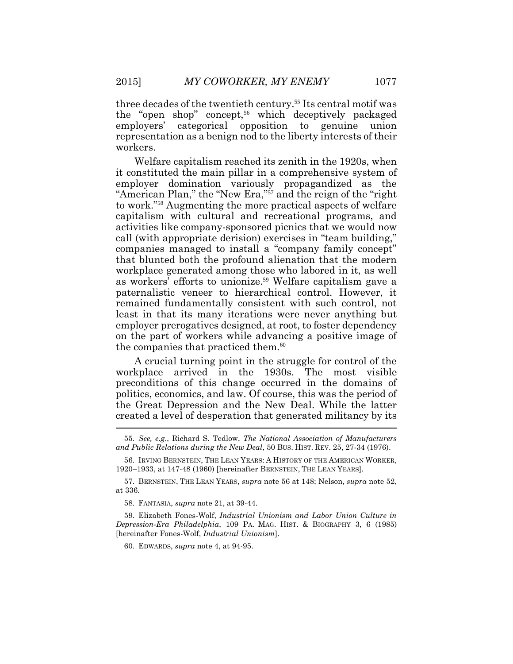three decades of the twentieth century. <sup>55</sup> Its central motif was the "open shop" concept,<sup>56</sup> which deceptively packaged employers' categorical opposition to genuine union representation as a benign nod to the liberty interests of their workers.

Welfare capitalism reached its zenith in the 1920s, when it constituted the main pillar in a comprehensive system of employer domination variously propagandized as the "American Plan," the "New Era,"<sup>57</sup> and the reign of the "right" to work."<sup>58</sup> Augmenting the more practical aspects of welfare capitalism with cultural and recreational programs, and activities like company-sponsored picnics that we would now call (with appropriate derision) exercises in "team building," companies managed to install a "company family concept" that blunted both the profound alienation that the modern workplace generated among those who labored in it, as well as workers' efforts to unionize.<sup>59</sup> Welfare capitalism gave a paternalistic veneer to hierarchical control. However, it remained fundamentally consistent with such control, not least in that its many iterations were never anything but employer prerogatives designed, at root, to foster dependency on the part of workers while advancing a positive image of the companies that practiced them.<sup>60</sup>

A crucial turning point in the struggle for control of the workplace arrived in the 1930s. The most visible preconditions of this change occurred in the domains of politics, economics, and law. Of course, this was the period of the Great Depression and the New Deal. While the latter created a level of desperation that generated militancy by its

60. EDWARDS, *supra* note 4, at 94-95.

<sup>55.</sup> *See, e.g*., Richard S. Tedlow, *The National Association of Manufacturers and Public Relations during the New Deal*, 50 BUS. HIST. REV. 25, 27-34 (1976).

<sup>56.</sup> IRVING BERNSTEIN, THE LEAN YEARS: A HISTORY OF THE AMERICAN WORKER, 1920–1933, at 147-48 (1960) [hereinafter BERNSTEIN, THE LEAN YEARS].

<sup>57.</sup> BERNSTEIN, THE LEAN YEARS, *supra* note 56 at 148; Nelson, *supra* note 52, at 336.

<sup>58.</sup> FANTASIA, *supra* note 21, at 39-44.

<sup>59.</sup> Elizabeth Fones-Wolf, *Industrial Unionism and Labor Union Culture in Depression-Era Philadelphia*, 109 PA. MAG. HIST. & BIOGRAPHY 3, 6 (1985) [hereinafter Fones-Wolf, *Industrial Unionism*].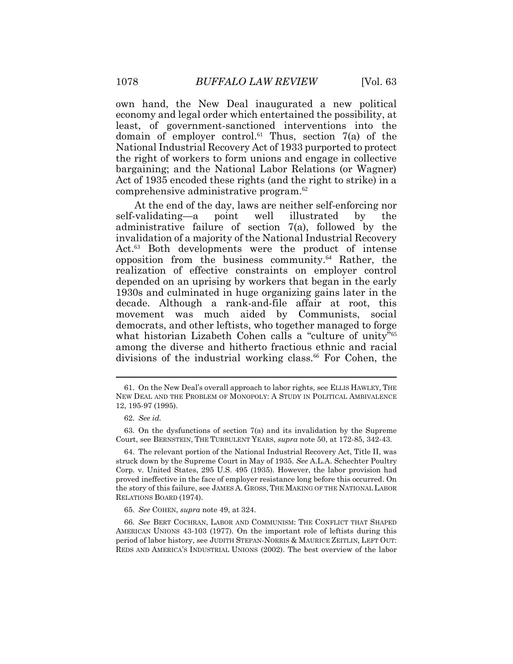own hand, the New Deal inaugurated a new political economy and legal order which entertained the possibility, at least, of government-sanctioned interventions into the domain of employer control.<sup>61</sup> Thus, section  $7(a)$  of the National Industrial Recovery Act of 1933 purported to protect the right of workers to form unions and engage in collective bargaining; and the National Labor Relations (or Wagner) Act of 1935 encoded these rights (and the right to strike) in a comprehensive administrative program.<sup>62</sup>

At the end of the day, laws are neither self-enforcing nor self-validating—a point well illustrated by the administrative failure of section 7(a), followed by the invalidation of a majority of the National Industrial Recovery Act.<sup>63</sup> Both developments were the product of intense opposition from the business community.<sup>64</sup> Rather, the realization of effective constraints on employer control depended on an uprising by workers that began in the early 1930s and culminated in huge organizing gains later in the decade. Although a rank-and-file affair at root, this movement was much aided by Communists, social democrats, and other leftists, who together managed to forge what historian Lizabeth Cohen calls a "culture of unity"<sup>65</sup> among the diverse and hitherto fractious ethnic and racial divisions of the industrial working class.<sup>66</sup> For Cohen, the

<sup>61.</sup> On the New Deal's overall approach to labor rights, see ELLIS HAWLEY, THE NEW DEAL AND THE PROBLEM OF MONOPOLY: A STUDY IN POLITICAL AMBIVALENCE 12, 195-97 (1995).

<sup>62.</sup> *See id.*

<sup>63.</sup> On the dysfunctions of section 7(a) and its invalidation by the Supreme Court, see BERNSTEIN, THE TURBULENT YEARS, *supra* note 50, at 172-85, 342-43.

<sup>64.</sup> The relevant portion of the National Industrial Recovery Act, Title II, was struck down by the Supreme Court in May of 1935. *See* A.L.A. Schechter Poultry Corp. v. United States, 295 U.S. 495 (1935). However, the labor provision had proved ineffective in the face of employer resistance long before this occurred. On the story of this failure, see JAMES A. GROSS, THE MAKING OF THE NATIONAL LABOR RELATIONS BOARD (1974).

<sup>65.</sup> *See* COHEN, *supra* note 49, at 324.

<sup>66.</sup> *See* BERT COCHRAN, LABOR AND COMMUNISM: THE CONFLICT THAT SHAPED AMERICAN UNIONS 43-103 (1977). On the important role of leftists during this period of labor history, see JUDITH STEPAN-NORRIS & MAURICE ZEITLIN, LEFT OUT: REDS AND AMERICA'S INDUSTRIAL UNIONS (2002). The best overview of the labor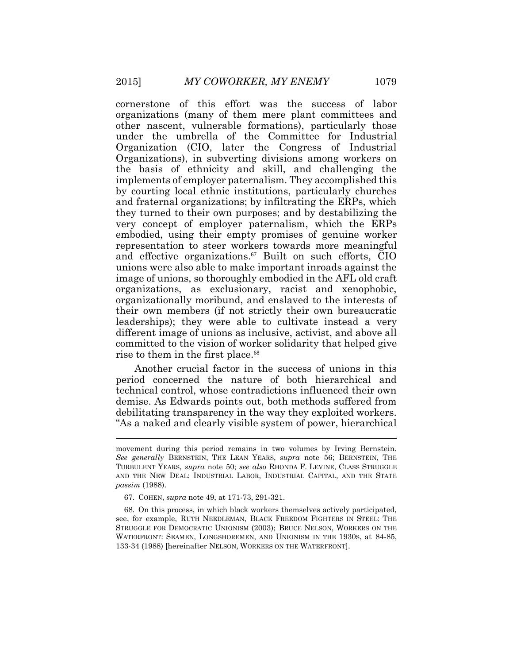cornerstone of this effort was the success of labor organizations (many of them mere plant committees and other nascent, vulnerable formations), particularly those under the umbrella of the Committee for Industrial Organization (CIO, later the Congress of Industrial Organizations), in subverting divisions among workers on the basis of ethnicity and skill, and challenging the implements of employer paternalism. They accomplished this by courting local ethnic institutions, particularly churches and fraternal organizations; by infiltrating the ERPs, which they turned to their own purposes; and by destabilizing the very concept of employer paternalism, which the ERPs embodied, using their empty promises of genuine worker representation to steer workers towards more meaningful and effective organizations. <sup>67</sup> Built on such efforts, CIO unions were also able to make important inroads against the image of unions, so thoroughly embodied in the AFL old craft organizations, as exclusionary, racist and xenophobic, organizationally moribund, and enslaved to the interests of their own members (if not strictly their own bureaucratic leaderships); they were able to cultivate instead a very different image of unions as inclusive, activist, and above all committed to the vision of worker solidarity that helped give rise to them in the first place. 68

Another crucial factor in the success of unions in this period concerned the nature of both hierarchical and technical control, whose contradictions influenced their own demise. As Edwards points out, both methods suffered from debilitating transparency in the way they exploited workers. "As a naked and clearly visible system of power, hierarchical

movement during this period remains in two volumes by Irving Bernstein. *See generally* BERNSTEIN, THE LEAN YEARS, *supra* note 56; BERNSTEIN, THE TURBULENT YEARS, *supra* note 50; *see also* RHONDA F. LEVINE, CLASS STRUGGLE AND THE NEW DEAL: INDUSTRIAL LABOR, INDUSTRIAL CAPITAL, AND THE STATE *passim* (1988).

<sup>67.</sup> COHEN, *supra* note 49, at 171-73, 291-321.

<sup>68.</sup> On this process, in which black workers themselves actively participated, see, for example, RUTH NEEDLEMAN, BLACK FREEDOM FIGHTERS IN STEEL: THE STRUGGLE FOR DEMOCRATIC UNIONISM (2003); BRUCE NELSON, WORKERS ON THE WATERFRONT: SEAMEN, LONGSHOREMEN, AND UNIONISM IN THE 1930S, at 84-85, 133-34 (1988) [hereinafter NELSON, WORKERS ON THE WATERFRONT].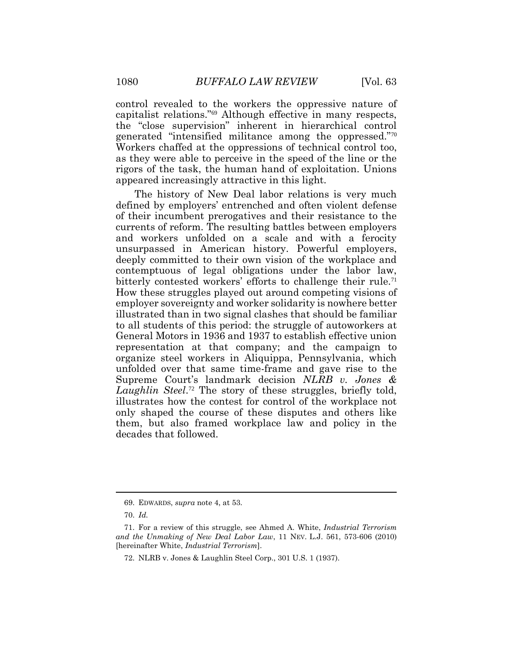control revealed to the workers the oppressive nature of capitalist relations."<sup>69</sup> Although effective in many respects, the "close supervision" inherent in hierarchical control generated "intensified militance among the oppressed."<sup>70</sup> Workers chaffed at the oppressions of technical control too, as they were able to perceive in the speed of the line or the rigors of the task, the human hand of exploitation. Unions appeared increasingly attractive in this light.

The history of New Deal labor relations is very much defined by employers' entrenched and often violent defense of their incumbent prerogatives and their resistance to the currents of reform. The resulting battles between employers and workers unfolded on a scale and with a ferocity unsurpassed in American history. Powerful employers, deeply committed to their own vision of the workplace and contemptuous of legal obligations under the labor law, bitterly contested workers' efforts to challenge their rule.<sup>71</sup> How these struggles played out around competing visions of employer sovereignty and worker solidarity is nowhere better illustrated than in two signal clashes that should be familiar to all students of this period: the struggle of autoworkers at General Motors in 1936 and 1937 to establish effective union representation at that company; and the campaign to organize steel workers in Aliquippa, Pennsylvania, which unfolded over that same time-frame and gave rise to the Supreme Court's landmark decision *NLRB v. Jones &*  Laughlin Steel.<sup>72</sup> The story of these struggles, briefly told, illustrates how the contest for control of the workplace not only shaped the course of these disputes and others like them, but also framed workplace law and policy in the decades that followed.

<sup>69.</sup> EDWARDS, *supra* note 4, at 53.

<sup>70.</sup> *Id.*

<sup>71.</sup> For a review of this struggle, see Ahmed A. White, *Industrial Terrorism and the Unmaking of New Deal Labor Law*, 11 NEV. L.J. 561, 573-606 (2010) [hereinafter White, *Industrial Terrorism*].

<sup>72.</sup> NLRB v. Jones & Laughlin Steel Corp., 301 U.S. 1 (1937).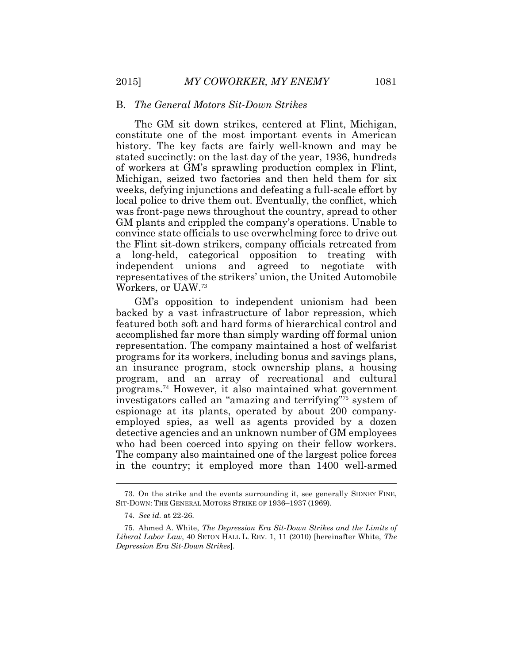#### B. *The General Motors Sit-Down Strikes*

The GM sit down strikes, centered at Flint, Michigan, constitute one of the most important events in American history. The key facts are fairly well-known and may be stated succinctly: on the last day of the year, 1936, hundreds of workers at GM's sprawling production complex in Flint, Michigan, seized two factories and then held them for six weeks, defying injunctions and defeating a full-scale effort by local police to drive them out. Eventually, the conflict, which was front-page news throughout the country, spread to other GM plants and crippled the company's operations. Unable to convince state officials to use overwhelming force to drive out the Flint sit-down strikers, company officials retreated from a long-held, categorical opposition to treating with independent unions and agreed to negotiate with representatives of the strikers' union, the United Automobile Workers, or UAW.<sup>73</sup>

GM's opposition to independent unionism had been backed by a vast infrastructure of labor repression, which featured both soft and hard forms of hierarchical control and accomplished far more than simply warding off formal union representation. The company maintained a host of welfarist programs for its workers, including bonus and savings plans, an insurance program, stock ownership plans, a housing program, and an array of recreational and cultural programs.74 However, it also maintained what government investigators called an "amazing and terrifying"75 system of espionage at its plants, operated by about 200 companyemployed spies, as well as agents provided by a dozen detective agencies and an unknown number of GM employees who had been coerced into spying on their fellow workers. The company also maintained one of the largest police forces in the country; it employed more than 1400 well-armed

<sup>73.</sup> On the strike and the events surrounding it, see generally SIDNEY FINE, SIT-DOWN: THE GENERAL MOTORS STRIKE OF 1936–1937 (1969).

<sup>74.</sup> *See id.* at 22-26.

<sup>75.</sup> Ahmed A. White, *The Depression Era Sit-Down Strikes and the Limits of Liberal Labor Law*, 40 SETON HALL L. REV. 1, 11 (2010) [hereinafter White, *The Depression Era Sit-Down Strikes*].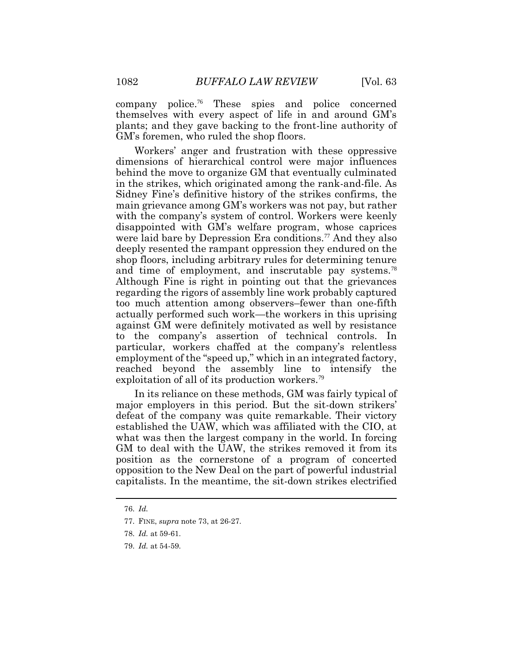company police.<sup>76</sup> These spies and police concerned themselves with every aspect of life in and around GM's plants; and they gave backing to the front-line authority of GM's foremen, who ruled the shop floors.

Workers' anger and frustration with these oppressive dimensions of hierarchical control were major influences behind the move to organize GM that eventually culminated in the strikes, which originated among the rank-and-file. As Sidney Fine's definitive history of the strikes confirms, the main grievance among GM's workers was not pay, but rather with the company's system of control. Workers were keenly disappointed with GM's welfare program, whose caprices were laid bare by Depression Era conditions.<sup>77</sup> And they also deeply resented the rampant oppression they endured on the shop floors, including arbitrary rules for determining tenure and time of employment, and inscrutable pay systems.<sup>78</sup> Although Fine is right in pointing out that the grievances regarding the rigors of assembly line work probably captured too much attention among observers–fewer than one-fifth actually performed such work—the workers in this uprising against GM were definitely motivated as well by resistance to the company's assertion of technical controls. In particular, workers chaffed at the company's relentless employment of the "speed up," which in an integrated factory, reached beyond the assembly line to intensify the exploitation of all of its production workers.<sup>79</sup>

In its reliance on these methods, GM was fairly typical of major employers in this period. But the sit-down strikers' defeat of the company was quite remarkable. Their victory established the UAW, which was affiliated with the CIO, at what was then the largest company in the world. In forcing GM to deal with the UAW, the strikes removed it from its position as the cornerstone of a program of concerted opposition to the New Deal on the part of powerful industrial capitalists. In the meantime, the sit-down strikes electrified

<sup>76.</sup> *Id.*

<sup>77.</sup> FINE, *supra* note 73, at 26-27.

<sup>78.</sup> *Id.* at 59-61.

<sup>79.</sup> *Id.* at 54-59.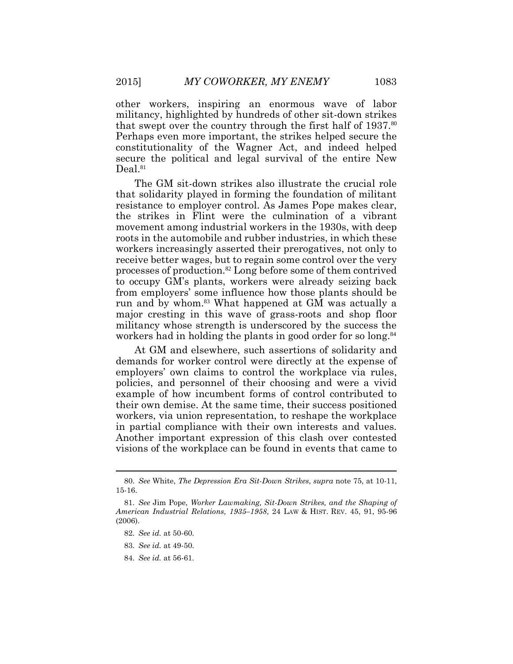other workers, inspiring an enormous wave of labor militancy, highlighted by hundreds of other sit-down strikes that swept over the country through the first half of  $1937$ .<sup>80</sup> Perhaps even more important, the strikes helped secure the constitutionality of the Wagner Act, and indeed helped secure the political and legal survival of the entire New Deal.<sup>81</sup>

The GM sit-down strikes also illustrate the crucial role that solidarity played in forming the foundation of militant resistance to employer control. As James Pope makes clear, the strikes in Flint were the culmination of a vibrant movement among industrial workers in the 1930s, with deep roots in the automobile and rubber industries, in which these workers increasingly asserted their prerogatives, not only to receive better wages, but to regain some control over the very processes of production.<sup>82</sup> Long before some of them contrived to occupy GM's plants, workers were already seizing back from employers' some influence how those plants should be run and by whom.<sup>83</sup> What happened at GM was actually a major cresting in this wave of grass-roots and shop floor militancy whose strength is underscored by the success the workers had in holding the plants in good order for so long.<sup>84</sup>

At GM and elsewhere, such assertions of solidarity and demands for worker control were directly at the expense of employers' own claims to control the workplace via rules, policies, and personnel of their choosing and were a vivid example of how incumbent forms of control contributed to their own demise. At the same time, their success positioned workers, via union representation, to reshape the workplace in partial compliance with their own interests and values. Another important expression of this clash over contested visions of the workplace can be found in events that came to

<sup>80.</sup> *See* White, *The Depression Era Sit-Down Strikes*, *supra* note 75, at 10-11, 15-16.

<sup>81.</sup> *See* Jim Pope, *Worker Lawmaking, Sit-Down Strikes, and the Shaping of American Industrial Relations, 1935–1958*, 24 LAW & HIST. REV. 45, 91, 95-96  $(2006)$ 

<sup>82.</sup> *See id.* at 50-60.

<sup>83.</sup> *See id.* at 49-50.

<sup>84.</sup> *See id.* at 56-61.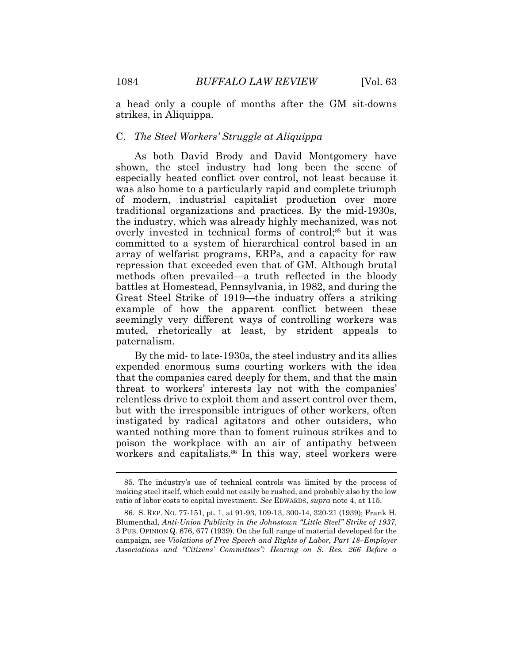a head only a couple of months after the GM sit-downs strikes, in Aliquippa.

### C. *The Steel Workers' Struggle at Aliquippa*

As both David Brody and David Montgomery have shown, the steel industry had long been the scene of especially heated conflict over control, not least because it was also home to a particularly rapid and complete triumph of modern, industrial capitalist production over more traditional organizations and practices. By the mid-1930s, the industry, which was already highly mechanized, was not overly invested in technical forms of control;<sup>85</sup> but it was committed to a system of hierarchical control based in an array of welfarist programs, ERPs, and a capacity for raw repression that exceeded even that of GM. Although brutal methods often prevailed—a truth reflected in the bloody battles at Homestead, Pennsylvania, in 1982, and during the Great Steel Strike of 1919—the industry offers a striking example of how the apparent conflict between these seemingly very different ways of controlling workers was muted, rhetorically at least, by strident appeals to paternalism.

By the mid- to late-1930s, the steel industry and its allies expended enormous sums courting workers with the idea that the companies cared deeply for them, and that the main threat to workers' interests lay not with the companies' relentless drive to exploit them and assert control over them, but with the irresponsible intrigues of other workers, often instigated by radical agitators and other outsiders, who wanted nothing more than to foment ruinous strikes and to poison the workplace with an air of antipathy between workers and capitalists.<sup>86</sup> In this way, steel workers were

 $\overline{a}$ 

<sup>85.</sup> The industry's use of technical controls was limited by the process of making steel itself, which could not easily be rushed, and probably also by the low ratio of labor costs to capital investment. *See* EDWARDS, *supra* note 4, at 115.

<sup>86.</sup> S. REP. NO. 77-151, pt. 1, at 91-93, 109-13, 300-14, 320-21 (1939); Frank H. Blumenthal, *Anti-Union Publicity in the Johnstown "Little Steel" Strike of 1937*, 3 PUB. OPINION Q. 676, 677 (1939). On the full range of material developed for the campaign, see *Violations of Free Speech and Rights of Labor, Part 18–Employer Associations and "Citizens' Committees": Hearing on S. Res. 266 Before a*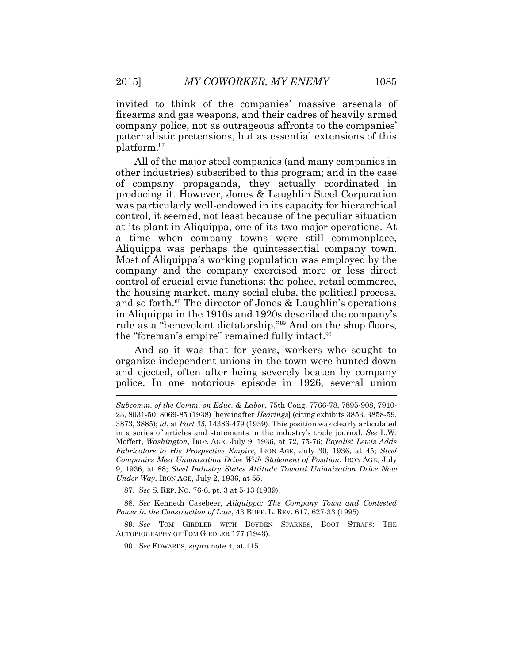invited to think of the companies' massive arsenals of firearms and gas weapons, and their cadres of heavily armed company police, not as outrageous affronts to the companies' paternalistic pretensions, but as essential extensions of this platform.<sup>87</sup>

All of the major steel companies (and many companies in other industries) subscribed to this program; and in the case of company propaganda, they actually coordinated in producing it. However, Jones & Laughlin Steel Corporation was particularly well-endowed in its capacity for hierarchical control, it seemed, not least because of the peculiar situation at its plant in Aliquippa, one of its two major operations. At a time when company towns were still commonplace, Aliquippa was perhaps the quintessential company town. Most of Aliquippa's working population was employed by the company and the company exercised more or less direct control of crucial civic functions: the police, retail commerce, the housing market, many social clubs, the political process, and so forth.<sup>88</sup> The director of Jones & Laughlin's operations in Aliquippa in the 1910s and 1920s described the company's rule as a "benevolent dictatorship." <sup>89</sup> And on the shop floors, the "foreman's empire" remained fully intact.<sup>90</sup>

And so it was that for years, workers who sought to organize independent unions in the town were hunted down and ejected, often after being severely beaten by company police. In one notorious episode in 1926, several union

87. *See* S. REP. NO. 76-6, pt. 3 at 5-13 (1939).

88. *See* Kenneth Casebeer, *Aliquippa: The Company Town and Contested Power in the Construction of Law*, 43 BUFF. L. REV. 617, 627-33 (1995).

89. *See* TOM GIRDLER WITH BOYDEN SPARKES, BOOT STRAPS: THE AUTOBIOGRAPHY OF TOM GIRDLER 177 (1943).

90. *See* EDWARDS, *supra* note 4, at 115.

*Subcomm. of the Comm. on Educ. & Labor*, 75th Cong. 7766-78, 7895-908, 7910- 23, 8031-50, 8069-85 (1938) [hereinafter *Hearings*] (citing exhibits 3853, 3858-59, 3873, 3885); *id.* at *Part 35*, 14386-479 (1939). This position was clearly articulated in a series of articles and statements in the industry's trade journal. *See* L.W. Moffett, *Washington*, IRON AGE, July 9, 1936, at 72, 75-76; *Royalist Lewis Adds Fabricators to His Prospective Empire*, IRON AGE, July 30, 1936, at 45; *Steel Companies Meet Unionization Drive With Statement of Position*, IRON AGE, July 9, 1936, at 88; *Steel Industry States Attitude Toward Unionization Drive Now Under Way*, IRON AGE, July 2, 1936, at 55.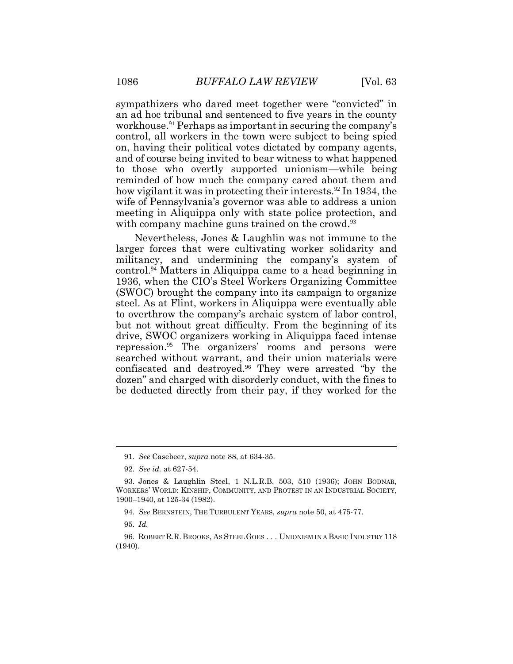sympathizers who dared meet together were "convicted" in an ad hoc tribunal and sentenced to five years in the county workhouse.<sup>91</sup> Perhaps as important in securing the company's control, all workers in the town were subject to being spied on, having their political votes dictated by company agents, and of course being invited to bear witness to what happened to those who overtly supported unionism—while being reminded of how much the company cared about them and how vigilant it was in protecting their interests.<sup>92</sup> In 1934, the wife of Pennsylvania's governor was able to address a union meeting in Aliquippa only with state police protection, and with company machine guns trained on the crowd.<sup>93</sup>

Nevertheless, Jones & Laughlin was not immune to the larger forces that were cultivating worker solidarity and militancy, and undermining the company's system of control.<sup>94</sup> Matters in Aliquippa came to a head beginning in 1936, when the CIO's Steel Workers Organizing Committee (SWOC) brought the company into its campaign to organize steel. As at Flint, workers in Aliquippa were eventually able to overthrow the company's archaic system of labor control, but not without great difficulty. From the beginning of its drive, SWOC organizers working in Aliquippa faced intense repression.<sup>95</sup> The organizers' rooms and persons were searched without warrant, and their union materials were confiscated and destroyed.<sup>96</sup> They were arrested "by the dozen" and charged with disorderly conduct, with the fines to be deducted directly from their pay, if they worked for the

<sup>91.</sup> *See* Casebeer, *supra* note 88, at 634-35.

<sup>92.</sup> *See id.* at 627-54.

<sup>93.</sup> Jones & Laughlin Steel, 1 N.L.R.B. 503, 510 (1936); JOHN BODNAR, WORKERS' WORLD: KINSHIP, COMMUNITY, AND PROTEST IN AN INDUSTRIAL SOCIETY, 1900–1940, at 125-34 (1982).

<sup>94.</sup> *See* BERNSTEIN, THE TURBULENT YEARS, *supra* note 50, at 475-77.

<sup>95.</sup> *Id.*

<sup>96.</sup> ROBERT R.R. BROOKS, AS STEEL GOES . . . UNIONISM IN A BASIC INDUSTRY 118 (1940).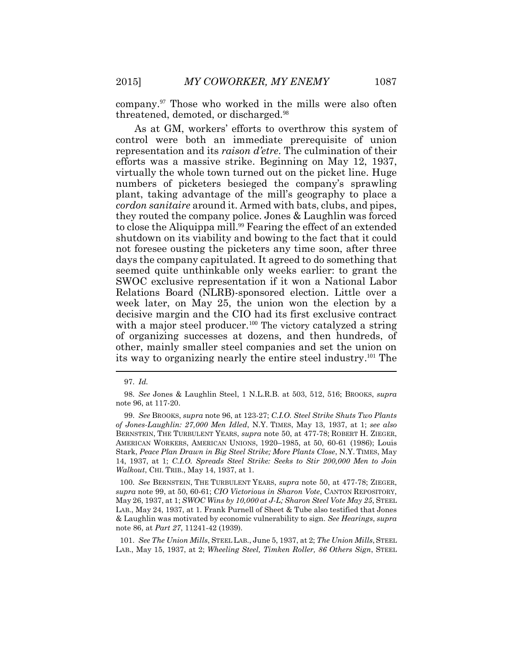company.<sup>97</sup> Those who worked in the mills were also often threatened, demoted, or discharged.<sup>98</sup>

As at GM, workers' efforts to overthrow this system of control were both an immediate prerequisite of union representation and its *raison d'etre*. The culmination of their efforts was a massive strike. Beginning on May 12, 1937, virtually the whole town turned out on the picket line. Huge numbers of picketers besieged the company's sprawling plant, taking advantage of the mill's geography to place a *cordon sanitaire* around it. Armed with bats, clubs, and pipes, they routed the company police. Jones & Laughlin was forced to close the Aliquippa mill.<sup>99</sup> Fearing the effect of an extended shutdown on its viability and bowing to the fact that it could not foresee ousting the picketers any time soon, after three days the company capitulated. It agreed to do something that seemed quite unthinkable only weeks earlier: to grant the SWOC exclusive representation if it won a National Labor Relations Board (NLRB)-sponsored election. Little over a week later, on May 25, the union won the election by a decisive margin and the CIO had its first exclusive contract with a major steel producer.<sup>100</sup> The victory catalyzed a string of organizing successes at dozens, and then hundreds, of other, mainly smaller steel companies and set the union on its way to organizing nearly the entire steel industry. <sup>101</sup> The

<sup>97.</sup> *Id.*

<sup>98.</sup> *See* Jones & Laughlin Steel, 1 N.L.R.B. at 503, 512, 516; BROOKS, *supra* note 96, at 117-20.

<sup>99.</sup> *See* BROOKS, *supra* note 96, at 123-27; *C.I.O. Steel Strike Shuts Two Plants of Jones-Laughlin: 27,000 Men Idled*, N.Y. TIMES, May 13, 1937, at 1; *see also* BERNSTEIN, THE TURBULENT YEARS, *supra* note 50, at 477-78; ROBERT H. ZIEGER, AMERICAN WORKERS, AMERICAN UNIONS, 1920–1985, at 50, 60-61 (1986); Louis Stark, *Peace Plan Drawn in Big Steel Strike; More Plants Close*, N.Y. TIMES, May 14, 1937, at 1; *C.I.O. Spreads Steel Strike: Seeks to Stir 200,000 Men to Join Walkout*, CHI. TRIB., May 14, 1937, at 1.

<sup>100.</sup> *See* BERNSTEIN, THE TURBULENT YEARS, *supra* note 50, at 477-78; ZIEGER, *supra* note 99, at 50, 60-61; *CIO Victorious in Sharon Vote*, CANTON REPOSITORY, May 26, 1937, at 1; *SWOC Wins by 10,000 at J-L; Sharon Steel Vote May 25*, STEEL LAB., May 24, 1937, at 1. Frank Purnell of Sheet & Tube also testified that Jones & Laughlin was motivated by economic vulnerability to sign. *See Hearings*, *supra* note 86, at *Part 27*, 11241-42 (1939).

<sup>101.</sup> *See The Union Mills*, STEEL LAB., June 5, 1937, at 2; *The Union Mills*, STEEL LAB., May 15, 1937, at 2; *Wheeling Steel, Timken Roller, 86 Others Sign*, STEEL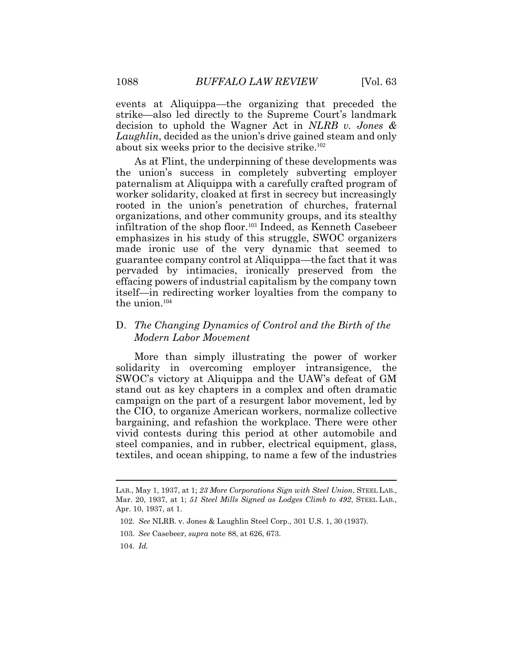events at Aliquippa—the organizing that preceded the strike—also led directly to the Supreme Court's landmark decision to uphold the Wagner Act in *NLRB v. Jones & Laughlin*, decided as the union's drive gained steam and only about six weeks prior to the decisive strike.<sup>102</sup>

As at Flint, the underpinning of these developments was the union's success in completely subverting employer paternalism at Aliquippa with a carefully crafted program of worker solidarity, cloaked at first in secrecy but increasingly rooted in the union's penetration of churches, fraternal organizations, and other community groups, and its stealthy infiltration of the shop floor.103 Indeed, as Kenneth Casebeer emphasizes in his study of this struggle, SWOC organizers made ironic use of the very dynamic that seemed to guarantee company control at Aliquippa—the fact that it was pervaded by intimacies, ironically preserved from the effacing powers of industrial capitalism by the company town itself—in redirecting worker loyalties from the company to the union.<sup>104</sup>

### D. *The Changing Dynamics of Control and the Birth of the Modern Labor Movement*

More than simply illustrating the power of worker solidarity in overcoming employer intransigence, the SWOC's victory at Aliquippa and the UAW's defeat of GM stand out as key chapters in a complex and often dramatic campaign on the part of a resurgent labor movement, led by the CIO, to organize American workers, normalize collective bargaining, and refashion the workplace. There were other vivid contests during this period at other automobile and steel companies, and in rubber, electrical equipment, glass, textiles, and ocean shipping, to name a few of the industries

 $\overline{a}$ 

LAB., May 1, 1937, at 1; *23 More Corporations Sign with Steel Union*, STEEL LAB., Mar. 20, 1937, at 1; *51 Steel Mills Signed as Lodges Climb to 492*, STEEL LAB., Apr. 10, 1937, at 1.

<sup>102.</sup> *See* NLRB. v. Jones & Laughlin Steel Corp., 301 U.S. 1, 30 (1937).

<sup>103.</sup> *See* Casebeer, *supra* note 88, at 626, 673.

<sup>104.</sup> *Id.*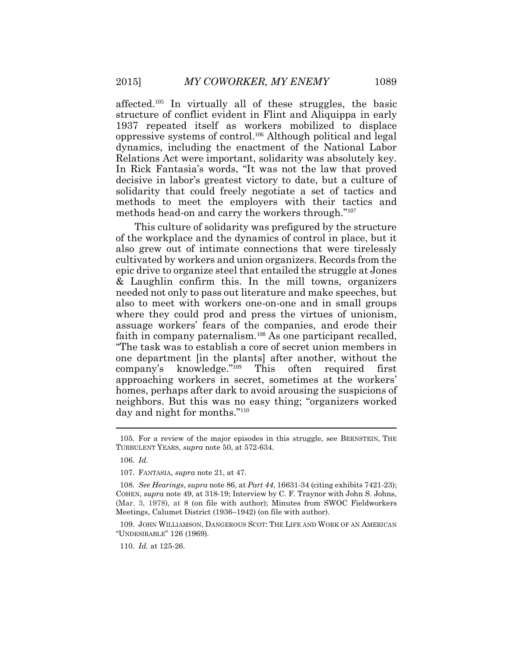affected.<sup>105</sup> In virtually all of these struggles, the basic structure of conflict evident in Flint and Aliquippa in early 1937 repeated itself as workers mobilized to displace oppressive systems of control. <sup>106</sup> Although political and legal dynamics, including the enactment of the National Labor Relations Act were important, solidarity was absolutely key. In Rick Fantasia's words, "It was not the law that proved decisive in labor's greatest victory to date, but a culture of solidarity that could freely negotiate a set of tactics and methods to meet the employers with their tactics and methods head-on and carry the workers through."<sup>107</sup>

This culture of solidarity was prefigured by the structure of the workplace and the dynamics of control in place, but it also grew out of intimate connections that were tirelessly cultivated by workers and union organizers. Records from the epic drive to organize steel that entailed the struggle at Jones & Laughlin confirm this. In the mill towns, organizers needed not only to pass out literature and make speeches, but also to meet with workers one-on-one and in small groups where they could prod and press the virtues of unionism, assuage workers' fears of the companies, and erode their faith in company paternalism.<sup>108</sup> As one participant recalled, "The task was to establish a core of secret union members in one department [in the plants] after another, without the company's knowledge." This often required first approaching workers in secret, sometimes at the workers' homes, perhaps after dark to avoid arousing the suspicions of neighbors. But this was no easy thing; "organizers worked day and night for months." 110

110. *Id.* at 125-26.

<sup>105.</sup> For a review of the major episodes in this struggle, see BERNSTEIN, THE TURBULENT YEARS, *supra* note 50, at 572-634.

<sup>106.</sup> *Id.*

<sup>107.</sup> FANTASIA, *supra* note 21, at 47.

<sup>108</sup>*. See Hearings*, *supra* note 86, at *Part 44*, 16631-34 (citing exhibits 7421-23); COHEN, *supra* note 49, at 318-19; Interview by C. F. Traynor with John S. Johns, (Mar. 3, 1978), at 8 (on file with author); Minutes from SWOC Fieldworkers Meetings, Calumet District (1936–1942) (on file with author).

<sup>109.</sup> JOHN WILLIAMSON, DANGEROUS SCOT: THE LIFE AND WORK OF AN AMERICAN "UNDESIRABLE" 126 (1969).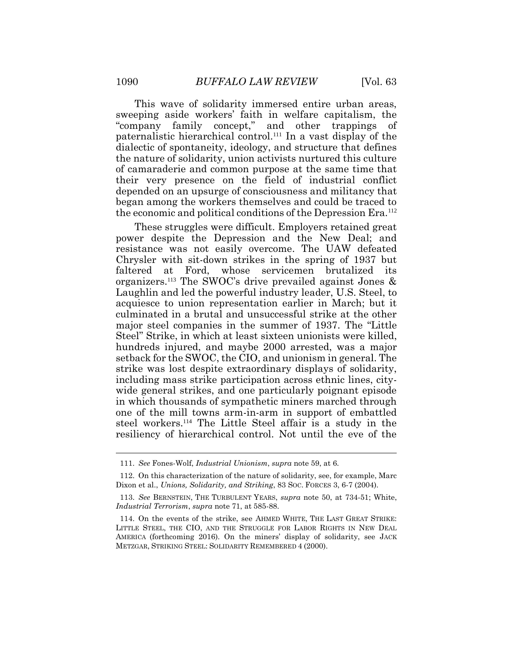This wave of solidarity immersed entire urban areas, sweeping aside workers' faith in welfare capitalism, the "company family concept," and other trappings of paternalistic hierarchical control.<sup>111</sup> In a vast display of the dialectic of spontaneity, ideology, and structure that defines the nature of solidarity, union activists nurtured this culture of camaraderie and common purpose at the same time that their very presence on the field of industrial conflict depended on an upsurge of consciousness and militancy that began among the workers themselves and could be traced to the economic and political conditions of the Depression Era.<sup>112</sup>

These struggles were difficult. Employers retained great power despite the Depression and the New Deal; and resistance was not easily overcome. The UAW defeated Chrysler with sit-down strikes in the spring of 1937 but faltered at Ford, whose servicemen brutalized its organizers.<sup>113</sup> The SWOC's drive prevailed against Jones & Laughlin and led the powerful industry leader, U.S. Steel, to acquiesce to union representation earlier in March; but it culminated in a brutal and unsuccessful strike at the other major steel companies in the summer of 1937. The "Little Steel" Strike, in which at least sixteen unionists were killed, hundreds injured, and maybe 2000 arrested, was a major setback for the SWOC, the CIO, and unionism in general. The strike was lost despite extraordinary displays of solidarity, including mass strike participation across ethnic lines, citywide general strikes, and one particularly poignant episode in which thousands of sympathetic miners marched through one of the mill towns arm-in-arm in support of embattled steel workers.<sup>114</sup> The Little Steel affair is a study in the resiliency of hierarchical control. Not until the eve of the

<sup>111.</sup> *See* Fones-Wolf, *Industrial Unionism*, *supra* note 59, at 6.

<sup>112.</sup> On this characterization of the nature of solidarity, see, for example, Marc Dixon et al., *Unions, Solidarity, and Striking*, 83 Soc. FORCES 3, 6-7 (2004).

<sup>113.</sup> *See* BERNSTEIN, THE TURBULENT YEARS, *supra* note 50, at 734-51; White, *Industrial Terrorism*, *supra* note 71, at 585-88.

<sup>114.</sup> On the events of the strike, see AHMED WHITE, THE LAST GREAT STRIKE: LITTLE STEEL, THE CIO, AND THE STRUGGLE FOR LABOR RIGHTS IN NEW DEAL AMERICA (forthcoming 2016). On the miners' display of solidarity, see JACK METZGAR, STRIKING STEEL: SOLIDARITY REMEMBERED 4 (2000).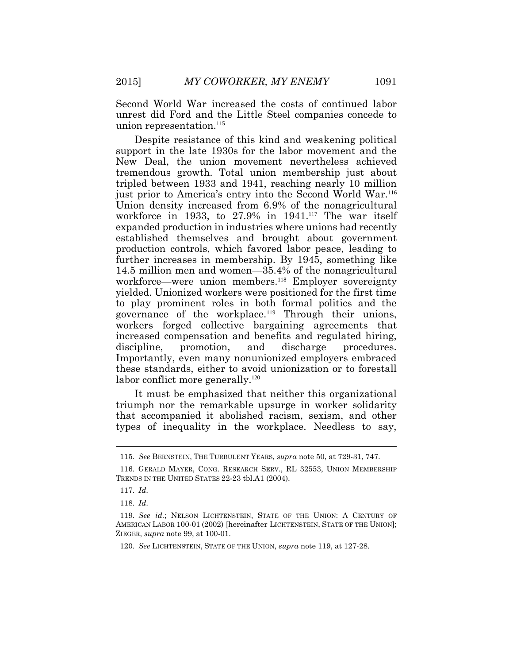Second World War increased the costs of continued labor unrest did Ford and the Little Steel companies concede to union representation.<sup>115</sup>

Despite resistance of this kind and weakening political support in the late 1930s for the labor movement and the New Deal, the union movement nevertheless achieved tremendous growth. Total union membership just about tripled between 1933 and 1941, reaching nearly 10 million just prior to America's entry into the Second World War.<sup>116</sup> Union density increased from 6.9% of the nonagricultural workforce in 1933, to 27.9% in 1941.<sup>117</sup> The war itself expanded production in industries where unions had recently established themselves and brought about government production controls, which favored labor peace, leading to further increases in membership. By 1945, something like 14.5 million men and women—35.4% of the nonagricultural workforce—were union members.<sup>118</sup> Employer sovereignty yielded. Unionized workers were positioned for the first time to play prominent roles in both formal politics and the governance of the workplace.<sup>119</sup> Through their unions, workers forged collective bargaining agreements that increased compensation and benefits and regulated hiring, discipline, promotion, and discharge procedures. Importantly, even many nonunionized employers embraced these standards, either to avoid unionization or to forestall labor conflict more generally.<sup>120</sup>

It must be emphasized that neither this organizational triumph nor the remarkable upsurge in worker solidarity that accompanied it abolished racism, sexism, and other types of inequality in the workplace. Needless to say,

<sup>115.</sup> *See* BERNSTEIN, THE TURBULENT YEARS, *supra* note 50, at 729-31, 747.

<sup>116.</sup> GERALD MAYER, CONG. RESEARCH SERV., RL 32553, UNION MEMBERSHIP TRENDS IN THE UNITED STATES 22-23 tbl.A1 (2004).

<sup>117.</sup> *Id*.

<sup>118.</sup> *Id*.

<sup>119.</sup> *See id.*; NELSON LICHTENSTEIN, STATE OF THE UNION: A CENTURY OF AMERICAN LABOR 100-01 (2002) [hereinafter LICHTENSTEIN, STATE OF THE UNION]; ZIEGER, *supra* note 99, at 100-01.

<sup>120.</sup> *See* LICHTENSTEIN, STATE OF THE UNION, *supra* note 119, at 127-28.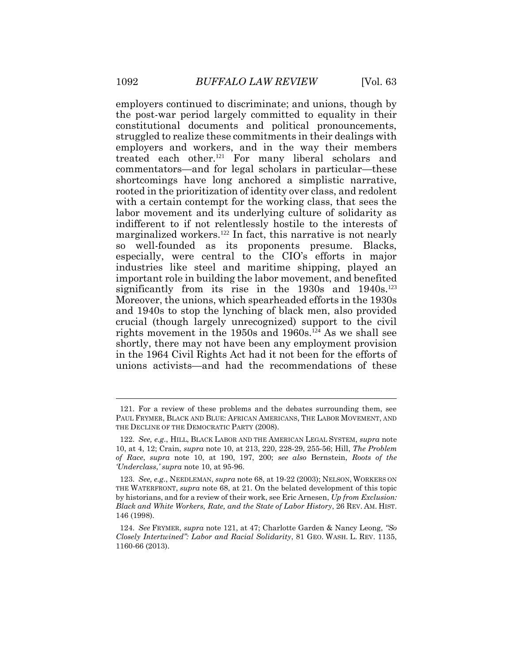employers continued to discriminate; and unions, though by the post-war period largely committed to equality in their constitutional documents and political pronouncements, struggled to realize these commitments in their dealings with employers and workers, and in the way their members treated each other.<sup>121</sup> For many liberal scholars and commentators—and for legal scholars in particular—these shortcomings have long anchored a simplistic narrative, rooted in the prioritization of identity over class, and redolent with a certain contempt for the working class, that sees the labor movement and its underlying culture of solidarity as indifferent to if not relentlessly hostile to the interests of marginalized workers.<sup>122</sup> In fact, this narrative is not nearly so well-founded as its proponents presume. Blacks, especially, were central to the CIO's efforts in major industries like steel and maritime shipping, played an important role in building the labor movement, and benefited significantly from its rise in the  $1930s$  and  $1940s$ .<sup>123</sup> Moreover, the unions, which spearheaded efforts in the 1930s and 1940s to stop the lynching of black men, also provided crucial (though largely unrecognized) support to the civil rights movement in the 1950s and 1960s.<sup>124</sup> As we shall see shortly, there may not have been any employment provision in the 1964 Civil Rights Act had it not been for the efforts of unions activists—and had the recommendations of these

<sup>121.</sup> For a review of these problems and the debates surrounding them, see PAUL FRYMER, BLACK AND BLUE: AFRICAN AMERICANS, THE LABOR MOVEMENT, AND THE DECLINE OF THE DEMOCRATIC PARTY (2008).

<sup>122.</sup> *See, e.g*., HILL, BLACK LABOR AND THE AMERICAN LEGAL SYSTEM, *supra* note 10, at 4, 12; Crain, *supra* note 10, at 213, 220, 228-29, 255-56; Hill, *The Problem of Race*, *supra* note 10, at 190, 197, 200; *see also* Bernstein, *Roots of the 'Underclass*,*' supra* note 10, at 95-96.

<sup>123.</sup> *See, e.g.*, NEEDLEMAN, *supra* note 68, at 19-22 (2003); NELSON, WORKERS ON THE WATERFRONT, *supra* note 68, at 21. On the belated development of this topic by historians, and for a review of their work, see Eric Arnesen, *Up from Exclusion: Black and White Workers, Rate, and the State of Labor History*, 26 REV. AM. HIST. 146 (1998).

<sup>124.</sup> *See* FRYMER, *supra* note 121, at 47; Charlotte Garden & Nancy Leong, *"So Closely Intertwined": Labor and Racial Solidarity*, 81 GEO. WASH. L. REV. 1135, 1160-66 (2013).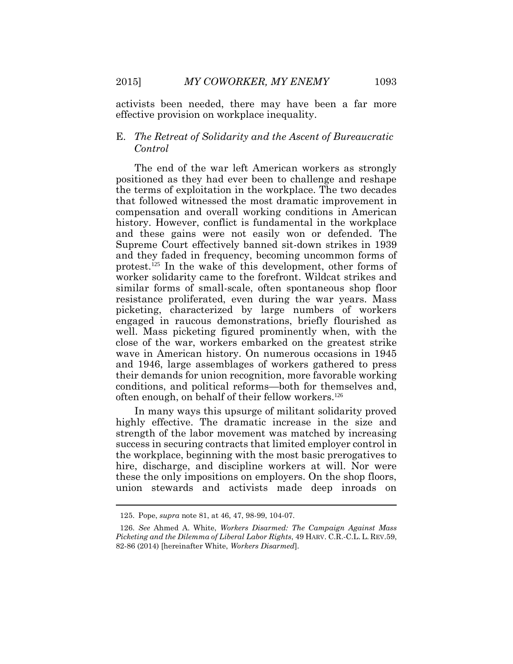activists been needed, there may have been a far more effective provision on workplace inequality.

### E. *The Retreat of Solidarity and the Ascent of Bureaucratic Control*

The end of the war left American workers as strongly positioned as they had ever been to challenge and reshape the terms of exploitation in the workplace. The two decades that followed witnessed the most dramatic improvement in compensation and overall working conditions in American history. However, conflict is fundamental in the workplace and these gains were not easily won or defended. The Supreme Court effectively banned sit-down strikes in 1939 and they faded in frequency, becoming uncommon forms of protest.125 In the wake of this development, other forms of worker solidarity came to the forefront. Wildcat strikes and similar forms of small-scale, often spontaneous shop floor resistance proliferated, even during the war years. Mass picketing, characterized by large numbers of workers engaged in raucous demonstrations, briefly flourished as well. Mass picketing figured prominently when, with the close of the war, workers embarked on the greatest strike wave in American history. On numerous occasions in 1945 and 1946, large assemblages of workers gathered to press their demands for union recognition, more favorable working conditions, and political reforms—both for themselves and, often enough, on behalf of their fellow workers.<sup>126</sup>

In many ways this upsurge of militant solidarity proved highly effective. The dramatic increase in the size and strength of the labor movement was matched by increasing success in securing contracts that limited employer control in the workplace, beginning with the most basic prerogatives to hire, discharge, and discipline workers at will. Nor were these the only impositions on employers. On the shop floors, union stewards and activists made deep inroads on

 $\overline{a}$ 

<sup>125.</sup> Pope, *supra* note 81, at 46, 47, 98-99, 104-07.

<sup>126.</sup> *See* Ahmed A. White, *Workers Disarmed: The Campaign Against Mass Picketing and the Dilemma of Liberal Labor Rights*, 49 HARV. C.R.-C.L. L. REV.59, 82-86 (2014) [hereinafter White, *Workers Disarmed*].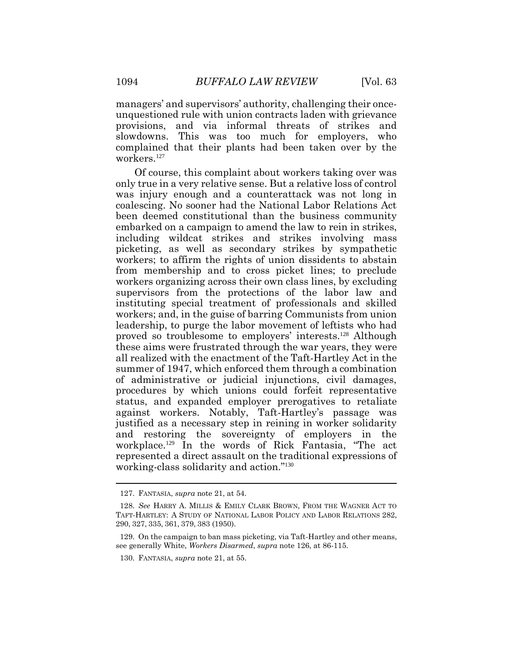managers' and supervisors' authority, challenging their onceunquestioned rule with union contracts laden with grievance provisions, and via informal threats of strikes and slowdowns. This was too much for employers, who complained that their plants had been taken over by the workers.<sup>127</sup>

Of course, this complaint about workers taking over was only true in a very relative sense. But a relative loss of control was injury enough and a counterattack was not long in coalescing. No sooner had the National Labor Relations Act been deemed constitutional than the business community embarked on a campaign to amend the law to rein in strikes, including wildcat strikes and strikes involving mass picketing, as well as secondary strikes by sympathetic workers; to affirm the rights of union dissidents to abstain from membership and to cross picket lines; to preclude workers organizing across their own class lines, by excluding supervisors from the protections of the labor law and instituting special treatment of professionals and skilled workers; and, in the guise of barring Communists from union leadership, to purge the labor movement of leftists who had proved so troublesome to employers' interests. <sup>128</sup> Although these aims were frustrated through the war years, they were all realized with the enactment of the Taft-Hartley Act in the summer of 1947, which enforced them through a combination of administrative or judicial injunctions, civil damages, procedures by which unions could forfeit representative status, and expanded employer prerogatives to retaliate against workers. Notably, Taft-Hartley's passage was justified as a necessary step in reining in worker solidarity and restoring the sovereignty of employers in the workplace.<sup>129</sup> In the words of Rick Fantasia, "The act represented a direct assault on the traditional expressions of working-class solidarity and action."<sup>130</sup>

<sup>127.</sup> FANTASIA, *supra* note 21, at 54.

<sup>128.</sup> *See* HARRY A. MILLIS & EMILY CLARK BROWN, FROM THE WAGNER ACT TO TAFT-HARTLEY: A STUDY OF NATIONAL LABOR POLICY AND LABOR RELATIONS 282, 290, 327, 335, 361, 379, 383 (1950).

<sup>129.</sup> On the campaign to ban mass picketing, via Taft-Hartley and other means, see generally White, *Workers Disarmed*, *supra* note 126, at 86-115.

<sup>130.</sup> FANTASIA, *supra* note 21, at 55.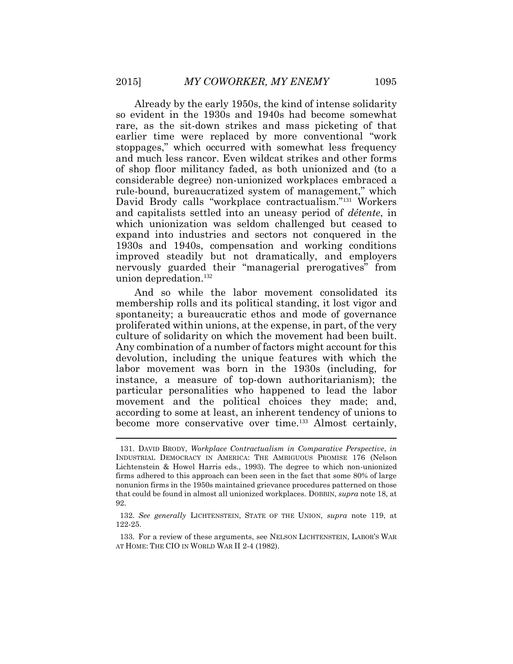Already by the early 1950s, the kind of intense solidarity so evident in the 1930s and 1940s had become somewhat rare, as the sit-down strikes and mass picketing of that earlier time were replaced by more conventional "work stoppages," which occurred with somewhat less frequency and much less rancor. Even wildcat strikes and other forms of shop floor militancy faded, as both unionized and (to a considerable degree) non-unionized workplaces embraced a rule-bound, bureaucratized system of management," which David Brody calls "workplace contractualism."<sup>131</sup> Workers and capitalists settled into an uneasy period of *détente*, in which unionization was seldom challenged but ceased to expand into industries and sectors not conquered in the 1930s and 1940s, compensation and working conditions improved steadily but not dramatically, and employers nervously guarded their "managerial prerogatives" from union depredation.<sup>132</sup>

And so while the labor movement consolidated its membership rolls and its political standing, it lost vigor and spontaneity; a bureaucratic ethos and mode of governance proliferated within unions, at the expense, in part, of the very culture of solidarity on which the movement had been built. Any combination of a number of factors might account for this devolution, including the unique features with which the labor movement was born in the 1930s (including, for instance, a measure of top-down authoritarianism); the particular personalities who happened to lead the labor movement and the political choices they made; and, according to some at least, an inherent tendency of unions to become more conservative over time.<sup>133</sup> Almost certainly,

<sup>131.</sup> DAVID BRODY, *Workplace Contractualism in Comparative Perspective*, *in*  INDUSTRIAL DEMOCRACY IN AMERICA: THE AMBIGUOUS PROMISE 176 (Nelson Lichtenstein & Howel Harris eds., 1993). The degree to which non-unionized firms adhered to this approach can been seen in the fact that some 80% of large nonunion firms in the 1950s maintained grievance procedures patterned on those that could be found in almost all unionized workplaces. DOBBIN, *supra* note 18, at 92.

<sup>132.</sup> *See generally* LICHTENSTEIN, STATE OF THE UNION, *supra* note 119, at 122-25.

<sup>133.</sup> For a review of these arguments, see NELSON LICHTENSTEIN, LABOR'S WAR AT HOME: THE CIO IN WORLD WAR II 2-4 (1982).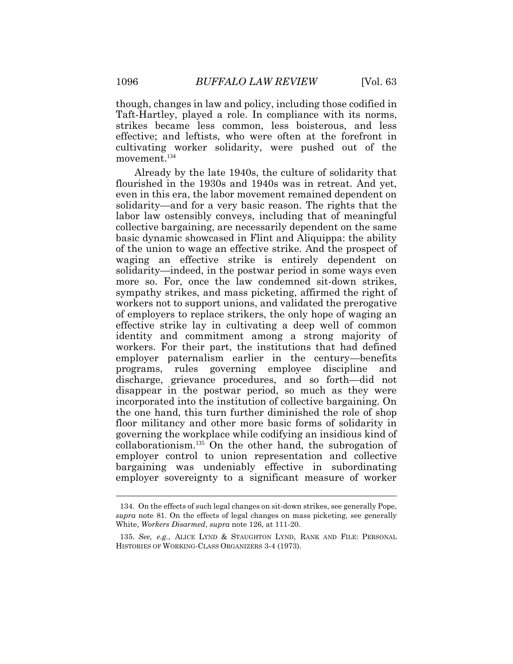though, changes in law and policy, including those codified in Taft-Hartley, played a role. In compliance with its norms, strikes became less common, less boisterous, and less effective; and leftists, who were often at the forefront in cultivating worker solidarity, were pushed out of the movement.<sup>134</sup>

Already by the late 1940s, the culture of solidarity that flourished in the 1930s and 1940s was in retreat. And yet, even in this era, the labor movement remained dependent on solidarity—and for a very basic reason. The rights that the labor law ostensibly conveys, including that of meaningful collective bargaining, are necessarily dependent on the same basic dynamic showcased in Flint and Aliquippa: the ability of the union to wage an effective strike. And the prospect of waging an effective strike is entirely dependent on solidarity—indeed, in the postwar period in some ways even more so. For, once the law condemned sit-down strikes, sympathy strikes, and mass picketing, affirmed the right of workers not to support unions, and validated the prerogative of employers to replace strikers, the only hope of waging an effective strike lay in cultivating a deep well of common identity and commitment among a strong majority of workers. For their part, the institutions that had defined employer paternalism earlier in the century—benefits programs, rules governing employee discipline and discharge, grievance procedures, and so forth—did not disappear in the postwar period, so much as they were incorporated into the institution of collective bargaining. On the one hand, this turn further diminished the role of shop floor militancy and other more basic forms of solidarity in governing the workplace while codifying an insidious kind of collaborationism.<sup>135</sup> On the other hand, the subrogation of employer control to union representation and collective bargaining was undeniably effective in subordinating employer sovereignty to a significant measure of worker

<sup>134.</sup> On the effects of such legal changes on sit-down strikes, see generally Pope, *supra* note 81. On the effects of legal changes on mass picketing, see generally White, *Workers Disarmed*, *supra* note 126, at 111-20.

<sup>135.</sup> *See, e.g.*, ALICE LYND & STAUGHTON LYND, RANK AND FILE: PERSONAL HISTORIES OF WORKING-CLASS ORGANIZERS 3-4 (1973).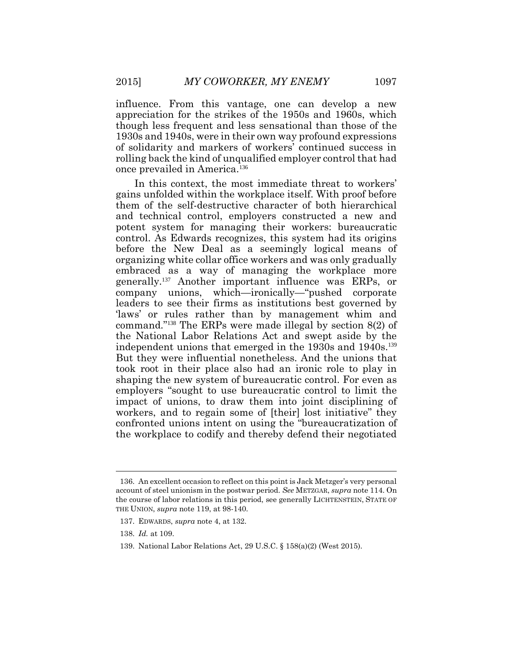influence. From this vantage, one can develop a new appreciation for the strikes of the 1950s and 1960s, which though less frequent and less sensational than those of the 1930s and 1940s, were in their own way profound expressions of solidarity and markers of workers' continued success in rolling back the kind of unqualified employer control that had once prevailed in America.<sup>136</sup>

In this context, the most immediate threat to workers' gains unfolded within the workplace itself. With proof before them of the self-destructive character of both hierarchical and technical control, employers constructed a new and potent system for managing their workers: bureaucratic control. As Edwards recognizes, this system had its origins before the New Deal as a seemingly logical means of organizing white collar office workers and was only gradually embraced as a way of managing the workplace more generally.<sup>137</sup> Another important influence was ERPs, or company unions, which—ironically—"pushed corporate leaders to see their firms as institutions best governed by 'laws' or rules rather than by management whim and command."<sup>138</sup> The ERPs were made illegal by section 8(2) of the National Labor Relations Act and swept aside by the independent unions that emerged in the 1930s and 1940s.<sup>139</sup> But they were influential nonetheless. And the unions that took root in their place also had an ironic role to play in shaping the new system of bureaucratic control. For even as employers "sought to use bureaucratic control to limit the impact of unions, to draw them into joint disciplining of workers, and to regain some of [their] lost initiative" they confronted unions intent on using the "bureaucratization of the workplace to codify and thereby defend their negotiated

<sup>136.</sup> An excellent occasion to reflect on this point is Jack Metzger's very personal account of steel unionism in the postwar period. *See* METZGAR, *supra* note 114. On the course of labor relations in this period, see generally LICHTENSTEIN, STATE OF THE UNION, *supra* note 119, at 98-140.

<sup>137.</sup> EDWARDS, *supra* note 4, at 132.

<sup>138.</sup> *Id.* at 109.

<sup>139.</sup> National Labor Relations Act, 29 U.S.C. § 158(a)(2) (West 2015).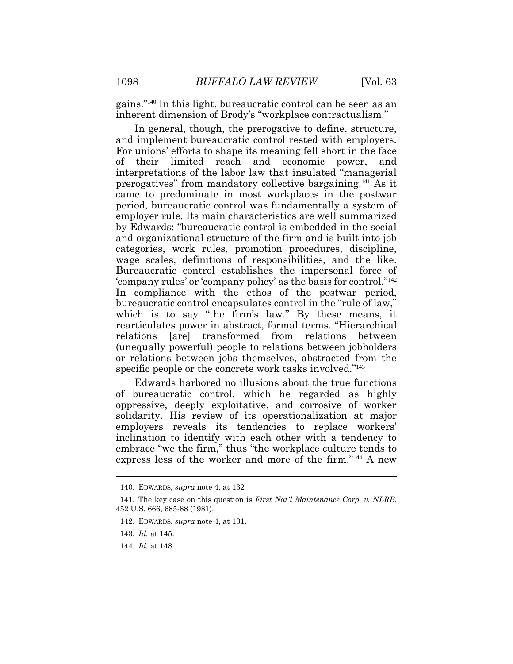gains."<sup>140</sup> In this light, bureaucratic control can be seen as an inherent dimension of Brody's "workplace contractualism."

In general, though, the prerogative to define, structure, and implement bureaucratic control rested with employers. For unions' efforts to shape its meaning fell short in the face of their limited reach and economic power, and interpretations of the labor law that insulated "managerial prerogatives" from mandatory collective bargaining.<sup>141</sup> As it came to predominate in most workplaces in the postwar period, bureaucratic control was fundamentally a system of employer rule. Its main characteristics are well summarized by Edwards: "bureaucratic control is embedded in the social and organizational structure of the firm and is built into job categories, work rules, promotion procedures, discipline, wage scales, definitions of responsibilities, and the like. Bureaucratic control establishes the impersonal force of 'company rules' or 'company policy' as the basis for control."<sup>142</sup> In compliance with the ethos of the postwar period, bureaucratic control encapsulates control in the "rule of law," which is to say "the firm's law." By these means, it rearticulates power in abstract, formal terms. "Hierarchical relations [are] transformed from relations between (unequally powerful) people to relations between jobholders or relations between jobs themselves, abstracted from the specific people or the concrete work tasks involved."<sup>143</sup>

Edwards harbored no illusions about the true functions of bureaucratic control, which he regarded as highly oppressive, deeply exploitative, and corrosive of worker solidarity. His review of its operationalization at major employers reveals its tendencies to replace workers' inclination to identify with each other with a tendency to embrace "we the firm," thus "the workplace culture tends to express less of the worker and more of the firm."<sup>144</sup> A new

144. *Id.* at 148.

<sup>140.</sup> EDWARDS, *supra* note 4, at 132

<sup>141.</sup> The key case on this question is *First Nat'l Maintenance Corp. v. NLRB*, 452 U.S. 666, 685-88 (1981).

<sup>142.</sup> EDWARDS, *supra* note 4, at 131.

<sup>143.</sup> *Id.* at 145.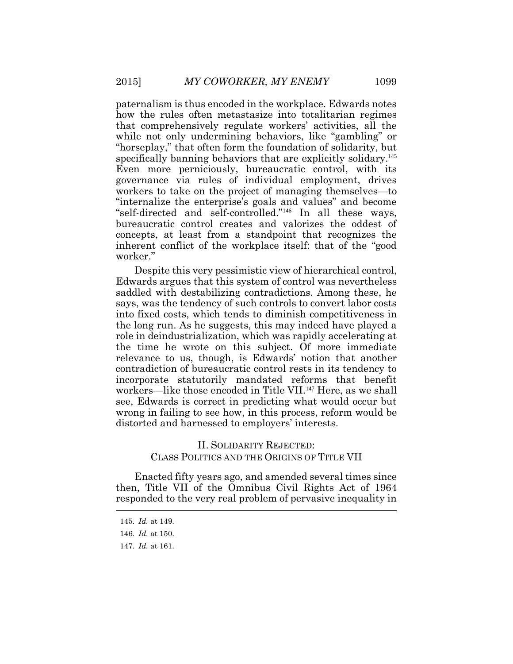paternalism is thus encoded in the workplace. Edwards notes how the rules often metastasize into totalitarian regimes that comprehensively regulate workers' activities, all the while not only undermining behaviors, like "gambling" or "horseplay," that often form the foundation of solidarity, but specifically banning behaviors that are explicitly solidary.<sup>145</sup> Even more perniciously, bureaucratic control, with its governance via rules of individual employment, drives workers to take on the project of managing themselves—to "internalize the enterprise's goals and values" and become "self-directed and self-controlled."146 In all these ways, bureaucratic control creates and valorizes the oddest of concepts, at least from a standpoint that recognizes the inherent conflict of the workplace itself: that of the "good worker."

Despite this very pessimistic view of hierarchical control, Edwards argues that this system of control was nevertheless saddled with destabilizing contradictions. Among these, he says, was the tendency of such controls to convert labor costs into fixed costs, which tends to diminish competitiveness in the long run. As he suggests, this may indeed have played a role in deindustrialization, which was rapidly accelerating at the time he wrote on this subject. Of more immediate relevance to us, though, is Edwards' notion that another contradiction of bureaucratic control rests in its tendency to incorporate statutorily mandated reforms that benefit workers—like those encoded in Title VII.<sup>147</sup> Here, as we shall see, Edwards is correct in predicting what would occur but wrong in failing to see how, in this process, reform would be distorted and harnessed to employers' interests.

## II. SOLIDARITY REJECTED: CLASS POLITICS AND THE ORIGINS OF TITLE VII

Enacted fifty years ago, and amended several times since then, Title VII of the Omnibus Civil Rights Act of 1964 responded to the very real problem of pervasive inequality in  $\overline{\phantom{a}}$ 

<sup>145.</sup> *Id.* at 149.

<sup>146.</sup> *Id.* at 150.

<sup>147.</sup> *Id.* at 161.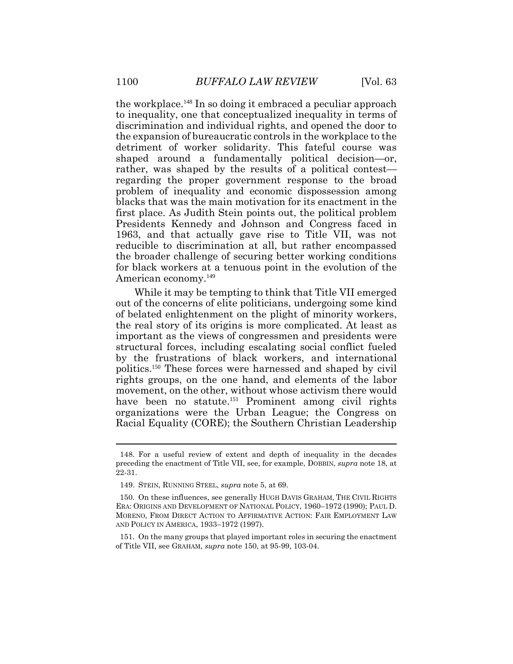the workplace.<sup>148</sup> In so doing it embraced a peculiar approach to inequality, one that conceptualized inequality in terms of discrimination and individual rights, and opened the door to the expansion of bureaucratic controls in the workplace to the detriment of worker solidarity. This fateful course was shaped around a fundamentally political decision—or, rather, was shaped by the results of a political contest regarding the proper government response to the broad problem of inequality and economic dispossession among blacks that was the main motivation for its enactment in the first place. As Judith Stein points out, the political problem Presidents Kennedy and Johnson and Congress faced in 1963, and that actually gave rise to Title VII, was not reducible to discrimination at all, but rather encompassed the broader challenge of securing better working conditions for black workers at a tenuous point in the evolution of the American economy.<sup>149</sup>

While it may be tempting to think that Title VII emerged out of the concerns of elite politicians, undergoing some kind of belated enlightenment on the plight of minority workers, the real story of its origins is more complicated. At least as important as the views of congressmen and presidents were structural forces, including escalating social conflict fueled by the frustrations of black workers, and international politics. <sup>150</sup> These forces were harnessed and shaped by civil rights groups, on the one hand, and elements of the labor movement, on the other, without whose activism there would have been no statute.<sup>151</sup> Prominent among civil rights organizations were the Urban League; the Congress on Racial Equality (CORE); the Southern Christian Leadership

<sup>148.</sup> For a useful review of extent and depth of inequality in the decades preceding the enactment of Title VII, see, for example, DOBBIN, *supra* note 18, at 22-31.

<sup>149.</sup> STEIN, RUNNING STEEL, *supra* note 5, at 69.

<sup>150.</sup> On these influences, see generally HUGH DAVIS GRAHAM, THE CIVIL RIGHTS ERA: ORIGINS AND DEVELOPMENT OF NATIONAL POLICY, 1960–1972 (1990); PAUL D. MORENO, FROM DIRECT ACTION TO AFFIRMATIVE ACTION: FAIR EMPLOYMENT LAW AND POLICY IN AMERICA, 1933–1972 (1997).

<sup>151.</sup> On the many groups that played important roles in securing the enactment of Title VII, see GRAHAM, *supra* note 150, at 95-99, 103-04.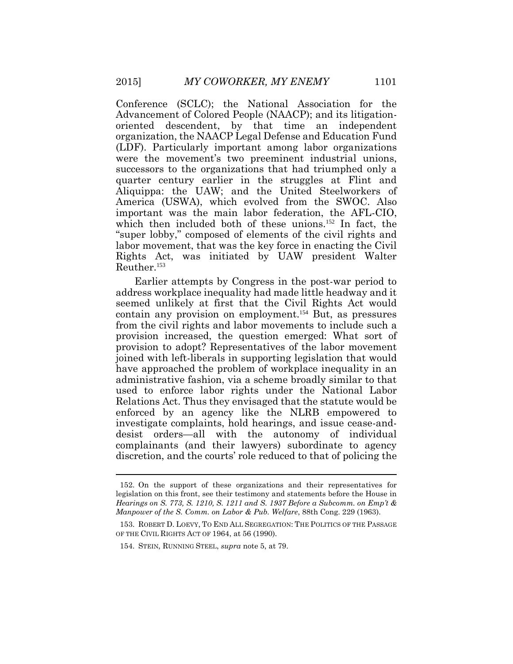Conference (SCLC); the National Association for the Advancement of Colored People (NAACP); and its litigationoriented descendent, by that time an independent organization, the NAACP Legal Defense and Education Fund (LDF). Particularly important among labor organizations were the movement's two preeminent industrial unions, successors to the organizations that had triumphed only a quarter century earlier in the struggles at Flint and Aliquippa: the UAW; and the United Steelworkers of America (USWA), which evolved from the SWOC. Also important was the main labor federation, the AFL-CIO, which then included both of these unions.<sup>152</sup> In fact, the "super lobby," composed of elements of the civil rights and labor movement, that was the key force in enacting the Civil Rights Act, was initiated by UAW president Walter Reuther.<sup>153</sup>

Earlier attempts by Congress in the post-war period to address workplace inequality had made little headway and it seemed unlikely at first that the Civil Rights Act would contain any provision on employment.<sup>154</sup> But, as pressures from the civil rights and labor movements to include such a provision increased, the question emerged: What sort of provision to adopt? Representatives of the labor movement joined with left-liberals in supporting legislation that would have approached the problem of workplace inequality in an administrative fashion, via a scheme broadly similar to that used to enforce labor rights under the National Labor Relations Act. Thus they envisaged that the statute would be enforced by an agency like the NLRB empowered to investigate complaints, hold hearings, and issue cease-anddesist orders—all with the autonomy of individual complainants (and their lawyers) subordinate to agency discretion, and the courts' role reduced to that of policing the

<sup>152.</sup> On the support of these organizations and their representatives for legislation on this front, see their testimony and statements before the House in *Hearings on S. 773, S. 1210, S. 1211 and S. 1937 Before a Subcomm. on Emp't & Manpower of the S. Comm. on Labor & Pub. Welfare*, 88th Cong. 229 (1963).

<sup>153.</sup> ROBERT D. LOEVY, TO END ALL SEGREGATION: THE POLITICS OF THE PASSAGE OF THE CIVIL RIGHTS ACT OF 1964, at 56 (1990).

<sup>154.</sup> STEIN, RUNNING STEEL, *supra* note 5, at 79.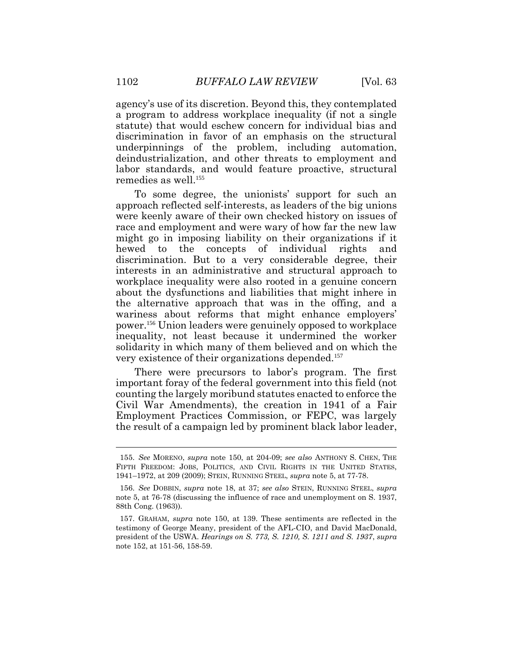agency's use of its discretion. Beyond this, they contemplated a program to address workplace inequality (if not a single statute) that would eschew concern for individual bias and discrimination in favor of an emphasis on the structural underpinnings of the problem, including automation, deindustrialization, and other threats to employment and labor standards, and would feature proactive, structural remedies as well.<sup>155</sup>

To some degree, the unionists' support for such an approach reflected self-interests, as leaders of the big unions were keenly aware of their own checked history on issues of race and employment and were wary of how far the new law might go in imposing liability on their organizations if it hewed to the concepts of individual rights and discrimination. But to a very considerable degree, their interests in an administrative and structural approach to workplace inequality were also rooted in a genuine concern about the dysfunctions and liabilities that might inhere in the alternative approach that was in the offing, and a wariness about reforms that might enhance employers' power. <sup>156</sup> Union leaders were genuinely opposed to workplace inequality, not least because it undermined the worker solidarity in which many of them believed and on which the very existence of their organizations depended.<sup>157</sup>

There were precursors to labor's program. The first important foray of the federal government into this field (not counting the largely moribund statutes enacted to enforce the Civil War Amendments), the creation in 1941 of a Fair Employment Practices Commission, or FEPC, was largely the result of a campaign led by prominent black labor leader,

<sup>155.</sup> *See* MORENO, *supra* note 150, at 204-09; *see also* ANTHONY S. CHEN, THE FIFTH FREEDOM: JOBS, POLITICS, AND CIVIL RIGHTS IN THE UNITED STATES, 1941–1972, at 209 (2009); STEIN, RUNNING STEEL, *supra* note 5, at 77-78.

<sup>156.</sup> *See* DOBBIN, *supra* note 18, at 37; *see also* STEIN, RUNNING STEEL, *supra* note 5, at 76-78 (discussing the influence of race and unemployment on S. 1937, 88th Cong. (1963)).

<sup>157.</sup> GRAHAM, *supra* note 150, at 139. These sentiments are reflected in the testimony of George Meany, president of the AFL-CIO, and David MacDonald, president of the USWA. *Hearings on S. 773, S. 1210, S. 1211 and S. 1937*, *supra* note 152, at 151-56, 158-59.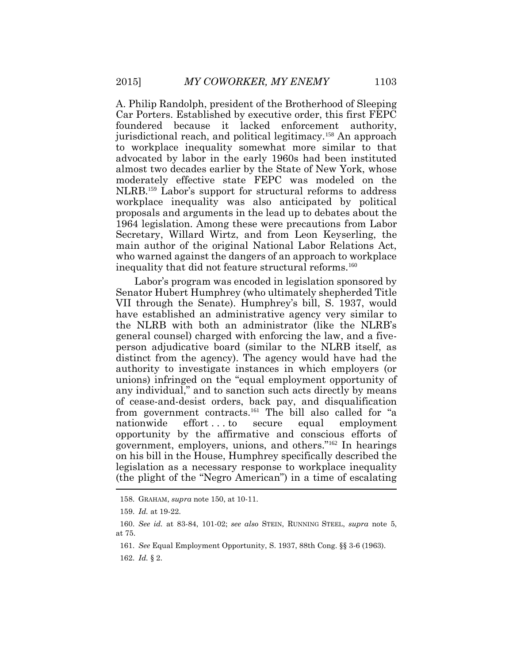A. Philip Randolph, president of the Brotherhood of Sleeping Car Porters. Established by executive order, this first FEPC foundered because it lacked enforcement authority, jurisdictional reach, and political legitimacy.<sup>158</sup> An approach to workplace inequality somewhat more similar to that advocated by labor in the early 1960s had been instituted almost two decades earlier by the State of New York, whose moderately effective state FEPC was modeled on the NLRB.<sup>159</sup> Labor's support for structural reforms to address workplace inequality was also anticipated by political proposals and arguments in the lead up to debates about the 1964 legislation. Among these were precautions from Labor Secretary, Willard Wirtz, and from Leon Keyserling, the main author of the original National Labor Relations Act, who warned against the dangers of an approach to workplace inequality that did not feature structural reforms.<sup>160</sup>

Labor's program was encoded in legislation sponsored by Senator Hubert Humphrey (who ultimately shepherded Title VII through the Senate). Humphrey's bill, S. 1937, would have established an administrative agency very similar to the NLRB with both an administrator (like the NLRB's general counsel) charged with enforcing the law, and a fiveperson adjudicative board (similar to the NLRB itself, as distinct from the agency). The agency would have had the authority to investigate instances in which employers (or unions) infringed on the "equal employment opportunity of any individual," and to sanction such acts directly by means of cease-and-desist orders, back pay, and disqualification from government contracts.<sup>161</sup> The bill also called for "a nationwide effort...to secure equal employment opportunity by the affirmative and conscious efforts of government, employers, unions, and others."<sup>162</sup> In hearings on his bill in the House, Humphrey specifically described the legislation as a necessary response to workplace inequality (the plight of the "Negro American") in a time of escalating

<sup>158.</sup> GRAHAM, *supra* note 150, at 10-11.

<sup>159.</sup> *Id.* at 19-22.

<sup>160.</sup> *See id.* at 83-84, 101-02; *see also* STEIN, RUNNING STEEL, *supra* note 5, at 75.

<sup>161.</sup> *See* Equal Employment Opportunity, S. 1937, 88th Cong. §§ 3-6 (1963).

<sup>162.</sup> *Id.* § 2.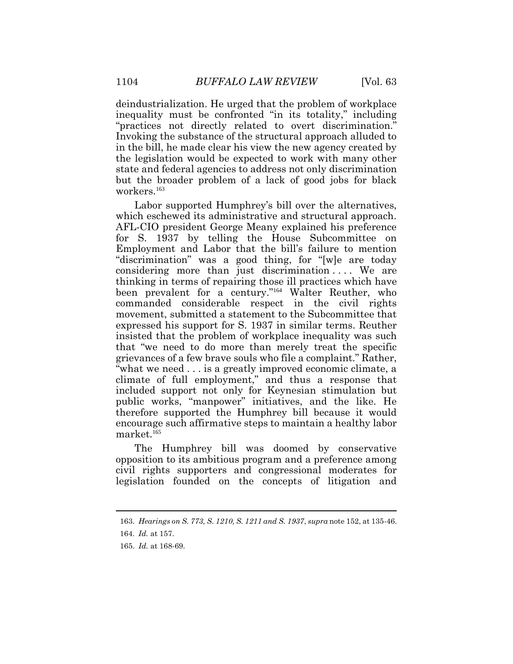deindustrialization. He urged that the problem of workplace inequality must be confronted "in its totality," including "practices not directly related to overt discrimination." Invoking the substance of the structural approach alluded to in the bill, he made clear his view the new agency created by the legislation would be expected to work with many other state and federal agencies to address not only discrimination but the broader problem of a lack of good jobs for black workers.<sup>163</sup>

Labor supported Humphrey's bill over the alternatives, which eschewed its administrative and structural approach. AFL-CIO president George Meany explained his preference for S. 1937 by telling the House Subcommittee on Employment and Labor that the bill's failure to mention "discrimination" was a good thing, for "[w]e are today considering more than just discrimination . . . . We are thinking in terms of repairing those ill practices which have been prevalent for a century."<sup>164</sup> Walter Reuther, who commanded considerable respect in the civil rights movement, submitted a statement to the Subcommittee that expressed his support for S. 1937 in similar terms. Reuther insisted that the problem of workplace inequality was such that "we need to do more than merely treat the specific grievances of a few brave souls who file a complaint." Rather, "what we need . . . is a greatly improved economic climate, a climate of full employment," and thus a response that included support not only for Keynesian stimulation but public works, "manpower" initiatives, and the like. He therefore supported the Humphrey bill because it would encourage such affirmative steps to maintain a healthy labor  $market.<sup>165</sup>$ 

The Humphrey bill was doomed by conservative opposition to its ambitious program and a preference among civil rights supporters and congressional moderates for legislation founded on the concepts of litigation and

<sup>163.</sup> *Hearings on S. 773, S. 1210, S. 1211 and S. 1937*, *supra* note 152, at 135-46.

<sup>164.</sup> *Id.* at 157.

<sup>165.</sup> *Id.* at 168-69.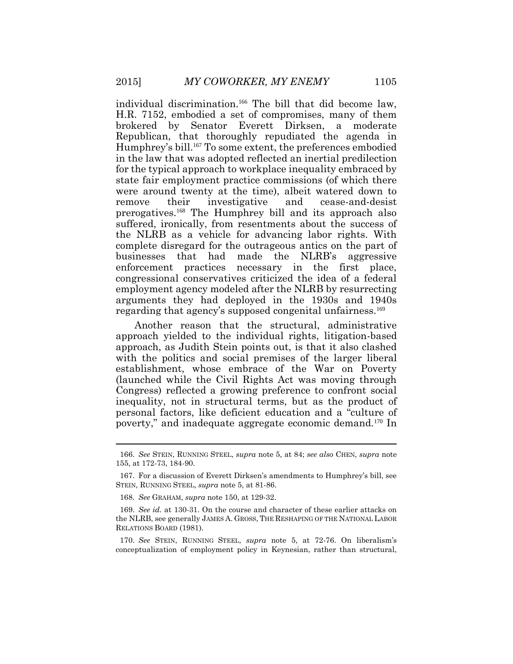individual discrimination.<sup>166</sup> The bill that did become law, H.R. 7152, embodied a set of compromises, many of them brokered by Senator Everett Dirksen, a moderate Republican, that thoroughly repudiated the agenda in Humphrey's bill.<sup>167</sup> To some extent, the preferences embodied in the law that was adopted reflected an inertial predilection for the typical approach to workplace inequality embraced by state fair employment practice commissions (of which there were around twenty at the time), albeit watered down to remove their investigative and cease-and-desist prerogatives.<sup>168</sup> The Humphrey bill and its approach also suffered, ironically, from resentments about the success of the NLRB as a vehicle for advancing labor rights. With complete disregard for the outrageous antics on the part of businesses that had made the NLRB's aggressive enforcement practices necessary in the first place, congressional conservatives criticized the idea of a federal employment agency modeled after the NLRB by resurrecting arguments they had deployed in the 1930s and 1940s regarding that agency's supposed congenital unfairness.<sup>169</sup>

Another reason that the structural, administrative approach yielded to the individual rights, litigation-based approach, as Judith Stein points out, is that it also clashed with the politics and social premises of the larger liberal establishment, whose embrace of the War on Poverty (launched while the Civil Rights Act was moving through Congress) reflected a growing preference to confront social inequality, not in structural terms, but as the product of personal factors, like deficient education and a "culture of poverty," and inadequate aggregate economic demand.<sup>170</sup> In

<sup>166.</sup> *See* STEIN, RUNNING STEEL, *supra* note 5, at 84; *see also* CHEN, *supra* note 155, at 172-73, 184-90.

<sup>167.</sup> For a discussion of Everett Dirksen's amendments to Humphrey's bill, see STEIN, RUNNING STEEL, *supra* note 5, at 81-86.

<sup>168.</sup> *See* GRAHAM, *supra* note 150, at 129-32.

<sup>169.</sup> *See id.* at 130-31. On the course and character of these earlier attacks on the NLRB, see generally JAMES A. GROSS, THE RESHAPING OF THE NATIONAL LABOR RELATIONS BOARD (1981).

<sup>170.</sup> *See* STEIN, RUNNING STEEL, *supra* note 5, at 72-76. On liberalism's conceptualization of employment policy in Keynesian, rather than structural,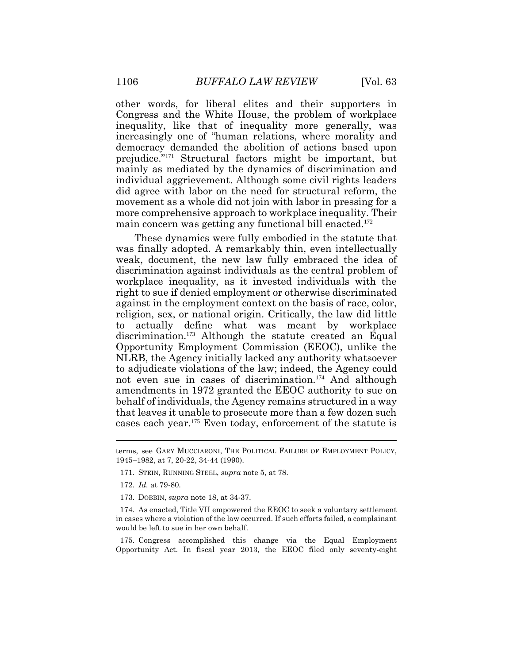other words, for liberal elites and their supporters in Congress and the White House, the problem of workplace inequality, like that of inequality more generally, was increasingly one of "human relations, where morality and democracy demanded the abolition of actions based upon prejudice." <sup>171</sup> Structural factors might be important, but mainly as mediated by the dynamics of discrimination and individual aggrievement. Although some civil rights leaders did agree with labor on the need for structural reform, the movement as a whole did not join with labor in pressing for a more comprehensive approach to workplace inequality. Their main concern was getting any functional bill enacted.<sup>172</sup>

These dynamics were fully embodied in the statute that was finally adopted. A remarkably thin, even intellectually weak, document, the new law fully embraced the idea of discrimination against individuals as the central problem of workplace inequality, as it invested individuals with the right to sue if denied employment or otherwise discriminated against in the employment context on the basis of race, color, religion, sex, or national origin. Critically, the law did little to actually define what was meant by workplace discrimination.<sup>173</sup> Although the statute created an Equal Opportunity Employment Commission (EEOC), unlike the NLRB, the Agency initially lacked any authority whatsoever to adjudicate violations of the law; indeed, the Agency could not even sue in cases of discrimination.<sup>174</sup> And although amendments in 1972 granted the EEOC authority to sue on behalf of individuals, the Agency remains structured in a way that leaves it unable to prosecute more than a few dozen such cases each year.<sup>175</sup> Even today, enforcement of the statute is

- 172. *Id.* at 79-80.
- 173. DOBBIN, *supra* note 18, at 34-37.

175. Congress accomplished this change via the Equal Employment Opportunity Act. In fiscal year 2013, the EEOC filed only seventy-eight

terms, see GARY MUCCIARONI, THE POLITICAL FAILURE OF EMPLOYMENT POLICY, 1945–1982, at 7, 20-22, 34-44 (1990).

<sup>171.</sup> STEIN, RUNNING STEEL, *supra* note 5, at 78.

<sup>174.</sup> As enacted, Title VII empowered the EEOC to seek a voluntary settlement in cases where a violation of the law occurred. If such efforts failed, a complainant would be left to sue in her own behalf.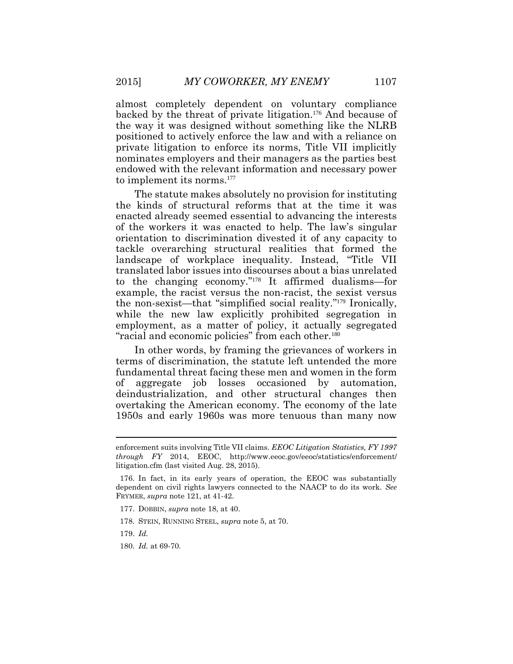almost completely dependent on voluntary compliance backed by the threat of private litigation.<sup>176</sup> And because of the way it was designed without something like the NLRB positioned to actively enforce the law and with a reliance on private litigation to enforce its norms, Title VII implicitly nominates employers and their managers as the parties best endowed with the relevant information and necessary power to implement its norms.<sup>177</sup>

The statute makes absolutely no provision for instituting the kinds of structural reforms that at the time it was enacted already seemed essential to advancing the interests of the workers it was enacted to help. The law's singular orientation to discrimination divested it of any capacity to tackle overarching structural realities that formed the landscape of workplace inequality. Instead, "Title VII translated labor issues into discourses about a bias unrelated to the changing economy." <sup>178</sup> It affirmed dualisms—for example, the racist versus the non-racist, the sexist versus the non-sexist—that "simplified social reality." <sup>179</sup> Ironically, while the new law explicitly prohibited segregation in employment, as a matter of policy, it actually segregated "racial and economic policies" from each other.<sup>180</sup>

In other words, by framing the grievances of workers in terms of discrimination, the statute left untended the more fundamental threat facing these men and women in the form of aggregate job losses occasioned by automation, deindustrialization, and other structural changes then overtaking the American economy. The economy of the late 1950s and early 1960s was more tenuous than many now

180. *Id.* at 69-70.

enforcement suits involving Title VII claims. *EEOC Litigation Statistics, FY 1997 through FY* 2014, EEOC, http://www.eeoc.gov/eeoc/statistics/enforcement/ litigation.cfm (last visited Aug. 28, 2015).

<sup>176.</sup> In fact, in its early years of operation, the EEOC was substantially dependent on civil rights lawyers connected to the NAACP to do its work. *See* FRYMER, *supra* note 121, at 41-42.

<sup>177.</sup> DOBBIN, *supra* note 18, at 40.

<sup>178.</sup> STEIN, RUNNING STEEL, *supra* note 5, at 70.

<sup>179.</sup> *Id.*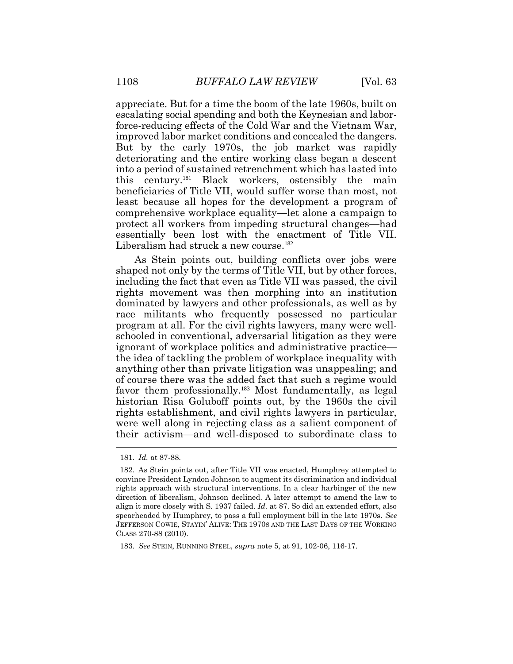appreciate. But for a time the boom of the late 1960s, built on escalating social spending and both the Keynesian and laborforce-reducing effects of the Cold War and the Vietnam War, improved labor market conditions and concealed the dangers. But by the early 1970s, the job market was rapidly deteriorating and the entire working class began a descent into a period of sustained retrenchment which has lasted into this century.<sup>181</sup> Black workers, ostensibly the main beneficiaries of Title VII, would suffer worse than most, not least because all hopes for the development a program of comprehensive workplace equality—let alone a campaign to protect all workers from impeding structural changes—had essentially been lost with the enactment of Title VII. Liberalism had struck a new course.<sup>182</sup>

As Stein points out, building conflicts over jobs were shaped not only by the terms of Title VII, but by other forces, including the fact that even as Title VII was passed, the civil rights movement was then morphing into an institution dominated by lawyers and other professionals, as well as by race militants who frequently possessed no particular program at all. For the civil rights lawyers, many were wellschooled in conventional, adversarial litigation as they were ignorant of workplace politics and administrative practice the idea of tackling the problem of workplace inequality with anything other than private litigation was unappealing; and of course there was the added fact that such a regime would favor them professionally.<sup>183</sup> Most fundamentally, as legal historian Risa Goluboff points out, by the 1960s the civil rights establishment, and civil rights lawyers in particular, were well along in rejecting class as a salient component of their activism—and well-disposed to subordinate class to

<sup>181.</sup> *Id.* at 87-88.

<sup>182.</sup> As Stein points out, after Title VII was enacted, Humphrey attempted to convince President Lyndon Johnson to augment its discrimination and individual rights approach with structural interventions. In a clear harbinger of the new direction of liberalism, Johnson declined. A later attempt to amend the law to align it more closely with S. 1937 failed. *Id.* at 87. So did an extended effort, also spearheaded by Humphrey, to pass a full employment bill in the late 1970s. *See* JEFFERSON COWIE, STAYIN' ALIVE: THE 1970S AND THE LAST DAYS OF THE WORKING CLASS 270-88 (2010).

<sup>183.</sup> *See* STEIN, RUNNING STEEL, *supra* note 5, at 91, 102-06, 116-17.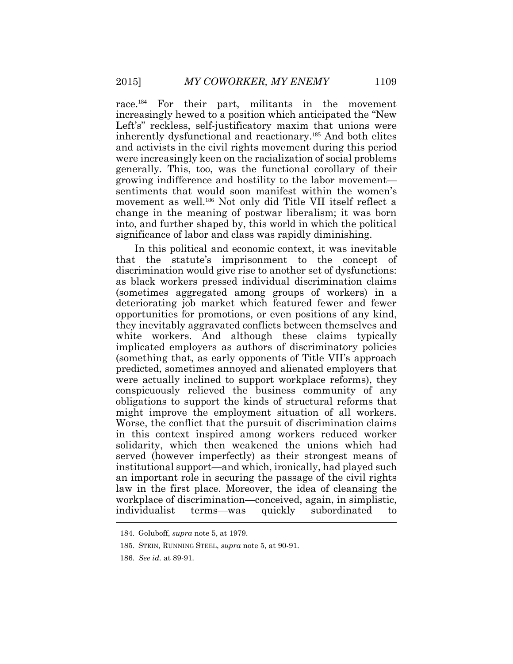race.<sup>184</sup> For their part, militants in the movement increasingly hewed to a position which anticipated the "New Left's" reckless, self-justificatory maxim that unions were inherently dysfunctional and reactionary.<sup>185</sup> And both elites and activists in the civil rights movement during this period were increasingly keen on the racialization of social problems generally. This, too, was the functional corollary of their growing indifference and hostility to the labor movement sentiments that would soon manifest within the women's movement as well.<sup>186</sup> Not only did Title VII itself reflect a change in the meaning of postwar liberalism; it was born into, and further shaped by, this world in which the political significance of labor and class was rapidly diminishing.

In this political and economic context, it was inevitable that the statute's imprisonment to the concept of discrimination would give rise to another set of dysfunctions: as black workers pressed individual discrimination claims (sometimes aggregated among groups of workers) in a deteriorating job market which featured fewer and fewer opportunities for promotions, or even positions of any kind, they inevitably aggravated conflicts between themselves and white workers. And although these claims typically implicated employers as authors of discriminatory policies (something that, as early opponents of Title VII's approach predicted, sometimes annoyed and alienated employers that were actually inclined to support workplace reforms), they conspicuously relieved the business community of any obligations to support the kinds of structural reforms that might improve the employment situation of all workers. Worse, the conflict that the pursuit of discrimination claims in this context inspired among workers reduced worker solidarity, which then weakened the unions which had served (however imperfectly) as their strongest means of institutional support—and which, ironically, had played such an important role in securing the passage of the civil rights law in the first place. Moreover, the idea of cleansing the workplace of discrimination—conceived, again, in simplistic, individualist terms—was quickly subordinated to

<sup>184.</sup> Goluboff, *supra* note 5, at 1979.

<sup>185.</sup> STEIN, RUNNING STEEL, *supra* note 5, at 90-91.

<sup>186.</sup> *See id.* at 89-91.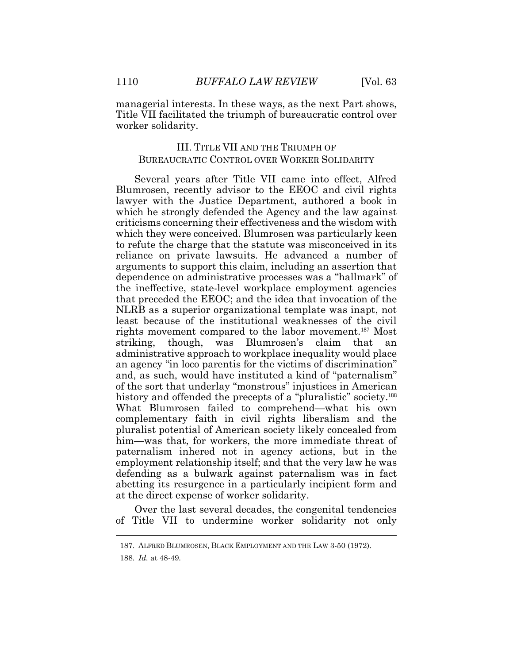managerial interests. In these ways, as the next Part shows, Title VII facilitated the triumph of bureaucratic control over worker solidarity.

## III. TITLE VII AND THE TRIUMPH OF BUREAUCRATIC CONTROL OVER WORKER SOLIDARITY

Several years after Title VII came into effect, Alfred Blumrosen, recently advisor to the EEOC and civil rights lawyer with the Justice Department, authored a book in which he strongly defended the Agency and the law against criticisms concerning their effectiveness and the wisdom with which they were conceived. Blumrosen was particularly keen to refute the charge that the statute was misconceived in its reliance on private lawsuits. He advanced a number of arguments to support this claim, including an assertion that dependence on administrative processes was a "hallmark" of the ineffective, state-level workplace employment agencies that preceded the EEOC; and the idea that invocation of the NLRB as a superior organizational template was inapt, not least because of the institutional weaknesses of the civil rights movement compared to the labor movement.187 Most striking, though, was Blumrosen's claim that an administrative approach to workplace inequality would place an agency "in loco parentis for the victims of discrimination" and, as such, would have instituted a kind of "paternalism" of the sort that underlay "monstrous" injustices in American history and offended the precepts of a "pluralistic" society.<sup>188</sup> What Blumrosen failed to comprehend—what his own complementary faith in civil rights liberalism and the pluralist potential of American society likely concealed from him—was that, for workers, the more immediate threat of paternalism inhered not in agency actions, but in the employment relationship itself; and that the very law he was defending as a bulwark against paternalism was in fact abetting its resurgence in a particularly incipient form and at the direct expense of worker solidarity.

Over the last several decades, the congenital tendencies of Title VII to undermine worker solidarity not only  $\overline{a}$ 

<sup>187.</sup> ALFRED BLUMROSEN, BLACK EMPLOYMENT AND THE LAW 3-50 (1972).

<sup>188.</sup> *Id.* at 48-49.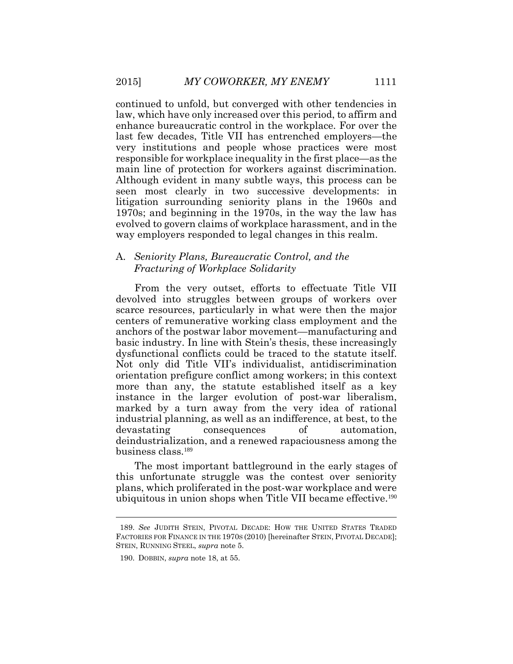continued to unfold, but converged with other tendencies in law, which have only increased over this period, to affirm and enhance bureaucratic control in the workplace. For over the last few decades, Title VII has entrenched employers—the very institutions and people whose practices were most responsible for workplace inequality in the first place—as the main line of protection for workers against discrimination. Although evident in many subtle ways, this process can be seen most clearly in two successive developments: in litigation surrounding seniority plans in the 1960s and 1970s; and beginning in the 1970s, in the way the law has evolved to govern claims of workplace harassment, and in the way employers responded to legal changes in this realm.

## A. *Seniority Plans, Bureaucratic Control, and the Fracturing of Workplace Solidarity*

From the very outset, efforts to effectuate Title VII devolved into struggles between groups of workers over scarce resources, particularly in what were then the major centers of remunerative working class employment and the anchors of the postwar labor movement—manufacturing and basic industry. In line with Stein's thesis, these increasingly dysfunctional conflicts could be traced to the statute itself. Not only did Title VII's individualist, antidiscrimination orientation prefigure conflict among workers; in this context more than any, the statute established itself as a key instance in the larger evolution of post-war liberalism, marked by a turn away from the very idea of rational industrial planning, as well as an indifference, at best, to the devastating consequences of automation, deindustrialization, and a renewed rapaciousness among the business class.<sup>189</sup>

The most important battleground in the early stages of this unfortunate struggle was the contest over seniority plans, which proliferated in the post-war workplace and were ubiquitous in union shops when Title VII became effective.<sup>190</sup>

<sup>189.</sup> *See* JUDITH STEIN, PIVOTAL DECADE: HOW THE UNITED STATES TRADED FACTORIES FOR FINANCE IN THE 1970S (2010) [hereinafter STEIN, PIVOTAL DECADE]; STEIN, RUNNING STEEL, *supra* note 5.

<sup>190.</sup> DOBBIN, *supra* note 18, at 55.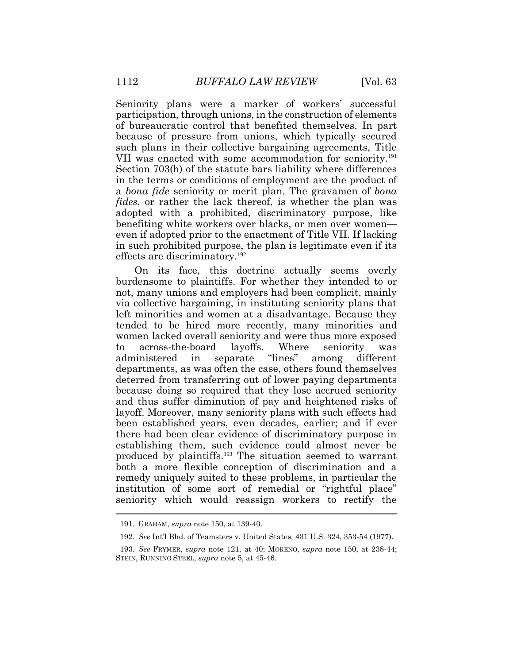Seniority plans were a marker of workers' successful participation, through unions, in the construction of elements of bureaucratic control that benefited themselves. In part because of pressure from unions, which typically secured such plans in their collective bargaining agreements, Title VII was enacted with some accommodation for seniority.<sup>191</sup> Section 703(h) of the statute bars liability where differences in the terms or conditions of employment are the product of a *bona fide* seniority or merit plan. The gravamen of *bona fides*, or rather the lack thereof, is whether the plan was adopted with a prohibited, discriminatory purpose, like benefiting white workers over blacks, or men over women even if adopted prior to the enactment of Title VII. If lacking in such prohibited purpose, the plan is legitimate even if its effects are discriminatory.<sup>192</sup>

On its face, this doctrine actually seems overly burdensome to plaintiffs. For whether they intended to or not, many unions and employers had been complicit, mainly via collective bargaining, in instituting seniority plans that left minorities and women at a disadvantage. Because they tended to be hired more recently, many minorities and women lacked overall seniority and were thus more exposed to across-the-board layoffs. Where seniority was administered in separate "lines" among different departments, as was often the case, others found themselves deterred from transferring out of lower paying departments because doing so required that they lose accrued seniority and thus suffer diminution of pay and heightened risks of layoff. Moreover, many seniority plans with such effects had been established years, even decades, earlier; and if ever there had been clear evidence of discriminatory purpose in establishing them, such evidence could almost never be produced by plaintiffs.<sup>193</sup> The situation seemed to warrant both a more flexible conception of discrimination and a remedy uniquely suited to these problems, in particular the institution of some sort of remedial or "rightful place" seniority which would reassign workers to rectify the

<sup>191.</sup> GRAHAM, *supra* note 150, at 139-40.

<sup>192.</sup> *See* Int'l Bhd. of Teamsters v. United States, 431 U.S. 324, 353-54 (1977).

<sup>193.</sup> *See* FRYMER, *supra* note 121, at 40; MORENO, *supra* note 150, at 238-44; STEIN, RUNNING STEEL, *supra* note 5, at 45-46.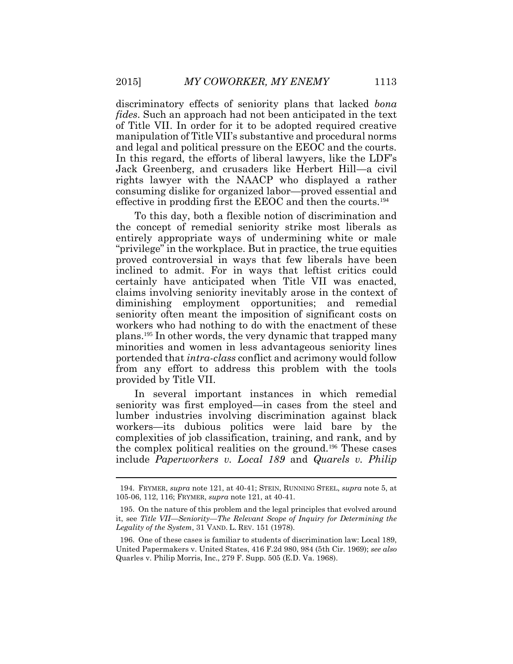discriminatory effects of seniority plans that lacked *bona fides*. Such an approach had not been anticipated in the text of Title VII. In order for it to be adopted required creative manipulation of Title VII's substantive and procedural norms and legal and political pressure on the EEOC and the courts. In this regard, the efforts of liberal lawyers, like the LDF's Jack Greenberg, and crusaders like Herbert Hill—a civil rights lawyer with the NAACP who displayed a rather consuming dislike for organized labor—proved essential and effective in prodding first the EEOC and then the courts.<sup>194</sup>

To this day, both a flexible notion of discrimination and the concept of remedial seniority strike most liberals as entirely appropriate ways of undermining white or male "privilege" in the workplace. But in practice, the true equities proved controversial in ways that few liberals have been inclined to admit. For in ways that leftist critics could certainly have anticipated when Title VII was enacted, claims involving seniority inevitably arose in the context of diminishing employment opportunities; and remedial seniority often meant the imposition of significant costs on workers who had nothing to do with the enactment of these plans.<sup>195</sup> In other words, the very dynamic that trapped many minorities and women in less advantageous seniority lines portended that *intra-class* conflict and acrimony would follow from any effort to address this problem with the tools provided by Title VII.

In several important instances in which remedial seniority was first employed—in cases from the steel and lumber industries involving discrimination against black workers—its dubious politics were laid bare by the complexities of job classification, training, and rank, and by the complex political realities on the ground.<sup>196</sup> These cases include *Paperworkers v. Local 189* and *Quarels v. Philip* 

<sup>194.</sup> FRYMER, *supra* note 121, at 40-41; STEIN, RUNNING STEEL, *supra* note 5, at 105-06, 112, 116; FRYMER, *supra* note 121, at 40-41.

<sup>195.</sup> On the nature of this problem and the legal principles that evolved around it, see *Title VII—Seniority—The Relevant Scope of Inquiry for Determining the Legality of the System*, 31 VAND. L. REV. 151 (1978).

<sup>196.</sup> One of these cases is familiar to students of discrimination law: Local 189, United Papermakers v. United States, 416 F.2d 980, 984 (5th Cir. 1969); *see also* Quarles v. Philip Morris, Inc., 279 F. Supp. 505 (E.D. Va. 1968).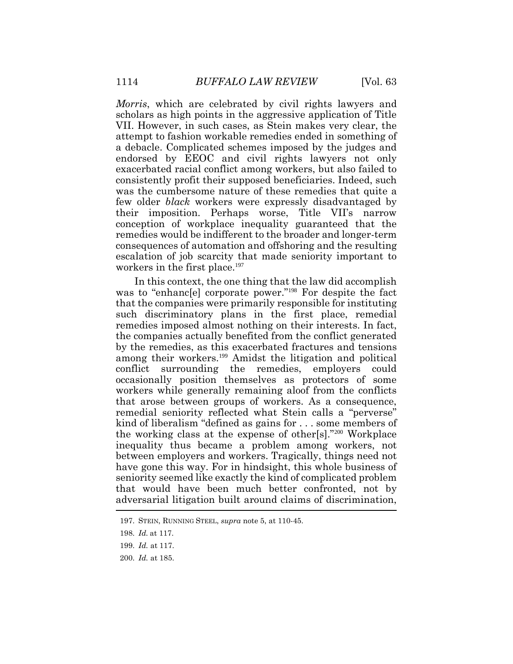*Morris*, which are celebrated by civil rights lawyers and scholars as high points in the aggressive application of Title VII. However, in such cases, as Stein makes very clear, the attempt to fashion workable remedies ended in something of a debacle. Complicated schemes imposed by the judges and endorsed by EEOC and civil rights lawyers not only exacerbated racial conflict among workers, but also failed to consistently profit their supposed beneficiaries. Indeed, such was the cumbersome nature of these remedies that quite a few older *black* workers were expressly disadvantaged by their imposition. Perhaps worse, Title VII's narrow conception of workplace inequality guaranteed that the remedies would be indifferent to the broader and longer-term consequences of automation and offshoring and the resulting escalation of job scarcity that made seniority important to workers in the first place.<sup>197</sup>

In this context, the one thing that the law did accomplish was to "enhancele] corporate power."<sup>198</sup> For despite the fact that the companies were primarily responsible for instituting such discriminatory plans in the first place, remedial remedies imposed almost nothing on their interests. In fact, the companies actually benefited from the conflict generated by the remedies, as this exacerbated fractures and tensions among their workers.<sup>199</sup> Amidst the litigation and political conflict surrounding the remedies, employers could occasionally position themselves as protectors of some workers while generally remaining aloof from the conflicts that arose between groups of workers. As a consequence, remedial seniority reflected what Stein calls a "perverse" kind of liberalism "defined as gains for . . . some members of the working class at the expense of other[s]."<sup>200</sup> Workplace inequality thus became a problem among workers, not between employers and workers. Tragically, things need not have gone this way. For in hindsight, this whole business of seniority seemed like exactly the kind of complicated problem that would have been much better confronted, not by adversarial litigation built around claims of discrimination,

200. *Id.* at 185.

<sup>197.</sup> STEIN, RUNNING STEEL, *supra* note 5, at 110-45.

<sup>198.</sup> *Id.* at 117.

<sup>199.</sup> *Id.* at 117.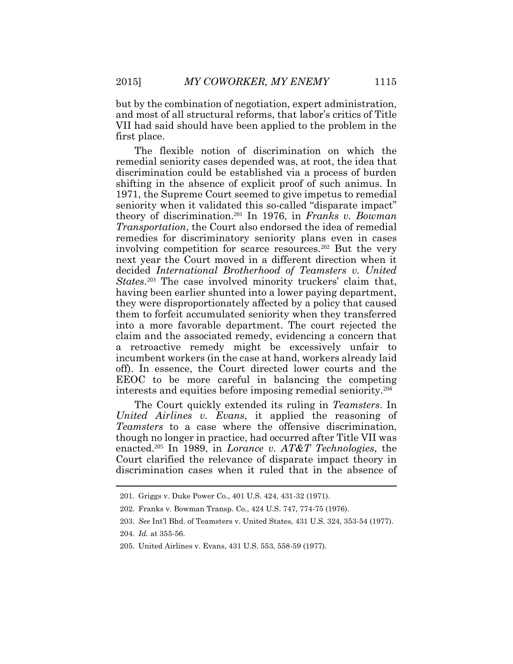but by the combination of negotiation, expert administration, and most of all structural reforms, that labor's critics of Title VII had said should have been applied to the problem in the first place.

The flexible notion of discrimination on which the remedial seniority cases depended was, at root, the idea that discrimination could be established via a process of burden shifting in the absence of explicit proof of such animus. In 1971, the Supreme Court seemed to give impetus to remedial seniority when it validated this so-called "disparate impact" theory of discrimination.<sup>201</sup> In 1976, in *Franks v. Bowman Transportation*, the Court also endorsed the idea of remedial remedies for discriminatory seniority plans even in cases involving competition for scarce resources.<sup>202</sup> But the very next year the Court moved in a different direction when it decided *International Brotherhood of Teamsters v. United*  States.<sup>203</sup> The case involved minority truckers' claim that, having been earlier shunted into a lower paying department, they were disproportionately affected by a policy that caused them to forfeit accumulated seniority when they transferred into a more favorable department. The court rejected the claim and the associated remedy, evidencing a concern that a retroactive remedy might be excessively unfair to incumbent workers (in the case at hand, workers already laid off). In essence, the Court directed lower courts and the EEOC to be more careful in balancing the competing interests and equities before imposing remedial seniority.<sup>204</sup>

The Court quickly extended its ruling in *Teamsters*. In *United Airlines v. Evans*, it applied the reasoning of *Teamsters* to a case where the offensive discrimination, though no longer in practice, had occurred after Title VII was enacted.<sup>205</sup> In 1989, in *Lorance v. AT&T Technologies*, the Court clarified the relevance of disparate impact theory in discrimination cases when it ruled that in the absence of

<sup>201.</sup> Griggs v. Duke Power Co., 401 U.S. 424, 431-32 (1971).

<sup>202.</sup> Franks v. Bowman Transp. Co., 424 U.S. 747, 774-75 (1976).

<sup>203.</sup> *See* Int'l Bhd. of Teamsters v. United States, 431 U.S. 324, 353-54 (1977).

<sup>204.</sup> *Id.* at 355-56.

<sup>205.</sup> United Airlines v. Evans, 431 U.S. 553, 558-59 (1977).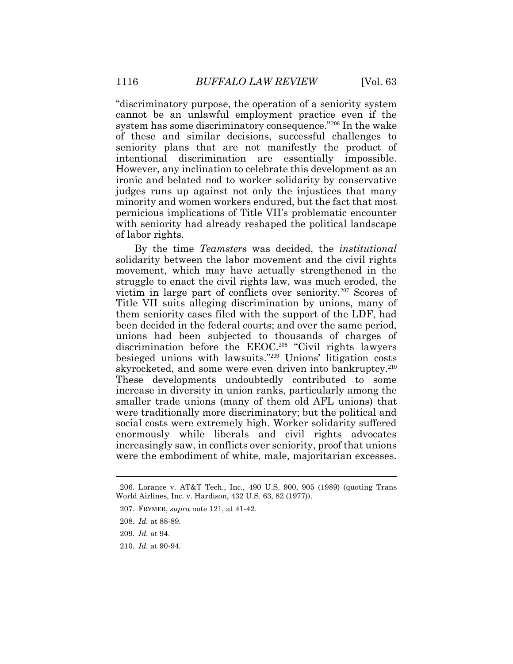"discriminatory purpose, the operation of a seniority system cannot be an unlawful employment practice even if the system has some discriminatory consequence."<sup>206</sup> In the wake of these and similar decisions, successful challenges to seniority plans that are not manifestly the product of intentional discrimination are essentially impossible. However, any inclination to celebrate this development as an ironic and belated nod to worker solidarity by conservative judges runs up against not only the injustices that many minority and women workers endured, but the fact that most pernicious implications of Title VII's problematic encounter with seniority had already reshaped the political landscape of labor rights.

By the time *Teamsters* was decided, the *institutional* solidarity between the labor movement and the civil rights movement, which may have actually strengthened in the struggle to enact the civil rights law, was much eroded, the victim in large part of conflicts over seniority.<sup>207</sup> Scores of Title VII suits alleging discrimination by unions, many of them seniority cases filed with the support of the LDF, had been decided in the federal courts; and over the same period, unions had been subjected to thousands of charges of discrimination before the EEOC.<sup>208</sup> "Civil rights lawyers besieged unions with lawsuits."<sup>209</sup> Unions' litigation costs skyrocketed, and some were even driven into bankruptcy.<sup>210</sup> These developments undoubtedly contributed to some increase in diversity in union ranks, particularly among the smaller trade unions (many of them old AFL unions) that were traditionally more discriminatory; but the political and social costs were extremely high. Worker solidarity suffered enormously while liberals and civil rights advocates increasingly saw, in conflicts over seniority, proof that unions were the embodiment of white, male, majoritarian excesses.

<sup>206.</sup> Lorance v. AT&T Tech., Inc., 490 U.S. 900, 905 (1989) (quoting Trans World Airlines, Inc. v. Hardison, 432 U.S. 63, 82 (1977)).

<sup>207.</sup> FRYMER, *supra* note 121, at 41-42.

<sup>208.</sup> *Id.* at 88-89.

<sup>209.</sup> *Id.* at 94.

<sup>210.</sup> *Id.* at 90-94.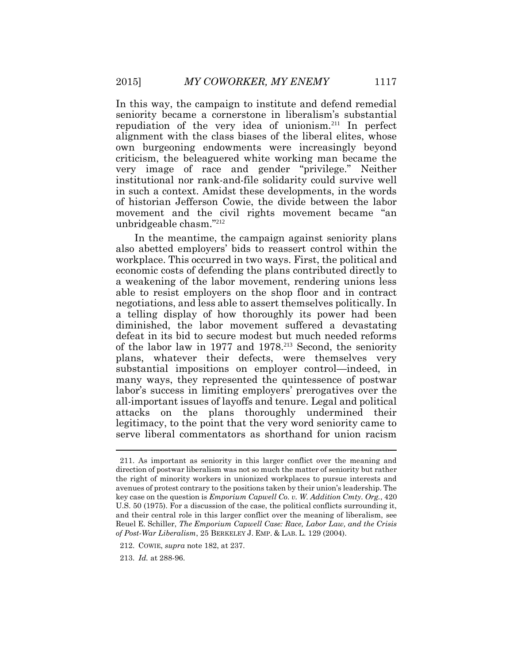In this way, the campaign to institute and defend remedial seniority became a cornerstone in liberalism's substantial repudiation of the very idea of unionism.<sup>211</sup> In perfect alignment with the class biases of the liberal elites, whose own burgeoning endowments were increasingly beyond criticism, the beleaguered white working man became the very image of race and gender "privilege." Neither institutional nor rank-and-file solidarity could survive well in such a context. Amidst these developments, in the words of historian Jefferson Cowie, the divide between the labor movement and the civil rights movement became "an unbridgeable chasm."<sup>212</sup>

In the meantime, the campaign against seniority plans also abetted employers' bids to reassert control within the workplace. This occurred in two ways. First, the political and economic costs of defending the plans contributed directly to a weakening of the labor movement, rendering unions less able to resist employers on the shop floor and in contract negotiations, and less able to assert themselves politically. In a telling display of how thoroughly its power had been diminished, the labor movement suffered a devastating defeat in its bid to secure modest but much needed reforms of the labor law in 1977 and 1978.<sup>213</sup> Second, the seniority plans, whatever their defects, were themselves very substantial impositions on employer control—indeed, in many ways, they represented the quintessence of postwar labor's success in limiting employers' prerogatives over the all-important issues of layoffs and tenure. Legal and political attacks on the plans thoroughly undermined their legitimacy, to the point that the very word seniority came to serve liberal commentators as shorthand for union racism

<sup>211.</sup> As important as seniority in this larger conflict over the meaning and direction of postwar liberalism was not so much the matter of seniority but rather the right of minority workers in unionized workplaces to pursue interests and avenues of protest contrary to the positions taken by their union's leadership. The key case on the question is *Emporium Capwell Co. v. W. Addition Cmty. Org.*, 420 U.S. 50 (1975). For a discussion of the case, the political conflicts surrounding it, and their central role in this larger conflict over the meaning of liberalism, see Reuel E. Schiller, *The Emporium Capwell Case: Race, Labor Law, and the Crisis of Post-War Liberalism*, 25 BERKELEY J. EMP. & LAB. L. 129 (2004).

<sup>212.</sup> COWIE, *supra* note 182, at 237.

<sup>213.</sup> *Id.* at 288-96.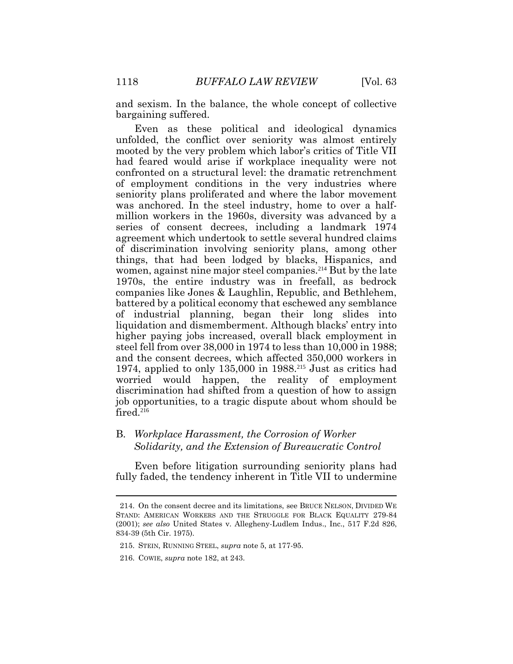and sexism. In the balance, the whole concept of collective bargaining suffered.

Even as these political and ideological dynamics unfolded, the conflict over seniority was almost entirely mooted by the very problem which labor's critics of Title VII had feared would arise if workplace inequality were not confronted on a structural level: the dramatic retrenchment of employment conditions in the very industries where seniority plans proliferated and where the labor movement was anchored. In the steel industry, home to over a halfmillion workers in the 1960s, diversity was advanced by a series of consent decrees, including a landmark 1974 agreement which undertook to settle several hundred claims of discrimination involving seniority plans, among other things, that had been lodged by blacks, Hispanics, and women, against nine major steel companies.<sup>214</sup> But by the late 1970s, the entire industry was in freefall, as bedrock companies like Jones & Laughlin, Republic, and Bethlehem, battered by a political economy that eschewed any semblance of industrial planning, began their long slides into liquidation and dismemberment. Although blacks' entry into higher paying jobs increased, overall black employment in steel fell from over 38,000 in 1974 to less than 10,000 in 1988; and the consent decrees, which affected 350,000 workers in 1974, applied to only  $135,000$  in  $1988.<sup>215</sup>$  Just as critics had worried would happen, the reality of employment discrimination had shifted from a question of how to assign job opportunities, to a tragic dispute about whom should be  $fired.<sup>216</sup>$ 

## B. *Workplace Harassment, the Corrosion of Worker Solidarity, and the Extension of Bureaucratic Control*

Even before litigation surrounding seniority plans had fully faded, the tendency inherent in Title VII to undermine

 $\overline{a}$ 

<sup>214.</sup> On the consent decree and its limitations, see BRUCE NELSON, DIVIDED WE STAND: AMERICAN WORKERS AND THE STRUGGLE FOR BLACK EQUALITY 279-84 (2001); *see also* United States v. Allegheny-Ludlem Indus., Inc., 517 F.2d 826, 834-39 (5th Cir. 1975).

<sup>215.</sup> STEIN, RUNNING STEEL, *supra* note 5, at 177-95.

<sup>216.</sup> COWIE, *supra* note 182, at 243.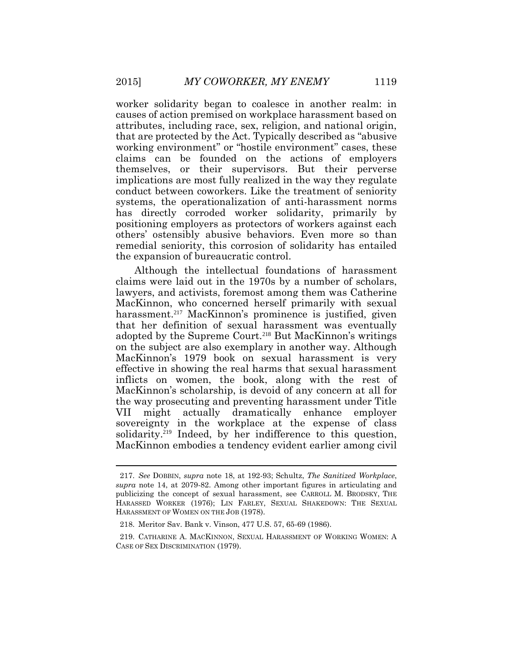worker solidarity began to coalesce in another realm: in causes of action premised on workplace harassment based on attributes, including race, sex, religion, and national origin, that are protected by the Act. Typically described as "abusive working environment" or "hostile environment" cases, these claims can be founded on the actions of employers themselves, or their supervisors. But their perverse implications are most fully realized in the way they regulate conduct between coworkers. Like the treatment of seniority systems, the operationalization of anti-harassment norms has directly corroded worker solidarity, primarily by positioning employers as protectors of workers against each others' ostensibly abusive behaviors. Even more so than remedial seniority, this corrosion of solidarity has entailed the expansion of bureaucratic control.

Although the intellectual foundations of harassment claims were laid out in the 1970s by a number of scholars, lawyers, and activists, foremost among them was Catherine MacKinnon, who concerned herself primarily with sexual harassment.<sup>217</sup> MacKinnon's prominence is justified, given that her definition of sexual harassment was eventually adopted by the Supreme Court.<sup>218</sup> But MacKinnon's writings on the subject are also exemplary in another way. Although MacKinnon's 1979 book on sexual harassment is very effective in showing the real harms that sexual harassment inflicts on women, the book, along with the rest of MacKinnon's scholarship, is devoid of any concern at all for the way prosecuting and preventing harassment under Title VII might actually dramatically enhance employer sovereignty in the workplace at the expense of class solidarity.<sup>219</sup> Indeed, by her indifference to this question, MacKinnon embodies a tendency evident earlier among civil

<sup>217.</sup> *See* DOBBIN, *supra* note 18, at 192-93; Schultz, *The Sanitized Workplace*, *supra* note 14, at 2079-82. Among other important figures in articulating and publicizing the concept of sexual harassment, see CARROLL M. BRODSKY, THE HARASSED WORKER (1976); LIN FARLEY, SEXUAL SHAKEDOWN: THE SEXUAL HARASSMENT OF WOMEN ON THE JOB (1978).

<sup>218.</sup> Meritor Sav. Bank v. Vinson, 477 U.S. 57, 65-69 (1986).

<sup>219.</sup> CATHARINE A. MACKINNON, SEXUAL HARASSMENT OF WORKING WOMEN: A CASE OF SEX DISCRIMINATION (1979).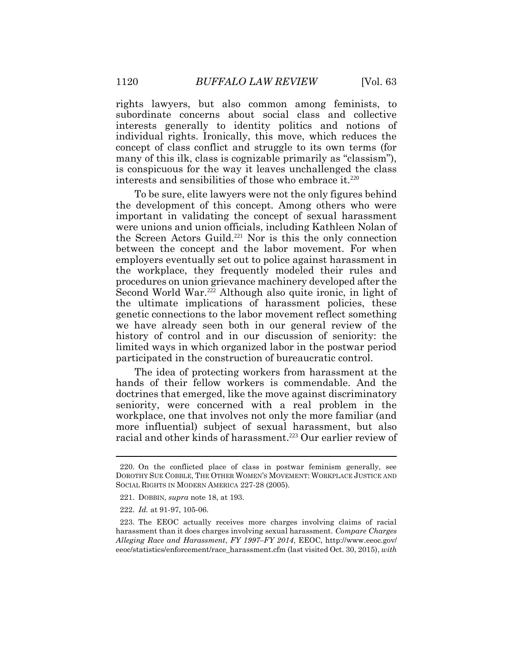rights lawyers, but also common among feminists, to subordinate concerns about social class and collective interests generally to identity politics and notions of individual rights. Ironically, this move, which reduces the concept of class conflict and struggle to its own terms (for many of this ilk, class is cognizable primarily as "classism"), is conspicuous for the way it leaves unchallenged the class interests and sensibilities of those who embrace it.<sup>220</sup>

To be sure, elite lawyers were not the only figures behind the development of this concept. Among others who were important in validating the concept of sexual harassment were unions and union officials, including Kathleen Nolan of the Screen Actors Guild.<sup>221</sup> Nor is this the only connection between the concept and the labor movement. For when employers eventually set out to police against harassment in the workplace, they frequently modeled their rules and procedures on union grievance machinery developed after the Second World War.<sup>222</sup> Although also quite ironic, in light of the ultimate implications of harassment policies, these genetic connections to the labor movement reflect something we have already seen both in our general review of the history of control and in our discussion of seniority: the limited ways in which organized labor in the postwar period participated in the construction of bureaucratic control.

The idea of protecting workers from harassment at the hands of their fellow workers is commendable. And the doctrines that emerged, like the move against discriminatory seniority, were concerned with a real problem in the workplace, one that involves not only the more familiar (and more influential) subject of sexual harassment, but also racial and other kinds of harassment.<sup>223</sup> Our earlier review of

<sup>220.</sup> On the conflicted place of class in postwar feminism generally, see DOROTHY SUE COBBLE, THE OTHER WOMEN'S MOVEMENT: WORKPLACE JUSTICE AND SOCIAL RIGHTS IN MODERN AMERICA 227-28 (2005).

<sup>221.</sup> DOBBIN, *supra* note 18, at 193.

<sup>222.</sup> *Id.* at 91-97, 105-06.

<sup>223.</sup> The EEOC actually receives more charges involving claims of racial harassment than it does charges involving sexual harassment. *Compare Charges Alleging Race and Harassment*, *FY 1997–FY 2014*, EEOC, http://www.eeoc.gov/ eeoc/statistics/enforcement/race\_harassment.cfm (last visited Oct. 30, 2015), *with*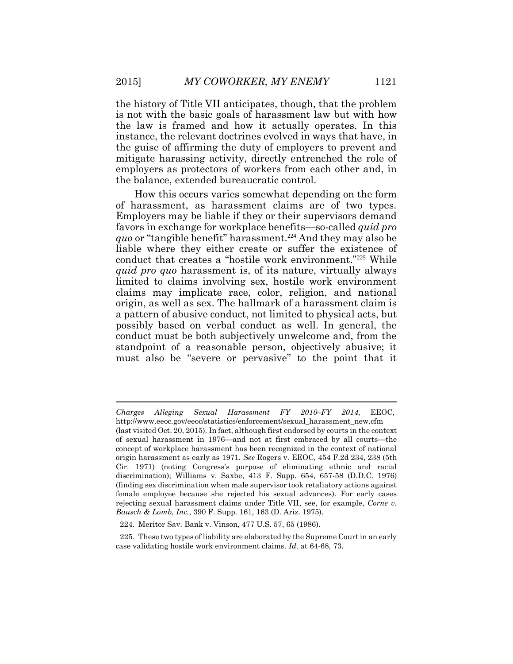the history of Title VII anticipates, though, that the problem is not with the basic goals of harassment law but with how the law is framed and how it actually operates. In this instance, the relevant doctrines evolved in ways that have, in the guise of affirming the duty of employers to prevent and mitigate harassing activity, directly entrenched the role of employers as protectors of workers from each other and, in the balance, extended bureaucratic control.

How this occurs varies somewhat depending on the form of harassment, as harassment claims are of two types. Employers may be liable if they or their supervisors demand favors in exchange for workplace benefits—so-called *quid pro quo* or "tangible benefit" harassment.<sup>224</sup> And they may also be liable where they either create or suffer the existence of conduct that creates a "hostile work environment."<sup>225</sup> While *quid pro quo* harassment is, of its nature, virtually always limited to claims involving sex, hostile work environment claims may implicate race, color, religion, and national origin, as well as sex. The hallmark of a harassment claim is a pattern of abusive conduct, not limited to physical acts, but possibly based on verbal conduct as well. In general, the conduct must be both subjectively unwelcome and, from the standpoint of a reasonable person, objectively abusive; it must also be "severe or pervasive" to the point that it

*Charges Alleging Sexual Harassment FY 2010–FY 2014*, EEOC, http://www.eeoc.gov/eeoc/statistics/enforcement/sexual\_harassment\_new.cfm

<sup>(</sup>last visited Oct. 20, 2015). In fact, although first endorsed by courts in the context of sexual harassment in 1976—and not at first embraced by all courts—the concept of workplace harassment has been recognized in the context of national origin harassment as early as 1971. *See* Rogers v. EEOC, 454 F.2d 234, 238 (5th Cir. 1971) (noting Congress's purpose of eliminating ethnic and racial discrimination); Williams v. Saxbe, 413 F. Supp. 654, 657-58 (D.D.C. 1976) (finding sex discrimination when male supervisor took retaliatory actions against female employee because she rejected his sexual advances). For early cases rejecting sexual harassment claims under Title VII, see, for example, *Corne v. Bausch & Lomb, Inc.*, 390 F. Supp. 161, 163 (D. Ariz. 1975).

<sup>224.</sup> Meritor Sav. Bank v. Vinson, 477 U.S. 57, 65 (1986).

<sup>225.</sup> These two types of liability are elaborated by the Supreme Court in an early case validating hostile work environment claims. *Id*. at 64-68, 73.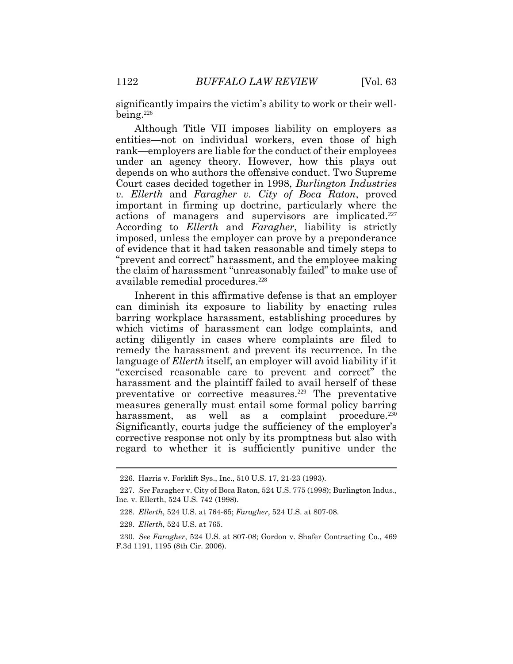significantly impairs the victim's ability to work or their wellbeing.<sup>226</sup>

Although Title VII imposes liability on employers as entities—not on individual workers, even those of high rank—employers are liable for the conduct of their employees under an agency theory. However, how this plays out depends on who authors the offensive conduct. Two Supreme Court cases decided together in 1998, *Burlington Industries v. Ellerth* and *Faragher v. City of Boca Raton*, proved important in firming up doctrine, particularly where the actions of managers and supervisors are implicated.<sup>227</sup> According to *Ellerth* and *Faragher*, liability is strictly imposed, unless the employer can prove by a preponderance of evidence that it had taken reasonable and timely steps to "prevent and correct" harassment, and the employee making the claim of harassment "unreasonably failed" to make use of available remedial procedures.<sup>228</sup>

Inherent in this affirmative defense is that an employer can diminish its exposure to liability by enacting rules barring workplace harassment, establishing procedures by which victims of harassment can lodge complaints, and acting diligently in cases where complaints are filed to remedy the harassment and prevent its recurrence. In the language of *Ellerth* itself, an employer will avoid liability if it "exercised reasonable care to prevent and correct" the harassment and the plaintiff failed to avail herself of these preventative or corrective measures.<sup>229</sup> The preventative measures generally must entail some formal policy barring harassment, as well as a complaint procedure.<sup>230</sup> Significantly, courts judge the sufficiency of the employer's corrective response not only by its promptness but also with regard to whether it is sufficiently punitive under the

<sup>226.</sup> Harris v. Forklift Sys., Inc., 510 U.S. 17, 21-23 (1993).

<sup>227.</sup> *See* Faragher v. City of Boca Raton, 524 U.S. 775 (1998); Burlington Indus., Inc. v. Ellerth, 524 U.S. 742 (1998).

<sup>228.</sup> *Ellerth*, 524 U.S. at 764-65; *Faragher*, 524 U.S. at 807-08.

<sup>229.</sup> *Ellerth*, 524 U.S. at 765.

<sup>230.</sup> *See Faragher*, 524 U.S. at 807-08; Gordon v. Shafer Contracting Co., 469 F.3d 1191, 1195 (8th Cir. 2006).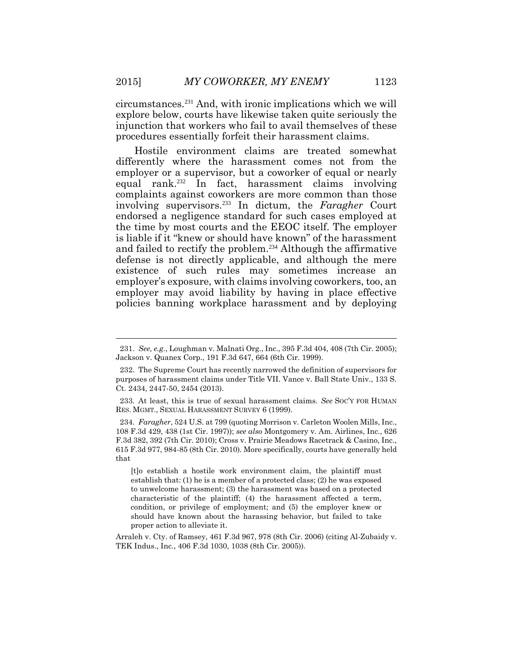circumstances.<sup>231</sup> And, with ironic implications which we will explore below, courts have likewise taken quite seriously the injunction that workers who fail to avail themselves of these procedures essentially forfeit their harassment claims.

Hostile environment claims are treated somewhat differently where the harassment comes not from the employer or a supervisor, but a coworker of equal or nearly equal rank.<sup>232</sup> In fact, harassment claims involving complaints against coworkers are more common than those involving supervisors.<sup>233</sup> In dictum, the *Faragher* Court endorsed a negligence standard for such cases employed at the time by most courts and the EEOC itself. The employer is liable if it "knew or should have known" of the harassment and failed to rectify the problem.<sup>234</sup> Although the affirmative defense is not directly applicable, and although the mere existence of such rules may sometimes increase an employer's exposure, with claims involving coworkers, too, an employer may avoid liability by having in place effective policies banning workplace harassment and by deploying

[t]o establish a hostile work environment claim, the plaintiff must establish that: (1) he is a member of a protected class; (2) he was exposed to unwelcome harassment; (3) the harassment was based on a protected characteristic of the plaintiff; (4) the harassment affected a term, condition, or privilege of employment; and (5) the employer knew or should have known about the harassing behavior, but failed to take proper action to alleviate it.

Arraleh v. Cty. of Ramsey, 461 F.3d 967, 978 (8th Cir. 2006) (citing Al-Zubaidy v. TEK Indus., Inc., 406 F.3d 1030, 1038 (8th Cir. 2005)).

<sup>231.</sup> *See, e.g.*, Loughman v. Malnati Org., Inc., 395 F.3d 404, 408 (7th Cir. 2005); Jackson v. Quanex Corp., 191 F.3d 647, 664 (6th Cir. 1999).

<sup>232.</sup> The Supreme Court has recently narrowed the definition of supervisors for purposes of harassment claims under Title VII. Vance v. Ball State Univ., 133 S. Ct. 2434, 2447-50, 2454 (2013).

<sup>233.</sup> At least, this is true of sexual harassment claims. *See* SOC'Y FOR HUMAN RES. MGMT., SEXUAL HARASSMENT SURVEY 6 (1999).

<sup>234.</sup> *Faragher*, 524 U.S. at 799 (quoting Morrison v. Carleton Woolen Mills, Inc., 108 F.3d 429, 438 (1st Cir. 1997)); *see also* Montgomery v. Am. Airlines, Inc., 626 F.3d 382, 392 (7th Cir. 2010); Cross v. Prairie Meadows Racetrack & Casino, Inc., 615 F.3d 977, 984-85 (8th Cir. 2010). More specifically, courts have generally held that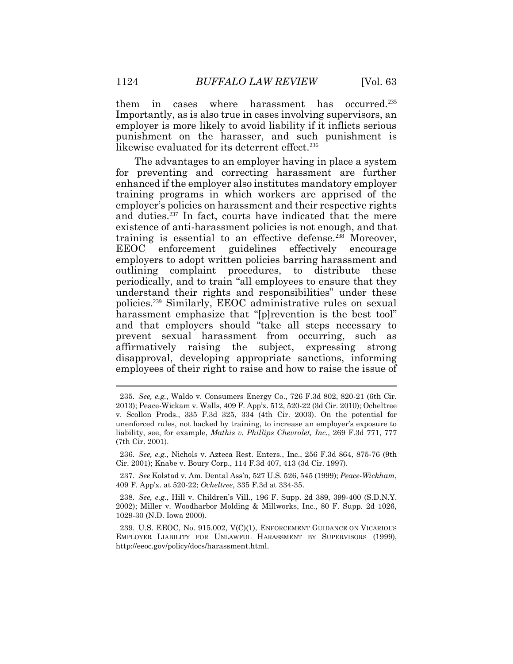them in cases where harassment has occurred.<sup>235</sup> Importantly, as is also true in cases involving supervisors, an employer is more likely to avoid liability if it inflicts serious punishment on the harasser, and such punishment is likewise evaluated for its deterrent effect.<sup>236</sup>

The advantages to an employer having in place a system for preventing and correcting harassment are further enhanced if the employer also institutes mandatory employer training programs in which workers are apprised of the employer's policies on harassment and their respective rights and duties.<sup>237</sup> In fact, courts have indicated that the mere existence of anti-harassment policies is not enough, and that training is essential to an effective defense.<sup>238</sup> Moreover, EEOC enforcement guidelines effectively encourage employers to adopt written policies barring harassment and outlining complaint procedures, to distribute these periodically, and to train "all employees to ensure that they understand their rights and responsibilities" under these policies.<sup>239</sup> Similarly, EEOC administrative rules on sexual harassment emphasize that "[p]revention is the best tool" and that employers should "take all steps necessary to prevent sexual harassment from occurring, such as affirmatively raising the subject, expressing strong disapproval, developing appropriate sanctions, informing employees of their right to raise and how to raise the issue of

<sup>235.</sup> *See, e.g.*, Waldo v. Consumers Energy Co., 726 F.3d 802, 820-21 (6th Cir. 2013); Peace-Wickam v. Walls, 409 F. App'x. 512, 520-22 (3d Cir. 2010); Ocheltree v. Scollon Prods., 335 F.3d 325, 334 (4th Cir. 2003). On the potential for unenforced rules, not backed by training, to increase an employer's exposure to liability, see, for example, *Mathis v. Phillips Chevrolet, Inc.*, 269 F.3d 771, 777 (7th Cir. 2001).

<sup>236.</sup> *See, e.g.*, Nichols v. Azteca Rest. Enters., Inc., 256 F.3d 864, 875-76 (9th Cir. 2001); Knabe v. Boury Corp., 114 F.3d 407, 413 (3d Cir. 1997).

<sup>237.</sup> *See* Kolstad v. Am. Dental Ass'n, 527 U.S. 526, 545 (1999); *Peace-Wickham*, 409 F. App'x. at 520-22; *Ocheltree*, 335 F.3d at 334-35.

<sup>238.</sup> *See, e.g.*, Hill v. Children's Vill., 196 F. Supp. 2d 389, 399-400 (S.D.N.Y. 2002); Miller v. Woodharbor Molding & Millworks, Inc., 80 F. Supp. 2d 1026, 1029-30 (N.D. Iowa 2000).

<sup>239.</sup> U.S. EEOC, No. 915.002, V(C)(1), ENFORCEMENT GUIDANCE ON VICARIOUS EMPLOYER LIABILITY FOR UNLAWFUL HARASSMENT BY SUPERVISORS (1999), http://eeoc.gov/policy/docs/harassment.html.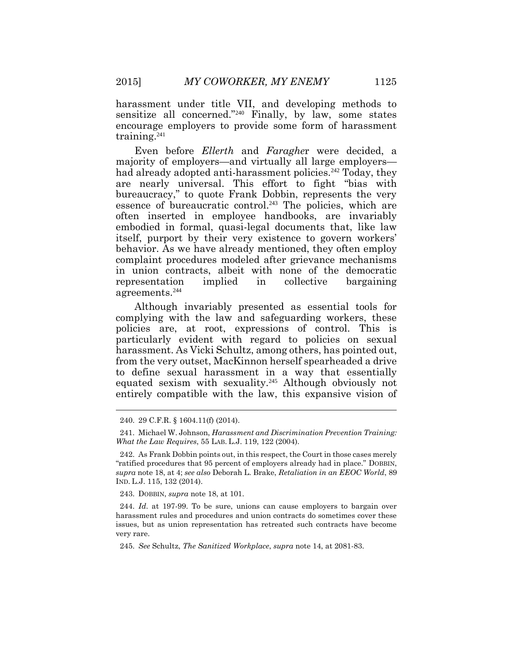harassment under title VII, and developing methods to sensitize all concerned."<sup>240</sup> Finally, by law, some states encourage employers to provide some form of harassment training.<sup>241</sup>

Even before *Ellerth* and *Faraghe*r were decided, a majority of employers—and virtually all large employers had already adopted anti-harassment policies.<sup>242</sup> Today, they are nearly universal. This effort to fight "bias with bureaucracy," to quote Frank Dobbin, represents the very essence of bureaucratic control.<sup>243</sup> The policies, which are often inserted in employee handbooks, are invariably embodied in formal, quasi-legal documents that, like law itself, purport by their very existence to govern workers' behavior. As we have already mentioned, they often employ complaint procedures modeled after grievance mechanisms in union contracts, albeit with none of the democratic representation implied in collective bargaining agreements.<sup>244</sup>

Although invariably presented as essential tools for complying with the law and safeguarding workers, these policies are, at root, expressions of control. This is particularly evident with regard to policies on sexual harassment. As Vicki Schultz, among others, has pointed out, from the very outset, MacKinnon herself spearheaded a drive to define sexual harassment in a way that essentially equated sexism with sexuality.<sup>245</sup> Although obviously not entirely compatible with the law, this expansive vision of

243. DOBBIN, *supra* note 18, at 101.

245. *See* Schultz, *The Sanitized Workplace*, *supra* note 14, at 2081-83.

<sup>240.</sup> 29 C.F.R. § 1604.11(f) (2014).

<sup>241.</sup> Michael W. Johnson, *Harassment and Discrimination Prevention Training: What the Law Requires*, 55 LAB. L.J. 119, 122 (2004).

<sup>242.</sup> As Frank Dobbin points out, in this respect, the Court in those cases merely "ratified procedures that 95 percent of employers already had in place." DOBBIN, *supra* note 18, at 4; *see also* Deborah L. Brake, *Retaliation in an EEOC World*, 89 IND. L.J. 115, 132 (2014).

<sup>244.</sup> *Id*. at 197-99. To be sure, unions can cause employers to bargain over harassment rules and procedures and union contracts do sometimes cover these issues, but as union representation has retreated such contracts have become very rare.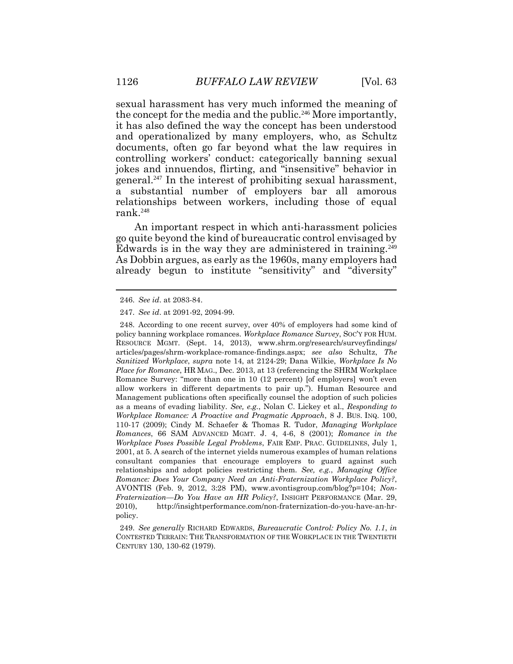sexual harassment has very much informed the meaning of the concept for the media and the public.<sup>246</sup> More importantly, it has also defined the way the concept has been understood and operationalized by many employers, who, as Schultz documents, often go far beyond what the law requires in controlling workers' conduct: categorically banning sexual jokes and innuendos, flirting, and "insensitive" behavior in general.<sup>247</sup> In the interest of prohibiting sexual harassment, a substantial number of employers bar all amorous relationships between workers, including those of equal rank.<sup>248</sup>

An important respect in which anti-harassment policies go quite beyond the kind of bureaucratic control envisaged by Edwards is in the way they are administered in training.<sup>249</sup> As Dobbin argues, as early as the 1960s, many employers had already begun to institute "sensitivity" and "diversity"

248. According to one recent survey, over 40% of employers had some kind of policy banning workplace romances. *Workplace Romance Survey*, SOC'Y FOR HUM. RESOURCE MGMT. (Sept. 14, 2013), www.shrm.org/research/surveyfindings/ articles/pages/shrm-workplace-romance-findings.aspx; *see also* Schultz, *The Sanitized Workplace*, *supra* note 14, at 2124-29; Dana Wilkie, *Workplace Is No Place for Romance*, HR MAG., Dec. 2013, at 13 (referencing the SHRM Workplace Romance Survey: "more than one in 10 (12 percent) [of employers] won't even allow workers in different departments to pair up."). Human Resource and Management publications often specifically counsel the adoption of such policies as a means of evading liability. *See, e.g.*, Nolan C. Lickey et al., *Responding to Workplace Romance: A Proactive and Pragmatic Approach*, 8 J. BUS. INQ. 100, 110-17 (2009); Cindy M. Schaefer & Thomas R. Tudor, *Managing Workplace Romances*, 66 SAM ADVANCED MGMT. J. 4, 4-6, 8 (2001); *Romance in the Workplace Poses Possible Legal Problems*, FAIR EMP. PRAC. GUIDELINES, July 1, 2001, at 5. A search of the internet yields numerous examples of human relations consultant companies that encourage employers to guard against such relationships and adopt policies restricting them. *See, e.g.*, *Managing Office Romance: Does Your Company Need an Anti-Fraternization Workplace Policy?*, AVONTIS (Feb. 9, 2012, 3:28 PM), www.avontisgroup.com/blog?p=104; *Non-Fraternization—Do You Have an HR Policy?*, INSIGHT PERFORMANCE (Mar. 29, 2010), http://insightperformance.com/non-fraternization-do-you-have-an-hrpolicy.

249. *See generally* RICHARD EDWARDS, *Bureaucratic Control: Policy No. 1.1*, *in* CONTESTED TERRAIN: THE TRANSFORMATION OF THE WORKPLACE IN THE TWENTIETH CENTURY 130, 130-62 (1979).

<sup>246.</sup> *See id*. at 2083-84.

<sup>247.</sup> *See id*. at 2091-92, 2094-99.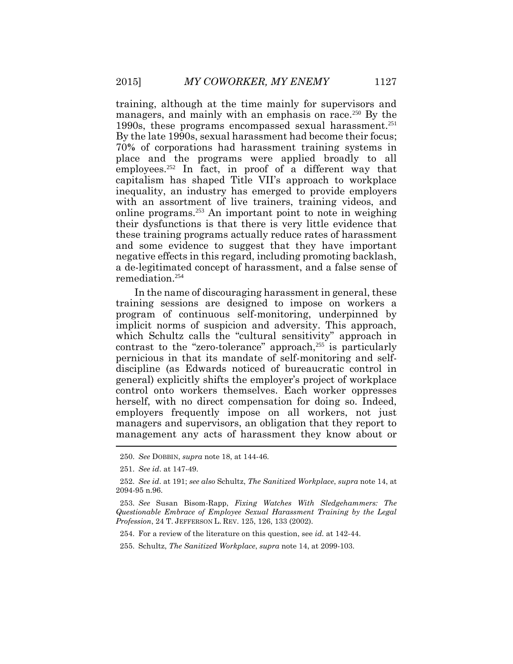training, although at the time mainly for supervisors and managers, and mainly with an emphasis on race.<sup>250</sup> By the 1990s, these programs encompassed sexual harassment.<sup>251</sup> By the late 1990s, sexual harassment had become their focus; 70**%** of corporations had harassment training systems in place and the programs were applied broadly to all employees.<sup>252</sup> In fact, in proof of a different way that capitalism has shaped Title VII's approach to workplace inequality, an industry has emerged to provide employers with an assortment of live trainers, training videos, and online programs.<sup>253</sup> An important point to note in weighing their dysfunctions is that there is very little evidence that these training programs actually reduce rates of harassment and some evidence to suggest that they have important negative effects in this regard, including promoting backlash, a de-legitimated concept of harassment, and a false sense of remediation.<sup>254</sup>

In the name of discouraging harassment in general, these training sessions are designed to impose on workers a program of continuous self-monitoring, underpinned by implicit norms of suspicion and adversity. This approach, which Schultz calls the "cultural sensitivity" approach in contrast to the "zero-tolerance" approach, <sup>255</sup> is particularly pernicious in that its mandate of self-monitoring and selfdiscipline (as Edwards noticed of bureaucratic control in general) explicitly shifts the employer's project of workplace control onto workers themselves. Each worker oppresses herself, with no direct compensation for doing so. Indeed, employers frequently impose on all workers, not just managers and supervisors, an obligation that they report to management any acts of harassment they know about or

<sup>250.</sup> *See* DOBBIN, *supra* note 18, at 144-46.

<sup>251.</sup> *See id*. at 147-49.

<sup>252.</sup> *See id*. at 191; *see also* Schultz, *The Sanitized Workplace*, *supra* note 14, at 2094-95 n.96.

<sup>253.</sup> *See* Susan Bisom-Rapp, *Fixing Watches With Sledgehammers: The Questionable Embrace of Employee Sexual Harassment Training by the Legal Profession*, 24 T. JEFFERSON L. REV. 125, 126, 133 (2002).

<sup>254.</sup> For a review of the literature on this question, see *id.* at 142-44.

<sup>255.</sup> Schultz, *The Sanitized Workplace*, *supra* note 14, at 2099-103.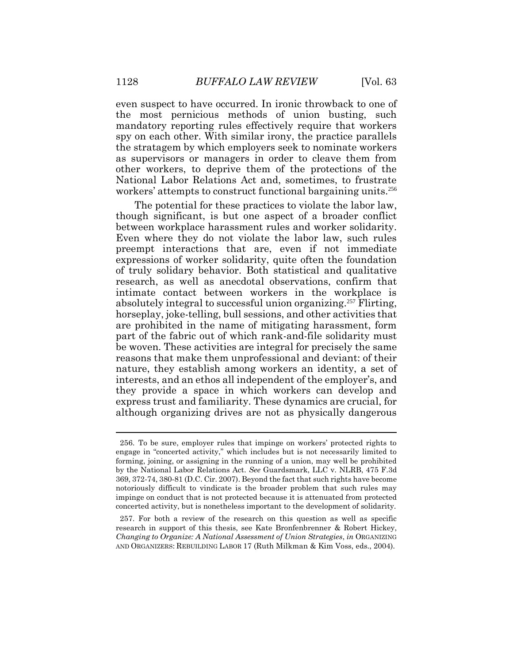even suspect to have occurred. In ironic throwback to one of the most pernicious methods of union busting, such mandatory reporting rules effectively require that workers spy on each other. With similar irony, the practice parallels the stratagem by which employers seek to nominate workers as supervisors or managers in order to cleave them from other workers, to deprive them of the protections of the National Labor Relations Act and, sometimes, to frustrate workers' attempts to construct functional bargaining units.<sup>256</sup>

The potential for these practices to violate the labor law, though significant, is but one aspect of a broader conflict between workplace harassment rules and worker solidarity. Even where they do not violate the labor law, such rules preempt interactions that are, even if not immediate expressions of worker solidarity, quite often the foundation of truly solidary behavior. Both statistical and qualitative research, as well as anecdotal observations, confirm that intimate contact between workers in the workplace is absolutely integral to successful union organizing.<sup>257</sup> Flirting, horseplay, joke-telling, bull sessions, and other activities that are prohibited in the name of mitigating harassment, form part of the fabric out of which rank-and-file solidarity must be woven. These activities are integral for precisely the same reasons that make them unprofessional and deviant: of their nature, they establish among workers an identity, a set of interests, and an ethos all independent of the employer's, and they provide a space in which workers can develop and express trust and familiarity. These dynamics are crucial, for although organizing drives are not as physically dangerous

<sup>256.</sup> To be sure, employer rules that impinge on workers' protected rights to engage in "concerted activity," which includes but is not necessarily limited to forming, joining, or assigning in the running of a union, may well be prohibited by the National Labor Relations Act. *See* Guardsmark, LLC v. NLRB, 475 F.3d 369, 372-74, 380-81 (D.C. Cir. 2007). Beyond the fact that such rights have become notoriously difficult to vindicate is the broader problem that such rules may impinge on conduct that is not protected because it is attenuated from protected concerted activity, but is nonetheless important to the development of solidarity.

<sup>257.</sup> For both a review of the research on this question as well as specific research in support of this thesis, see Kate Bronfenbrenner & Robert Hickey, *Changing to Organize: A National Assessment of Union Strategies*, *in* ORGANIZING AND ORGANIZERS: REBUILDING LABOR 17 (Ruth Milkman & Kim Voss, eds., 2004).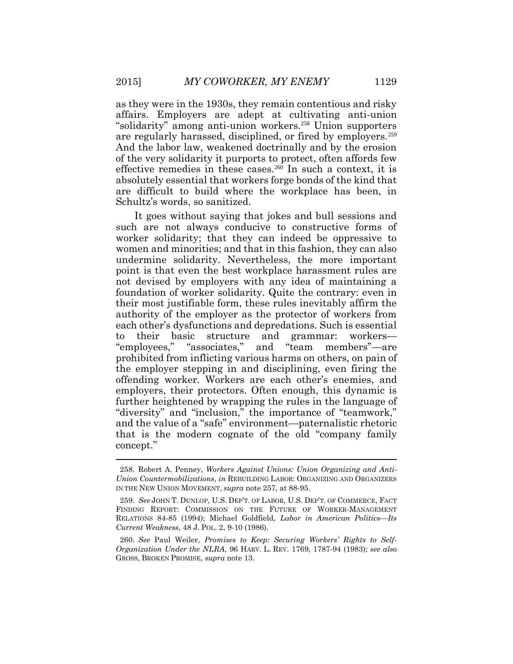as they were in the 1930s, they remain contentious and risky affairs. Employers are adept at cultivating anti-union "solidarity" among anti-union workers.<sup>258</sup> Union supporters are regularly harassed, disciplined, or fired by employers.<sup>259</sup> And the labor law, weakened doctrinally and by the erosion of the very solidarity it purports to protect, often affords few effective remedies in these cases.<sup>260</sup> In such a context, it is absolutely essential that workers forge bonds of the kind that are difficult to build where the workplace has been, in Schultz's words, so sanitized.

It goes without saying that jokes and bull sessions and such are not always conducive to constructive forms of worker solidarity; that they can indeed be oppressive to women and minorities; and that in this fashion, they can also undermine solidarity. Nevertheless, the more important point is that even the best workplace harassment rules are not devised by employers with any idea of maintaining a foundation of worker solidarity. Quite the contrary: even in their most justifiable form, these rules inevitably affirm the authority of the employer as the protector of workers from each other's dysfunctions and depredations. Such is essential to their basic structure and grammar: workers— "employees," "associates," and "team members"—are prohibited from inflicting various harms on others, on pain of the employer stepping in and disciplining, even firing the offending worker. Workers are each other's enemies, and employers, their protectors. Often enough, this dynamic is further heightened by wrapping the rules in the language of "diversity" and "inclusion," the importance of "teamwork," and the value of a "safe" environment—paternalistic rhetoric that is the modern cognate of the old "company family concept."

<sup>258.</sup> Robert A. Penney, *Workers Against Unions: Union Organizing and Anti-Union Countermobilizations*, *in* REBUILDING LABOR: ORGANIZING AND ORGANIZERS IN THE NEW UNION MOVEMENT, *supra* note 257, at 88-95.

<sup>259.</sup> *See* JOHN T. DUNLOP, U.S. DEP'T. OF LABOR, U.S. DEP'T. OF COMMERCE, FACT FINDING REPORT: COMMISSION ON THE FUTURE OF WORKER-MANAGEMENT RELATIONS 84-85 (1994); Michael Goldfield, *Labor in American Politics—Its Current Weakness*, 48 J. POL. 2, 9-10 (1986).

<sup>260.</sup> *See* Paul Weiler, *Promises to Keep: Securing Workers' Rights to Self-Organization Under the NLRA*, 96 HARV. L. REV. 1769, 1787-94 (1983); *see also* GROSS, BROKEN PROMISE, *supra* note 13.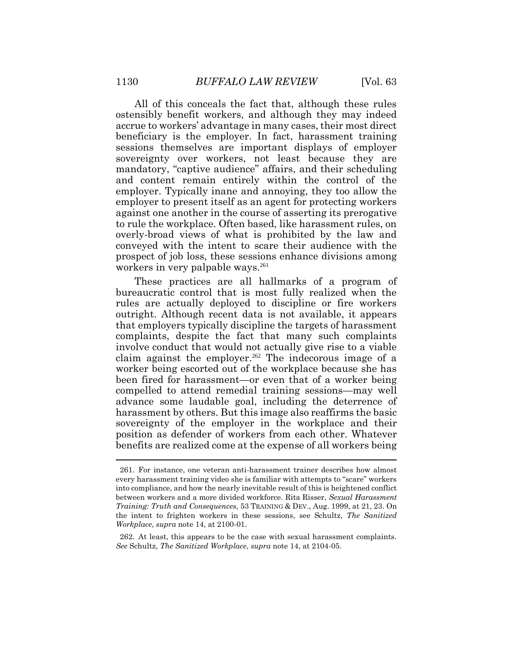All of this conceals the fact that, although these rules ostensibly benefit workers, and although they may indeed accrue to workers' advantage in many cases, their most direct beneficiary is the employer. In fact, harassment training sessions themselves are important displays of employer sovereignty over workers, not least because they are mandatory, "captive audience" affairs, and their scheduling and content remain entirely within the control of the employer. Typically inane and annoying, they too allow the employer to present itself as an agent for protecting workers against one another in the course of asserting its prerogative to rule the workplace. Often based, like harassment rules, on overly-broad views of what is prohibited by the law and conveyed with the intent to scare their audience with the prospect of job loss, these sessions enhance divisions among workers in very palpable ways.<sup>261</sup>

These practices are all hallmarks of a program of bureaucratic control that is most fully realized when the rules are actually deployed to discipline or fire workers outright. Although recent data is not available, it appears that employers typically discipline the targets of harassment complaints, despite the fact that many such complaints involve conduct that would not actually give rise to a viable claim against the employer.<sup>262</sup> The indecorous image of a worker being escorted out of the workplace because she has been fired for harassment—or even that of a worker being compelled to attend remedial training sessions—may well advance some laudable goal, including the deterrence of harassment by others. But this image also reaffirms the basic sovereignty of the employer in the workplace and their position as defender of workers from each other. Whatever benefits are realized come at the expense of all workers being

<sup>261.</sup> For instance, one veteran anti-harassment trainer describes how almost every harassment training video she is familiar with attempts to "scare" workers into compliance, and how the nearly inevitable result of this is heightened conflict between workers and a more divided workforce. Rita Risser, *Sexual Harassment Training: Truth and Consequences*, 53 TRAINING & DEV., Aug. 1999, at 21, 23. On the intent to frighten workers in these sessions, see Schultz, *The Sanitized Workplace*, *supra* note 14, at 2100-01.

<sup>262.</sup> At least, this appears to be the case with sexual harassment complaints. *See* Schultz, *The Sanitized Workplace*, *supra* note 14, at 2104-05.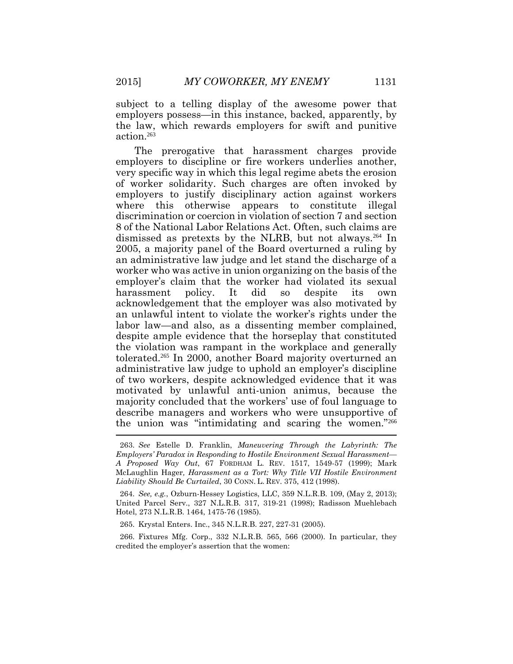subject to a telling display of the awesome power that employers possess—in this instance, backed, apparently, by the law, which rewards employers for swift and punitive action.<sup>263</sup>

The prerogative that harassment charges provide employers to discipline or fire workers underlies another, very specific way in which this legal regime abets the erosion of worker solidarity. Such charges are often invoked by employers to justify disciplinary action against workers where this otherwise appears to constitute illegal discrimination or coercion in violation of section 7 and section 8 of the National Labor Relations Act. Often, such claims are dismissed as pretexts by the NLRB, but not always.<sup>264</sup> In 2005, a majority panel of the Board overturned a ruling by an administrative law judge and let stand the discharge of a worker who was active in union organizing on the basis of the employer's claim that the worker had violated its sexual harassment policy. It did so despite its own acknowledgement that the employer was also motivated by an unlawful intent to violate the worker's rights under the labor law—and also, as a dissenting member complained, despite ample evidence that the horseplay that constituted the violation was rampant in the workplace and generally tolerated.<sup>265</sup> In 2000, another Board majority overturned an administrative law judge to uphold an employer's discipline of two workers, despite acknowledged evidence that it was motivated by unlawful anti-union animus, because the majority concluded that the workers' use of foul language to describe managers and workers who were unsupportive of the union was "intimidating and scaring the women."<sup>266</sup>

265. Krystal Enters. Inc., 345 N.L.R.B. 227, 227-31 (2005).

266. Fixtures Mfg. Corp., 332 N.L.R.B. 565, 566 (2000). In particular, they credited the employer's assertion that the women:

<sup>263.</sup> *See* Estelle D. Franklin, *Maneuvering Through the Labyrinth: The Employers' Paradox in Responding to Hostile Environment Sexual Harassment— A Proposed Way Out*, 67 FORDHAM L. REV. 1517, 1549-57 (1999); Mark McLaughlin Hager*, Harassment as a Tort: Why Title VII Hostile Environment Liability Should Be Curtailed*, 30 CONN. L. REV. 375, 412 (1998).

<sup>264.</sup> *See, e.g.*, Ozburn-Hessey Logistics, LLC, 359 N.L.R.B. 109, (May 2, 2013); United Parcel Serv., 327 N.L.R.B. 317, 319-21 (1998); Radisson Muehlebach Hotel, 273 N.L.R.B. 1464, 1475-76 (1985).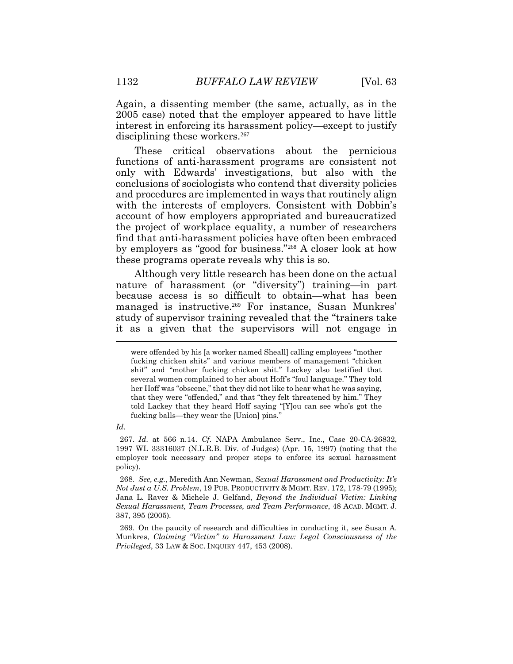Again, a dissenting member (the same, actually, as in the 2005 case) noted that the employer appeared to have little interest in enforcing its harassment policy—except to justify disciplining these workers.<sup>267</sup>

These critical observations about the pernicious functions of anti-harassment programs are consistent not only with Edwards' investigations, but also with the conclusions of sociologists who contend that diversity policies and procedures are implemented in ways that routinely align with the interests of employers. Consistent with Dobbin's account of how employers appropriated and bureaucratized the project of workplace equality, a number of researchers find that anti-harassment policies have often been embraced by employers as "good for business."<sup>268</sup> A closer look at how these programs operate reveals why this is so.

Although very little research has been done on the actual nature of harassment (or "diversity") training—in part because access is so difficult to obtain—what has been managed is instructive.<sup>269</sup> For instance, Susan Munkres' study of supervisor training revealed that the "trainers take it as a given that the supervisors will not engage in

*Id.*

were offended by his [a worker named Sheall] calling employees "mother fucking chicken shits" and various members of management "chicken shit" and "mother fucking chicken shit." Lackey also testified that several women complained to her about Hoff's "foul language." They told her Hoff was "obscene," that they did not like to hear what he was saying, that they were "offended," and that "they felt threatened by him." They told Lackey that they heard Hoff saying "[Y]ou can see who's got the fucking balls—they wear the [Union] pins."

<sup>267.</sup> *Id*. at 566 n.14. *Cf*. NAPA Ambulance Serv., Inc., Case 20-CA-26832, 1997 WL 33316037 (N.L.R.B. Div. of Judges) (Apr. 15, 1997) (noting that the employer took necessary and proper steps to enforce its sexual harassment policy).

<sup>268.</sup> *See, e.g.*, Meredith Ann Newman, *Sexual Harassment and Productivity: It's Not Just a U.S. Problem*, 19 PUB. PRODUCTIVITY & MGMT. REV. 172, 178-79 (1995); Jana L. Raver & Michele J. Gelfand, *Beyond the Individual Victim: Linking Sexual Harassment, Team Processes, and Team Performance*, 48 ACAD. MGMT. J. 387, 395 (2005).

<sup>269.</sup> On the paucity of research and difficulties in conducting it, see Susan A. Munkres, *Claiming "Victim" to Harassment Law: Legal Consciousness of the Privileged*, 33 LAW & SOC. INQUIRY 447, 453 (2008).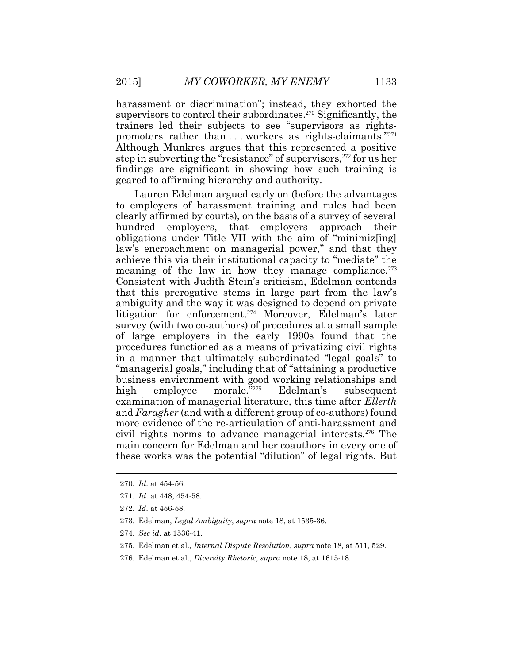harassment or discrimination"; instead, they exhorted the supervisors to control their subordinates.<sup>270</sup> Significantly, the trainers led their subjects to see "supervisors as rightspromoters rather than ... workers as rights-claimants."<sup>271</sup> Although Munkres argues that this represented a positive step in subverting the "resistance" of supervisors, <sup>272</sup> for us her findings are significant in showing how such training is geared to affirming hierarchy and authority.

Lauren Edelman argued early on (before the advantages to employers of harassment training and rules had been clearly affirmed by courts), on the basis of a survey of several hundred employers, that employers approach their obligations under Title VII with the aim of "minimiz[ing] law's encroachment on managerial power," and that they achieve this via their institutional capacity to "mediate" the meaning of the law in how they manage compliance. $273$ Consistent with Judith Stein's criticism, Edelman contends that this prerogative stems in large part from the law's ambiguity and the way it was designed to depend on private litigation for enforcement.<sup>274</sup> Moreover, Edelman's later survey (with two co-authors) of procedures at a small sample of large employers in the early 1990s found that the procedures functioned as a means of privatizing civil rights in a manner that ultimately subordinated "legal goals" to "managerial goals," including that of "attaining a productive business environment with good working relationships and high employee morale."<sup>275</sup> Edelman's subsequent examination of managerial literature, this time after *Ellerth*  and *Faragher* (and with a different group of co-authors) found more evidence of the re-articulation of anti-harassment and civil rights norms to advance managerial interests.<sup>276</sup> The main concern for Edelman and her coauthors in every one of these works was the potential "dilution" of legal rights. But

<sup>270.</sup> *Id*. at 454-56.

<sup>271.</sup> *Id*. at 448, 454-58.

<sup>272.</sup> *Id*. at 456-58.

<sup>273.</sup> Edelman, *Legal Ambiguity*, *supra* note 18, at 1535-36.

<sup>274.</sup> *See id*. at 1536-41.

<sup>275.</sup> Edelman et al., *Internal Dispute Resolution*, *supra* note 18, at 511, 529.

<sup>276.</sup> Edelman et al., *Diversity Rhetoric*, *supra* note 18, at 1615-18.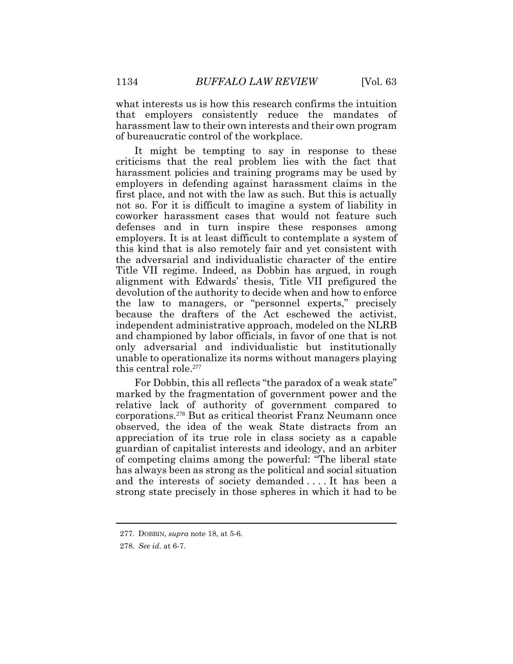what interests us is how this research confirms the intuition that employers consistently reduce the mandates of harassment law to their own interests and their own program of bureaucratic control of the workplace.

It might be tempting to say in response to these criticisms that the real problem lies with the fact that harassment policies and training programs may be used by employers in defending against harassment claims in the first place, and not with the law as such. But this is actually not so. For it is difficult to imagine a system of liability in coworker harassment cases that would not feature such defenses and in turn inspire these responses among employers. It is at least difficult to contemplate a system of this kind that is also remotely fair and yet consistent with the adversarial and individualistic character of the entire Title VII regime. Indeed, as Dobbin has argued, in rough alignment with Edwards' thesis, Title VII prefigured the devolution of the authority to decide when and how to enforce the law to managers, or "personnel experts," precisely because the drafters of the Act eschewed the activist, independent administrative approach, modeled on the NLRB and championed by labor officials, in favor of one that is not only adversarial and individualistic but institutionally unable to operationalize its norms without managers playing this central role.<sup>277</sup>

For Dobbin, this all reflects "the paradox of a weak state" marked by the fragmentation of government power and the relative lack of authority of government compared to corporations.<sup>278</sup> But as critical theorist Franz Neumann once observed, the idea of the weak State distracts from an appreciation of its true role in class society as a capable guardian of capitalist interests and ideology, and an arbiter of competing claims among the powerful: "The liberal state has always been as strong as the political and social situation and the interests of society demanded . . . . It has been a strong state precisely in those spheres in which it had to be

<sup>277.</sup> DOBBIN, *supra* note 18, at 5-6.

<sup>278.</sup> *See id*. at 6-7.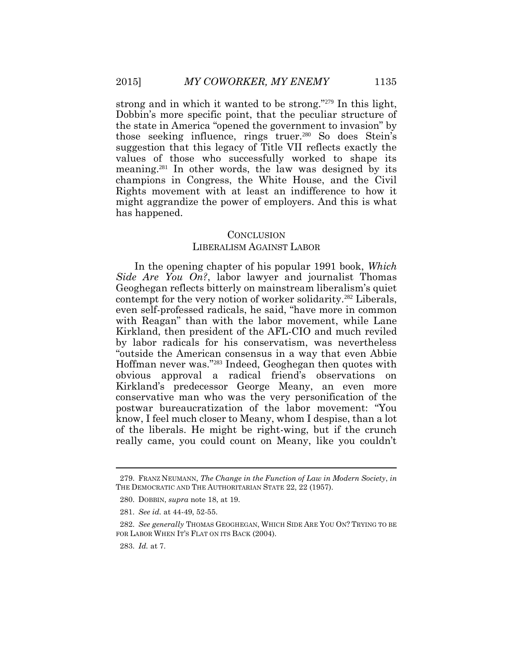strong and in which it wanted to be strong."279 In this light, Dobbin's more specific point, that the peculiar structure of the state in America "opened the government to invasion" by those seeking influence, rings truer.<sup>280</sup> So does Stein's suggestion that this legacy of Title VII reflects exactly the values of those who successfully worked to shape its meaning.281 In other words, the law was designed by its champions in Congress, the White House, and the Civil Rights movement with at least an indifference to how it might aggrandize the power of employers. And this is what has happened.

## **CONCLUSION**

## LIBERALISM AGAINST LABOR

In the opening chapter of his popular 1991 book, *Which Side Are You On?*, labor lawyer and journalist Thomas Geoghegan reflects bitterly on mainstream liberalism's quiet contempt for the very notion of worker solidarity.<sup>282</sup> Liberals, even self-professed radicals, he said, "have more in common with Reagan" than with the labor movement, while Lane Kirkland, then president of the AFL-CIO and much reviled by labor radicals for his conservatism, was nevertheless "outside the American consensus in a way that even Abbie Hoffman never was."283 Indeed, Geoghegan then quotes with obvious approval a radical friend's observations on Kirkland's predecessor George Meany, an even more conservative man who was the very personification of the postwar bureaucratization of the labor movement: "You know, I feel much closer to Meany, whom I despise, than a lot of the liberals. He might be right-wing, but if the crunch really came, you could count on Meany, like you couldn't

<sup>279.</sup> FRANZ NEUMANN, *The Change in the Function of Law in Modern Society*, *in* THE DEMOCRATIC AND THE AUTHORITARIAN STATE 22, 22 (1957).

<sup>280.</sup> DOBBIN, *supra* note 18, at 19.

<sup>281.</sup> *See id.* at 44-49, 52-55.

<sup>282.</sup> *See generally* THOMAS GEOGHEGAN, WHICH SIDE ARE YOU ON? TRYING TO BE FOR LABOR WHEN IT'S FLAT ON ITS BACK (2004).

<sup>283.</sup> *Id.* at 7.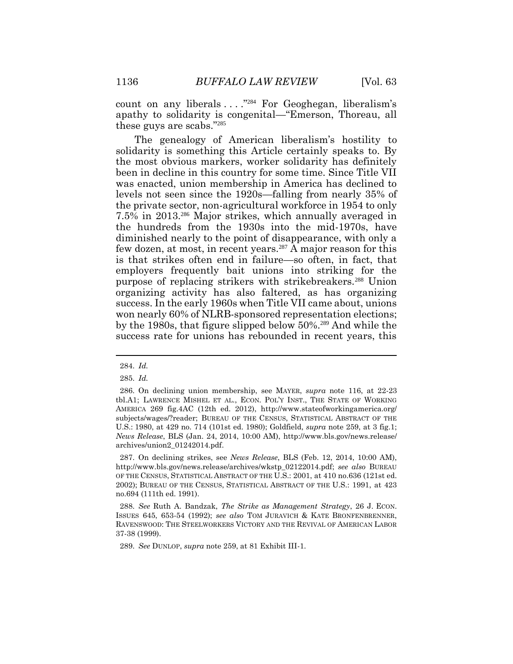count on any liberals . . . ." <sup>284</sup> For Geoghegan, liberalism's apathy to solidarity is congenital—"Emerson, Thoreau, all these guys are scabs."<sup>285</sup>

The genealogy of American liberalism's hostility to solidarity is something this Article certainly speaks to. By the most obvious markers, worker solidarity has definitely been in decline in this country for some time. Since Title VII was enacted, union membership in America has declined to levels not seen since the 1920s—falling from nearly 35% of the private sector, non-agricultural workforce in 1954 to only 7.5% in 2013.<sup>286</sup> Major strikes, which annually averaged in the hundreds from the 1930s into the mid-1970s, have diminished nearly to the point of disappearance, with only a few dozen, at most, in recent years.<sup>287</sup> A major reason for this is that strikes often end in failure—so often, in fact, that employers frequently bait unions into striking for the purpose of replacing strikers with strikebreakers.<sup>288</sup> Union organizing activity has also faltered, as has organizing success. In the early 1960s when Title VII came about, unions won nearly 60% of NLRB-sponsored representation elections; by the 1980s, that figure slipped below 50%. <sup>289</sup> And while the success rate for unions has rebounded in recent years, this

289. *See* DUNLOP, *supra* note 259, at 81 Exhibit III-1.

<sup>284.</sup> *Id.* 

<sup>285.</sup> *Id.*

<sup>286.</sup> On declining union membership, see MAYER, *supra* note 116, at 22-23 tbl.A1; LAWRENCE MISHEL ET AL., ECON. POL'Y INST., THE STATE OF WORKING AMERICA 269 fig.4AC (12th ed. 2012), http://www.stateofworkingamerica.org/ subjects/wages/?reader; BUREAU OF THE CENSUS, STATISTICAL ABSTRACT OF THE U.S.: 1980, at 429 no. 714 (101st ed. 1980); Goldfield, *supra* note 259, at 3 fig.1; *News Release*, BLS (Jan. 24, 2014, 10:00 AM), http://www.bls.gov/news.release/ archives/union2\_01242014.pdf.

<sup>287.</sup> On declining strikes, see *News Release*, BLS (Feb. 12, 2014, 10:00 AM), http://www.bls.gov/news.release/archives/wkstp\_02122014.pdf; *see also* BUREAU OF THE CENSUS, STATISTICAL ABSTRACT OF THE U.S.: 2001, at 410 no.636 (121st ed. 2002); BUREAU OF THE CENSUS, STATISTICAL ABSTRACT OF THE U.S.: 1991, at 423 no.694 (111th ed. 1991).

<sup>288.</sup> *See* Ruth A. Bandzak, *The Strike as Management Strategy*, 26 J. ECON. ISSUES 645, 653-54 (1992); *see also* TOM JURAVICH & KATE BRONFENBRENNER, RAVENSWOOD: THE STEELWORKERS VICTORY AND THE REVIVAL OF AMERICAN LABOR 37-38 (1999).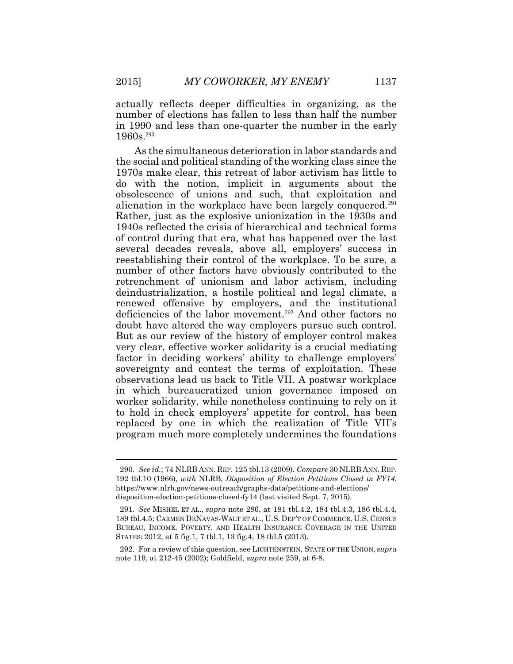actually reflects deeper difficulties in organizing, as the number of elections has fallen to less than half the number in 1990 and less than one-quarter the number in the early 1960s.<sup>290</sup>

As the simultaneous deterioration in labor standards and the social and political standing of the working class since the 1970s make clear, this retreat of labor activism has little to do with the notion, implicit in arguments about the obsolescence of unions and such, that exploitation and alienation in the workplace have been largely conquered.<sup>291</sup> Rather, just as the explosive unionization in the 1930s and 1940s reflected the crisis of hierarchical and technical forms of control during that era, what has happened over the last several decades reveals, above all, employers' success in reestablishing their control of the workplace. To be sure, a number of other factors have obviously contributed to the retrenchment of unionism and labor activism, including deindustrialization, a hostile political and legal climate, a renewed offensive by employers, and the institutional deficiencies of the labor movement.<sup>292</sup> And other factors no doubt have altered the way employers pursue such control. But as our review of the history of employer control makes very clear, effective worker solidarity is a crucial mediating factor in deciding workers' ability to challenge employers' sovereignty and contest the terms of exploitation. These observations lead us back to Title VII. A postwar workplace in which bureaucratized union governance imposed on worker solidarity, while nonetheless continuing to rely on it to hold in check employers' appetite for control, has been replaced by one in which the realization of Title VII's program much more completely undermines the foundations

<sup>290.</sup> *See id.*; 74 NLRB ANN. REP. 125 tbl.13 (2009). *Compare* 30 NLRB ANN. REP. 192 tbl.10 (1966), *with* NLRB, *Disposition of Election Petitions Closed in FY14*, https://www.nlrb.gov/news-outreach/graphs-data/petitions-and-elections/ disposition-election-petitions-closed-fy14 (last visited Sept. 7, 2015).

<sup>291.</sup> *See* MISHEL ET AL., *supra* note 286, at 181 tbl.4.2, 184 tbl.4.3, 186 tbl.4.4, 189 tbl.4.5; CARMEN DENAVAS-WALT ET AL., U.S. DEP'T OF COMMERCE, U.S. CENSUS BUREAU, INCOME, POVERTY, AND HEALTH INSURANCE COVERAGE IN THE UNITED STATES: 2012, at 5 fig.1, 7 tbl.1, 13 fig.4, 18 tbl.5 (2013).

<sup>292.</sup> For a review of this question, see LICHTENSTEIN, STATE OF THE UNION, *supra* note 119, at 212-45 (2002); Goldfield, *supra* note 259, at 6-8.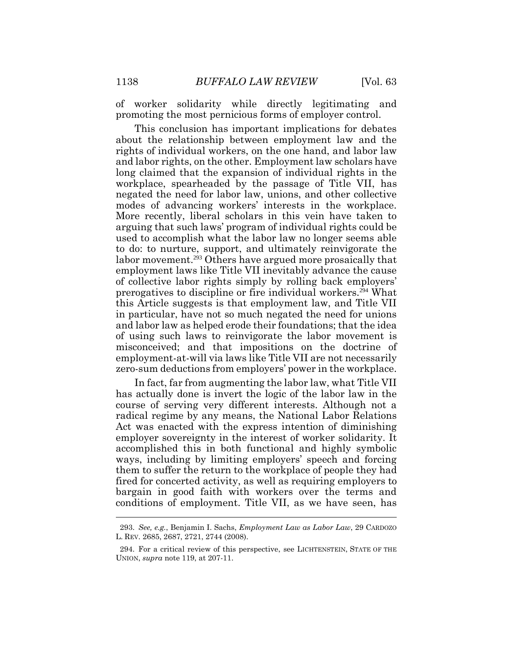of worker solidarity while directly legitimating and promoting the most pernicious forms of employer control.

This conclusion has important implications for debates about the relationship between employment law and the rights of individual workers, on the one hand, and labor law and labor rights, on the other. Employment law scholars have long claimed that the expansion of individual rights in the workplace, spearheaded by the passage of Title VII, has negated the need for labor law, unions, and other collective modes of advancing workers' interests in the workplace. More recently, liberal scholars in this vein have taken to arguing that such laws' program of individual rights could be used to accomplish what the labor law no longer seems able to do: to nurture, support, and ultimately reinvigorate the labor movement.<sup>293</sup> Others have argued more prosaically that employment laws like Title VII inevitably advance the cause of collective labor rights simply by rolling back employers' prerogatives to discipline or fire individual workers.<sup>294</sup> What this Article suggests is that employment law, and Title VII in particular, have not so much negated the need for unions and labor law as helped erode their foundations; that the idea of using such laws to reinvigorate the labor movement is misconceived; and that impositions on the doctrine of employment-at-will via laws like Title VII are not necessarily zero-sum deductions from employers' power in the workplace.

In fact, far from augmenting the labor law, what Title VII has actually done is invert the logic of the labor law in the course of serving very different interests. Although not a radical regime by any means, the National Labor Relations Act was enacted with the express intention of diminishing employer sovereignty in the interest of worker solidarity. It accomplished this in both functional and highly symbolic ways, including by limiting employers' speech and forcing them to suffer the return to the workplace of people they had fired for concerted activity, as well as requiring employers to bargain in good faith with workers over the terms and conditions of employment. Title VII, as we have seen, has

<sup>293.</sup> *See, e.g.*, Benjamin I. Sachs, *Employment Law as Labor Law*, 29 CARDOZO L. REV. 2685, 2687, 2721, 2744 (2008).

<sup>294.</sup> For a critical review of this perspective, see LICHTENSTEIN, STATE OF THE UNION, *supra* note 119, at 207-11.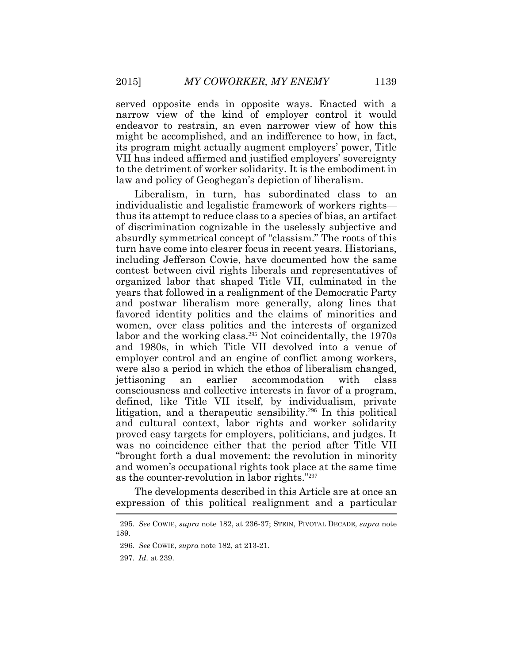served opposite ends in opposite ways. Enacted with a narrow view of the kind of employer control it would endeavor to restrain, an even narrower view of how this might be accomplished, and an indifference to how, in fact, its program might actually augment employers' power, Title VII has indeed affirmed and justified employers' sovereignty to the detriment of worker solidarity. It is the embodiment in law and policy of Geoghegan's depiction of liberalism.

Liberalism, in turn, has subordinated class to an individualistic and legalistic framework of workers rights thus its attempt to reduce class to a species of bias, an artifact of discrimination cognizable in the uselessly subjective and absurdly symmetrical concept of "classism." The roots of this turn have come into clearer focus in recent years. Historians, including Jefferson Cowie, have documented how the same contest between civil rights liberals and representatives of organized labor that shaped Title VII, culminated in the years that followed in a realignment of the Democratic Party and postwar liberalism more generally, along lines that favored identity politics and the claims of minorities and women, over class politics and the interests of organized labor and the working class.<sup>295</sup> Not coincidentally, the 1970s and 1980s, in which Title VII devolved into a venue of employer control and an engine of conflict among workers, were also a period in which the ethos of liberalism changed, jettisoning an earlier accommodation with class consciousness and collective interests in favor of a program, defined, like Title VII itself, by individualism, private litigation, and a therapeutic sensibility.<sup>296</sup> In this political and cultural context, labor rights and worker solidarity proved easy targets for employers, politicians, and judges. It was no coincidence either that the period after Title VII "brought forth a dual movement: the revolution in minority and women's occupational rights took place at the same time as the counter-revolution in labor rights."<sup>297</sup>

The developments described in this Article are at once an expression of this political realignment and a particular

<sup>295.</sup> *See* COWIE, *supra* note 182, at 236-37; STEIN, PIVOTAL DECADE, *supra* note 189.

<sup>296.</sup> *See* COWIE, *supra* note 182, at 213-21.

<sup>297.</sup> *Id*. at 239.